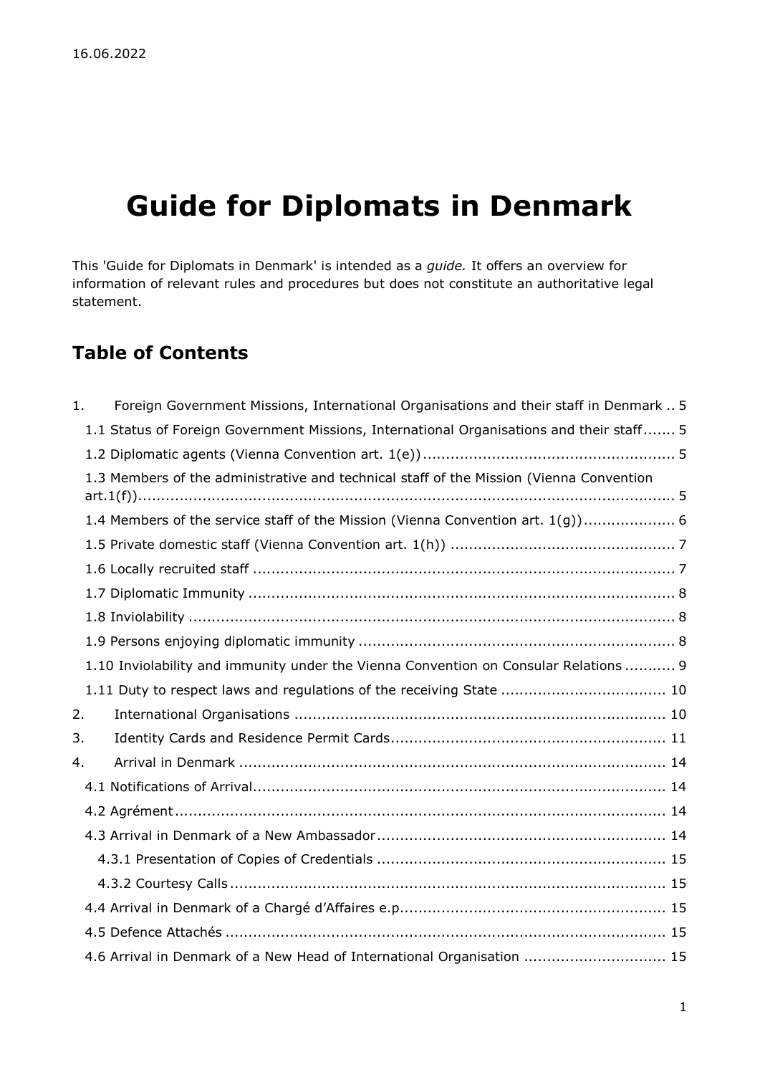# Guide for Diplomats in Denmark

This 'Guide for Diplomats in Denmark' is intended as a *guide*. It offers an overview for information of relevant rules and procedures but does not constitute an authoritative legal statement.

# Table of Contents

| 1. | Foreign Government Missions, International Organisations and their staff in Denmark  5   |  |
|----|------------------------------------------------------------------------------------------|--|
|    | 1.1 Status of Foreign Government Missions, International Organisations and their staff 5 |  |
|    |                                                                                          |  |
|    | 1.3 Members of the administrative and technical staff of the Mission (Vienna Convention  |  |
|    | 1.4 Members of the service staff of the Mission (Vienna Convention art. 1(g)) 6          |  |
|    |                                                                                          |  |
|    |                                                                                          |  |
|    |                                                                                          |  |
|    |                                                                                          |  |
|    |                                                                                          |  |
|    | 1.10 Inviolability and immunity under the Vienna Convention on Consular Relations  9     |  |
|    | 1.11 Duty to respect laws and regulations of the receiving State  10                     |  |
| 2. |                                                                                          |  |
| 3. |                                                                                          |  |
| 4. |                                                                                          |  |
|    |                                                                                          |  |
|    |                                                                                          |  |
|    |                                                                                          |  |
|    |                                                                                          |  |
|    |                                                                                          |  |
|    |                                                                                          |  |
|    |                                                                                          |  |
|    | 4.6 Arrival in Denmark of a New Head of International Organisation  15                   |  |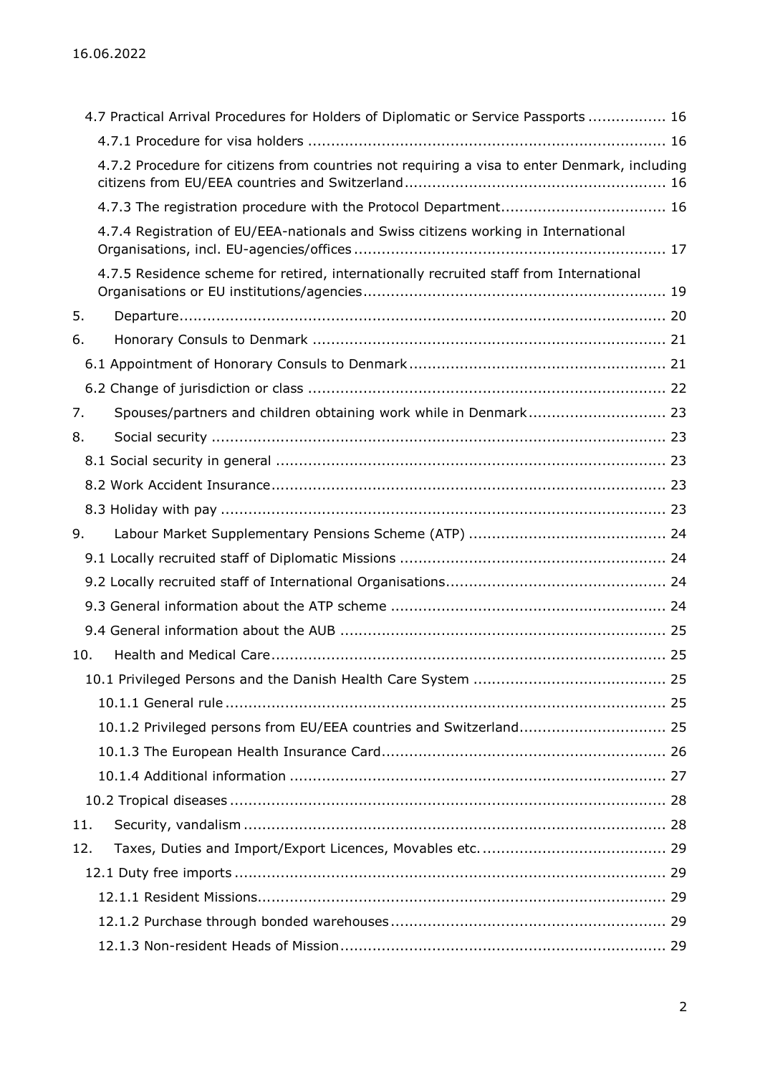|     | 4.7 Practical Arrival Procedures for Holders of Diplomatic or Service Passports  16          |
|-----|----------------------------------------------------------------------------------------------|
|     |                                                                                              |
|     | 4.7.2 Procedure for citizens from countries not requiring a visa to enter Denmark, including |
|     | 4.7.3 The registration procedure with the Protocol Department 16                             |
|     | 4.7.4 Registration of EU/EEA-nationals and Swiss citizens working in International           |
|     | 4.7.5 Residence scheme for retired, internationally recruited staff from International       |
| 5.  |                                                                                              |
| 6.  |                                                                                              |
|     |                                                                                              |
|     |                                                                                              |
| 7.  | Spouses/partners and children obtaining work while in Denmark 23                             |
| 8.  |                                                                                              |
|     |                                                                                              |
|     |                                                                                              |
|     |                                                                                              |
| 9.  |                                                                                              |
|     |                                                                                              |
|     |                                                                                              |
|     |                                                                                              |
|     |                                                                                              |
| 10. |                                                                                              |
|     |                                                                                              |
|     |                                                                                              |
|     | 10.1.2 Privileged persons from EU/EEA countries and Switzerland 25                           |
|     |                                                                                              |
|     |                                                                                              |
|     |                                                                                              |
| 11. |                                                                                              |
| 12. |                                                                                              |
|     |                                                                                              |
|     |                                                                                              |
|     |                                                                                              |
|     |                                                                                              |
|     |                                                                                              |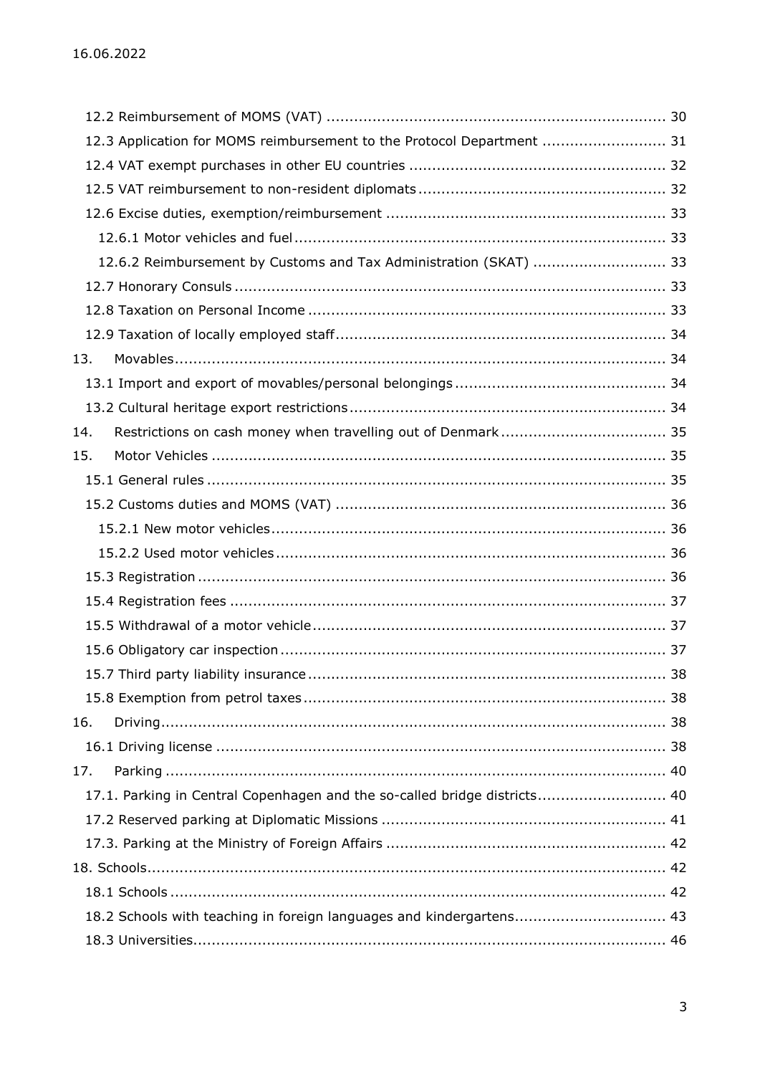|     | 12.3 Application for MOMS reimbursement to the Protocol Department  31    |  |
|-----|---------------------------------------------------------------------------|--|
|     |                                                                           |  |
|     |                                                                           |  |
|     |                                                                           |  |
|     |                                                                           |  |
|     | 12.6.2 Reimbursement by Customs and Tax Administration (SKAT)  33         |  |
|     |                                                                           |  |
|     |                                                                           |  |
|     |                                                                           |  |
| 13. |                                                                           |  |
|     |                                                                           |  |
|     |                                                                           |  |
| 14. |                                                                           |  |
| 15. |                                                                           |  |
|     |                                                                           |  |
|     |                                                                           |  |
|     |                                                                           |  |
|     |                                                                           |  |
|     |                                                                           |  |
|     |                                                                           |  |
|     |                                                                           |  |
|     |                                                                           |  |
|     |                                                                           |  |
|     |                                                                           |  |
| 16. |                                                                           |  |
|     |                                                                           |  |
| 17. |                                                                           |  |
|     | 17.1. Parking in Central Copenhagen and the so-called bridge districts 40 |  |
|     |                                                                           |  |
|     |                                                                           |  |
|     |                                                                           |  |
|     |                                                                           |  |
|     | 18.2 Schools with teaching in foreign languages and kindergartens 43      |  |
|     |                                                                           |  |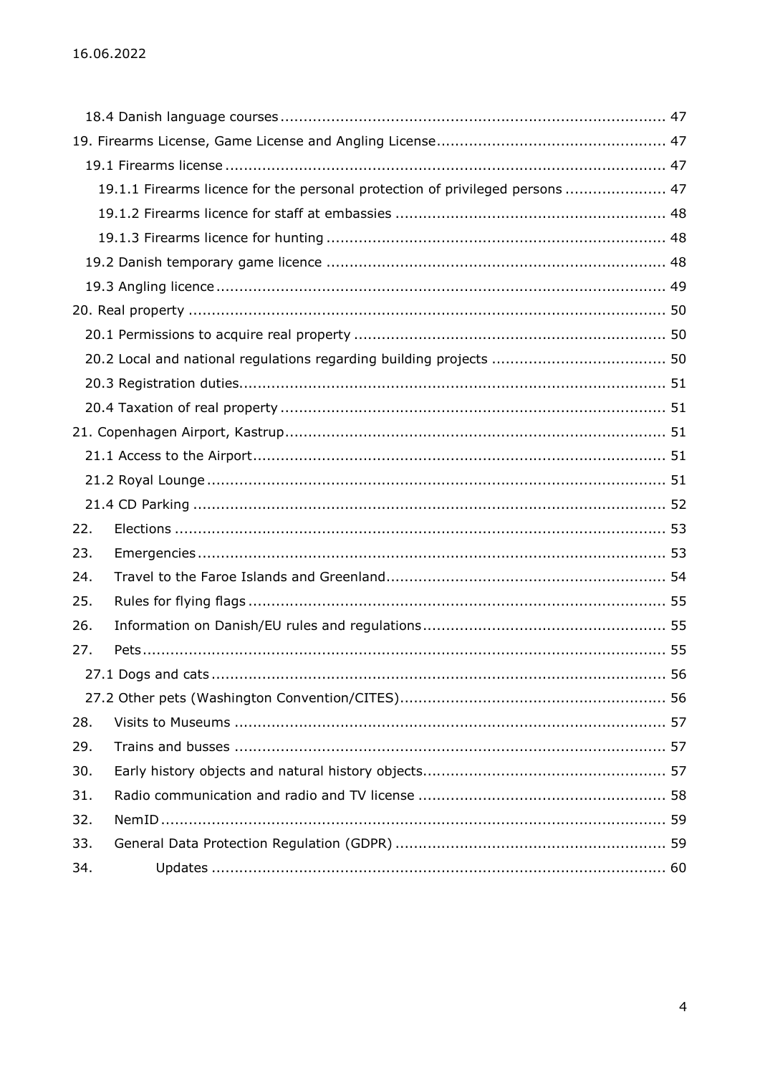|     | 19.1.1 Firearms licence for the personal protection of privileged persons  47 |
|-----|-------------------------------------------------------------------------------|
|     |                                                                               |
|     |                                                                               |
|     |                                                                               |
|     |                                                                               |
|     |                                                                               |
|     |                                                                               |
|     |                                                                               |
|     |                                                                               |
|     |                                                                               |
|     |                                                                               |
|     |                                                                               |
|     |                                                                               |
|     |                                                                               |
| 22. |                                                                               |
| 23. |                                                                               |
| 24. |                                                                               |
| 25. |                                                                               |
| 26. |                                                                               |
| 27. |                                                                               |
|     |                                                                               |
|     |                                                                               |
| 28. |                                                                               |
| 29. |                                                                               |
| 30. |                                                                               |
| 31. |                                                                               |
| 32. |                                                                               |
| 33. |                                                                               |
| 34. |                                                                               |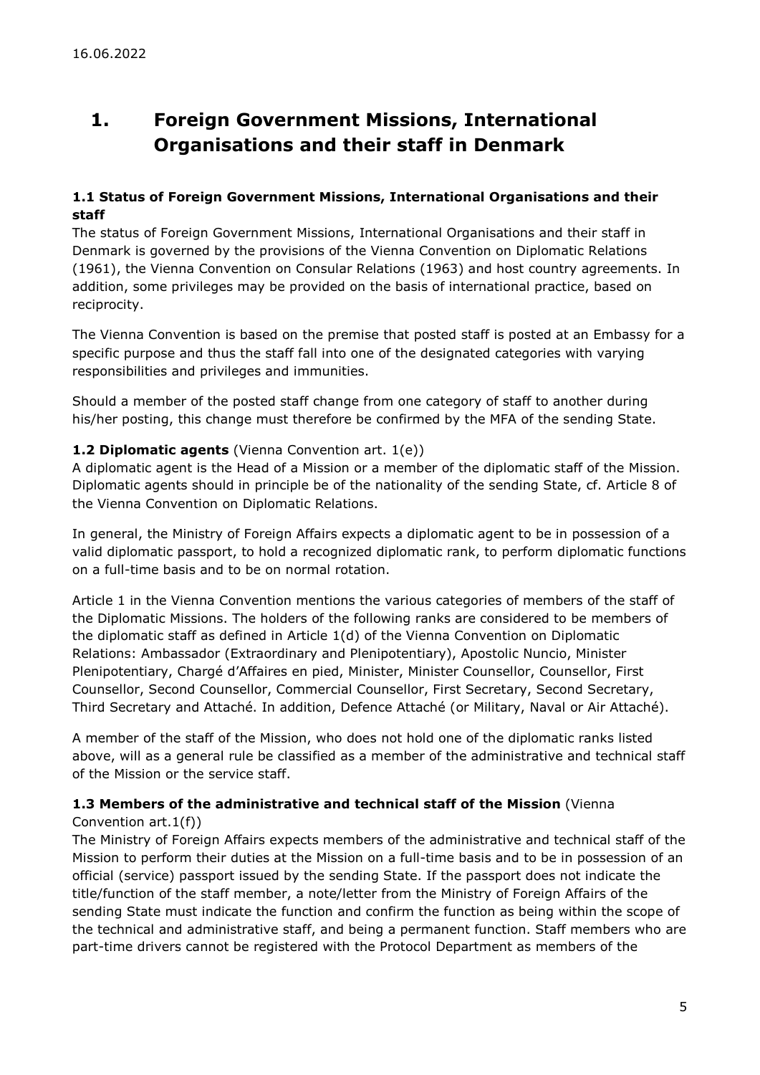# 1. Foreign Government Missions, International Organisations and their staff in Denmark

### 1.1 Status of Foreign Government Missions, International Organisations and their staff

The status of Foreign Government Missions, International Organisations and their staff in Denmark is governed by the provisions of the Vienna Convention on Diplomatic Relations (1961), the Vienna Convention on Consular Relations (1963) and host country agreements. In addition, some privileges may be provided on the basis of international practice, based on reciprocity.

The Vienna Convention is based on the premise that posted staff is posted at an Embassy for a specific purpose and thus the staff fall into one of the designated categories with varying responsibilities and privileges and immunities.

Should a member of the posted staff change from one category of staff to another during his/her posting, this change must therefore be confirmed by the MFA of the sending State.

### **1.2 Diplomatic agents** (Vienna Convention art. 1(e))

A diplomatic agent is the Head of a Mission or a member of the diplomatic staff of the Mission. Diplomatic agents should in principle be of the nationality of the sending State, cf. Article 8 of the Vienna Convention on Diplomatic Relations.

In general, the Ministry of Foreign Affairs expects a diplomatic agent to be in possession of a valid diplomatic passport, to hold a recognized diplomatic rank, to perform diplomatic functions on a full-time basis and to be on normal rotation.

Article 1 in the Vienna Convention mentions the various categories of members of the staff of the Diplomatic Missions. The holders of the following ranks are considered to be members of the diplomatic staff as defined in Article 1(d) of the Vienna Convention on Diplomatic Relations: Ambassador (Extraordinary and Plenipotentiary), Apostolic Nuncio, Minister Plenipotentiary, Chargé d'Affaires en pied, Minister, Minister Counsellor, Counsellor, First Counsellor, Second Counsellor, Commercial Counsellor, First Secretary, Second Secretary, Third Secretary and Attaché. In addition, Defence Attaché (or Military, Naval or Air Attaché).

A member of the staff of the Mission, who does not hold one of the diplomatic ranks listed above, will as a general rule be classified as a member of the administrative and technical staff of the Mission or the service staff.

### 1.3 Members of the administrative and technical staff of the Mission (Vienna

### Convention art.1(f))

The Ministry of Foreign Affairs expects members of the administrative and technical staff of the Mission to perform their duties at the Mission on a full-time basis and to be in possession of an official (service) passport issued by the sending State. If the passport does not indicate the title/function of the staff member, a note/letter from the Ministry of Foreign Affairs of the sending State must indicate the function and confirm the function as being within the scope of the technical and administrative staff, and being a permanent function. Staff members who are part-time drivers cannot be registered with the Protocol Department as members of the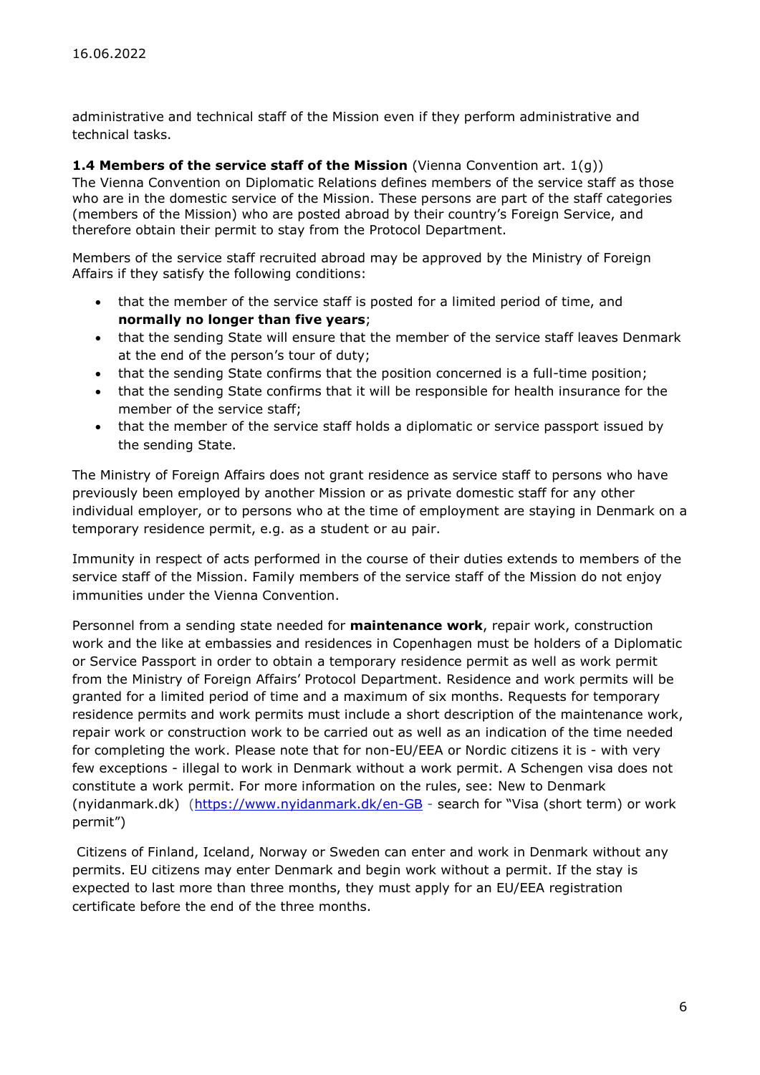administrative and technical staff of the Mission even if they perform administrative and technical tasks.

**1.4 Members of the service staff of the Mission** (Vienna Convention art.  $1(q)$ ) The Vienna Convention on Diplomatic Relations defines members of the service staff as those who are in the domestic service of the Mission. These persons are part of the staff categories (members of the Mission) who are posted abroad by their country's Foreign Service, and therefore obtain their permit to stay from the Protocol Department.

Members of the service staff recruited abroad may be approved by the Ministry of Foreign Affairs if they satisfy the following conditions:

- that the member of the service staff is posted for a limited period of time, and normally no longer than five years;
- that the sending State will ensure that the member of the service staff leaves Denmark at the end of the person's tour of duty;
- that the sending State confirms that the position concerned is a full-time position;
- that the sending State confirms that it will be responsible for health insurance for the member of the service staff;
- that the member of the service staff holds a diplomatic or service passport issued by the sending State.

The Ministry of Foreign Affairs does not grant residence as service staff to persons who have previously been employed by another Mission or as private domestic staff for any other individual employer, or to persons who at the time of employment are staying in Denmark on a temporary residence permit, e.g. as a student or au pair.

Immunity in respect of acts performed in the course of their duties extends to members of the service staff of the Mission. Family members of the service staff of the Mission do not enjoy immunities under the Vienna Convention.

Personnel from a sending state needed for **maintenance work**, repair work, construction work and the like at embassies and residences in Copenhagen must be holders of a Diplomatic or Service Passport in order to obtain a temporary residence permit as well as work permit from the Ministry of Foreign Affairs' Protocol Department. Residence and work permits will be granted for a limited period of time and a maximum of six months. Requests for temporary residence permits and work permits must include a short description of the maintenance work, repair work or construction work to be carried out as well as an indication of the time needed for completing the work. Please note that for non-EU/EEA or Nordic citizens it is - with very few exceptions - illegal to work in Denmark without a work permit. A Schengen visa does not constitute a work permit. For more information on the rules, see: New to Denmark (nyidanmark.dk) (https://www.nyidanmark.dk/en-GB - search for "Visa (short term) or work permit")

 Citizens of Finland, Iceland, Norway or Sweden can enter and work in Denmark without any permits. EU citizens may enter Denmark and begin work without a permit. If the stay is expected to last more than three months, they must apply for an EU/EEA registration certificate before the end of the three months.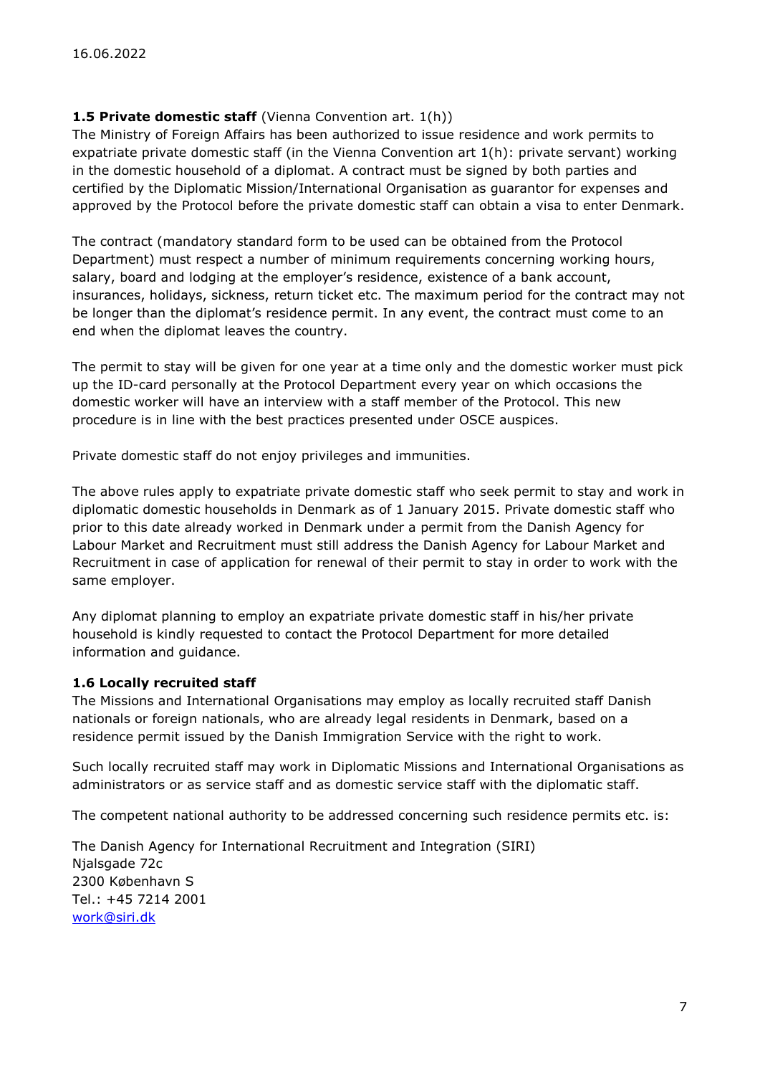### **1.5 Private domestic staff** (Vienna Convention art. 1(h))

The Ministry of Foreign Affairs has been authorized to issue residence and work permits to expatriate private domestic staff (in the Vienna Convention art 1(h): private servant) working in the domestic household of a diplomat. A contract must be signed by both parties and certified by the Diplomatic Mission/International Organisation as guarantor for expenses and approved by the Protocol before the private domestic staff can obtain a visa to enter Denmark.

The contract (mandatory standard form to be used can be obtained from the Protocol Department) must respect a number of minimum requirements concerning working hours, salary, board and lodging at the employer's residence, existence of a bank account, insurances, holidays, sickness, return ticket etc. The maximum period for the contract may not be longer than the diplomat's residence permit. In any event, the contract must come to an end when the diplomat leaves the country.

The permit to stay will be given for one year at a time only and the domestic worker must pick up the ID-card personally at the Protocol Department every year on which occasions the domestic worker will have an interview with a staff member of the Protocol. This new procedure is in line with the best practices presented under OSCE auspices.

Private domestic staff do not enjoy privileges and immunities.

The above rules apply to expatriate private domestic staff who seek permit to stay and work in diplomatic domestic households in Denmark as of 1 January 2015. Private domestic staff who prior to this date already worked in Denmark under a permit from the Danish Agency for Labour Market and Recruitment must still address the Danish Agency for Labour Market and Recruitment in case of application for renewal of their permit to stay in order to work with the same employer.

Any diplomat planning to employ an expatriate private domestic staff in his/her private household is kindly requested to contact the Protocol Department for more detailed information and guidance.

### 1.6 Locally recruited staff

The Missions and International Organisations may employ as locally recruited staff Danish nationals or foreign nationals, who are already legal residents in Denmark, based on a residence permit issued by the Danish Immigration Service with the right to work.

Such locally recruited staff may work in Diplomatic Missions and International Organisations as administrators or as service staff and as domestic service staff with the diplomatic staff.

The competent national authority to be addressed concerning such residence permits etc. is:

The Danish Agency for International Recruitment and Integration (SIRI) Njalsgade 72c 2300 København S Tel.: +45 7214 2001 work@siri.dk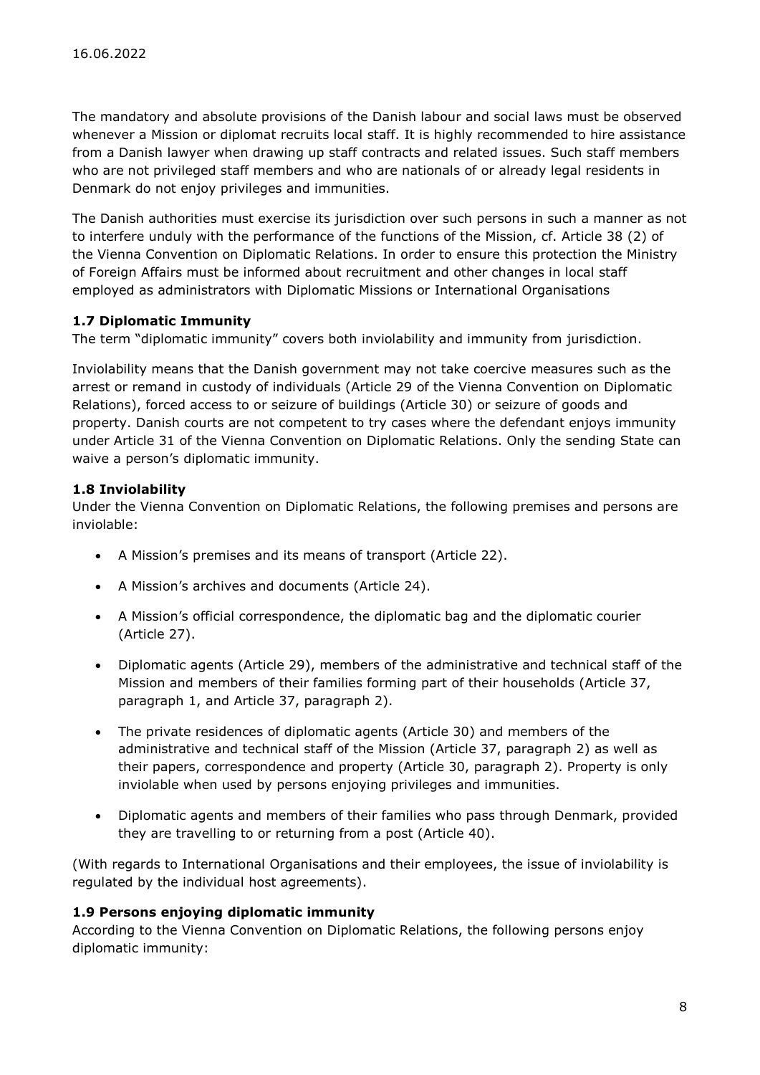The mandatory and absolute provisions of the Danish labour and social laws must be observed whenever a Mission or diplomat recruits local staff. It is highly recommended to hire assistance from a Danish lawyer when drawing up staff contracts and related issues. Such staff members who are not privileged staff members and who are nationals of or already legal residents in Denmark do not enjoy privileges and immunities.

The Danish authorities must exercise its jurisdiction over such persons in such a manner as not to interfere unduly with the performance of the functions of the Mission, cf. Article 38 (2) of the Vienna Convention on Diplomatic Relations. In order to ensure this protection the Ministry of Foreign Affairs must be informed about recruitment and other changes in local staff employed as administrators with Diplomatic Missions or International Organisations

### 1.7 Diplomatic Immunity

The term "diplomatic immunity" covers both inviolability and immunity from jurisdiction.

Inviolability means that the Danish government may not take coercive measures such as the arrest or remand in custody of individuals (Article 29 of the Vienna Convention on Diplomatic Relations), forced access to or seizure of buildings (Article 30) or seizure of goods and property. Danish courts are not competent to try cases where the defendant enjoys immunity under Article 31 of the Vienna Convention on Diplomatic Relations. Only the sending State can waive a person's diplomatic immunity.

### 1.8 Inviolability

Under the Vienna Convention on Diplomatic Relations, the following premises and persons are inviolable:

- A Mission's premises and its means of transport (Article 22).
- A Mission's archives and documents (Article 24).
- A Mission's official correspondence, the diplomatic bag and the diplomatic courier (Article 27).
- Diplomatic agents (Article 29), members of the administrative and technical staff of the Mission and members of their families forming part of their households (Article 37, paragraph 1, and Article 37, paragraph 2).
- The private residences of diplomatic agents (Article 30) and members of the administrative and technical staff of the Mission (Article 37, paragraph 2) as well as their papers, correspondence and property (Article 30, paragraph 2). Property is only inviolable when used by persons enjoying privileges and immunities.
- Diplomatic agents and members of their families who pass through Denmark, provided they are travelling to or returning from a post (Article 40).

(With regards to International Organisations and their employees, the issue of inviolability is regulated by the individual host agreements).

### 1.9 Persons enjoying diplomatic immunity

According to the Vienna Convention on Diplomatic Relations, the following persons enjoy diplomatic immunity: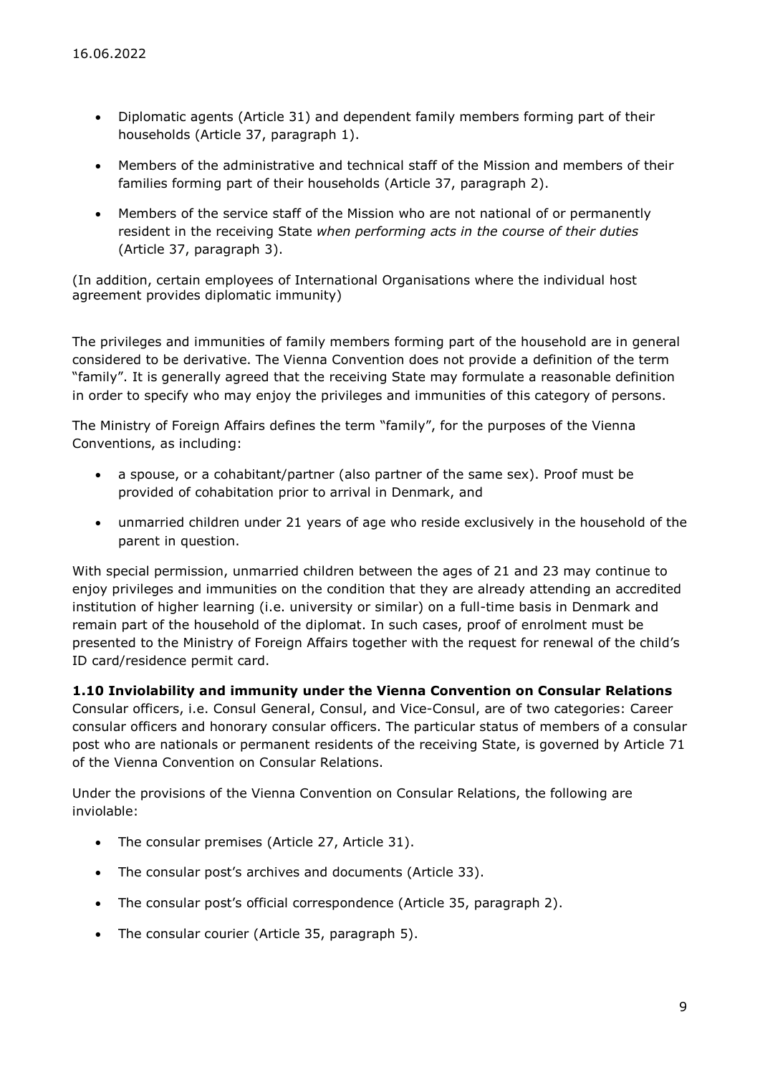- Diplomatic agents (Article 31) and dependent family members forming part of their households (Article 37, paragraph 1).
- Members of the administrative and technical staff of the Mission and members of their families forming part of their households (Article 37, paragraph 2).
- Members of the service staff of the Mission who are not national of or permanently resident in the receiving State when performing acts in the course of their duties (Article 37, paragraph 3).

(In addition, certain employees of International Organisations where the individual host agreement provides diplomatic immunity)

The privileges and immunities of family members forming part of the household are in general considered to be derivative. The Vienna Convention does not provide a definition of the term "family". It is generally agreed that the receiving State may formulate a reasonable definition in order to specify who may enjoy the privileges and immunities of this category of persons.

The Ministry of Foreign Affairs defines the term "family", for the purposes of the Vienna Conventions, as including:

- a spouse, or a cohabitant/partner (also partner of the same sex). Proof must be provided of cohabitation prior to arrival in Denmark, and
- unmarried children under 21 years of age who reside exclusively in the household of the parent in question.

With special permission, unmarried children between the ages of 21 and 23 may continue to enjoy privileges and immunities on the condition that they are already attending an accredited institution of higher learning (i.e. university or similar) on a full-time basis in Denmark and remain part of the household of the diplomat. In such cases, proof of enrolment must be presented to the Ministry of Foreign Affairs together with the request for renewal of the child's ID card/residence permit card.

1.10 Inviolability and immunity under the Vienna Convention on Consular Relations Consular officers, i.e. Consul General, Consul, and Vice-Consul, are of two categories: Career consular officers and honorary consular officers. The particular status of members of a consular post who are nationals or permanent residents of the receiving State, is governed by Article 71 of the Vienna Convention on Consular Relations.

Under the provisions of the Vienna Convention on Consular Relations, the following are inviolable:

- The consular premises (Article 27, Article 31).
- The consular post's archives and documents (Article 33).
- The consular post's official correspondence (Article 35, paragraph 2).
- The consular courier (Article 35, paragraph 5).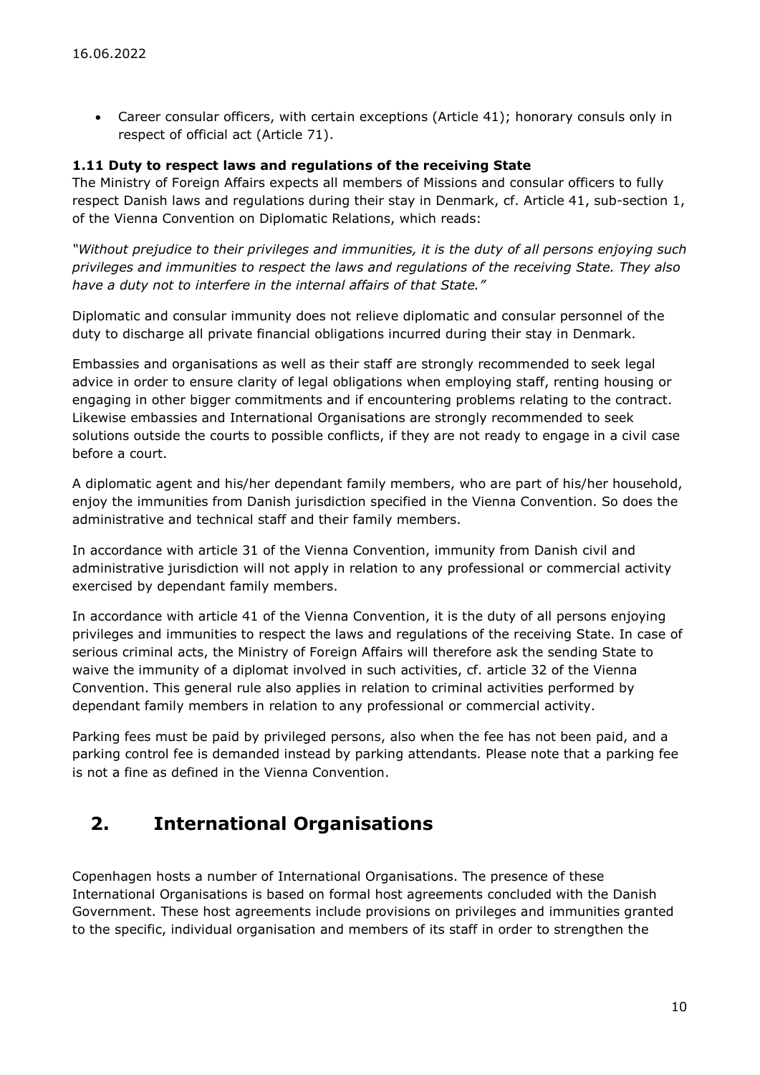Career consular officers, with certain exceptions (Article 41); honorary consuls only in respect of official act (Article 71).

### 1.11 Duty to respect laws and regulations of the receiving State

The Ministry of Foreign Affairs expects all members of Missions and consular officers to fully respect Danish laws and regulations during their stay in Denmark, cf. Article 41, sub-section 1, of the Vienna Convention on Diplomatic Relations, which reads:

"Without prejudice to their privileges and immunities, it is the duty of all persons enjoying such privileges and immunities to respect the laws and regulations of the receiving State. They also have a duty not to interfere in the internal affairs of that State."

Diplomatic and consular immunity does not relieve diplomatic and consular personnel of the duty to discharge all private financial obligations incurred during their stay in Denmark.

Embassies and organisations as well as their staff are strongly recommended to seek legal advice in order to ensure clarity of legal obligations when employing staff, renting housing or engaging in other bigger commitments and if encountering problems relating to the contract. Likewise embassies and International Organisations are strongly recommended to seek solutions outside the courts to possible conflicts, if they are not ready to engage in a civil case before a court.

A diplomatic agent and his/her dependant family members, who are part of his/her household, enjoy the immunities from Danish jurisdiction specified in the Vienna Convention. So does the administrative and technical staff and their family members.

In accordance with article 31 of the Vienna Convention, immunity from Danish civil and administrative jurisdiction will not apply in relation to any professional or commercial activity exercised by dependant family members.

In accordance with article 41 of the Vienna Convention, it is the duty of all persons enjoying privileges and immunities to respect the laws and regulations of the receiving State. In case of serious criminal acts, the Ministry of Foreign Affairs will therefore ask the sending State to waive the immunity of a diplomat involved in such activities, cf. article 32 of the Vienna Convention. This general rule also applies in relation to criminal activities performed by dependant family members in relation to any professional or commercial activity.

Parking fees must be paid by privileged persons, also when the fee has not been paid, and a parking control fee is demanded instead by parking attendants. Please note that a parking fee is not a fine as defined in the Vienna Convention.

# 2. International Organisations

Copenhagen hosts a number of International Organisations. The presence of these International Organisations is based on formal host agreements concluded with the Danish Government. These host agreements include provisions on privileges and immunities granted to the specific, individual organisation and members of its staff in order to strengthen the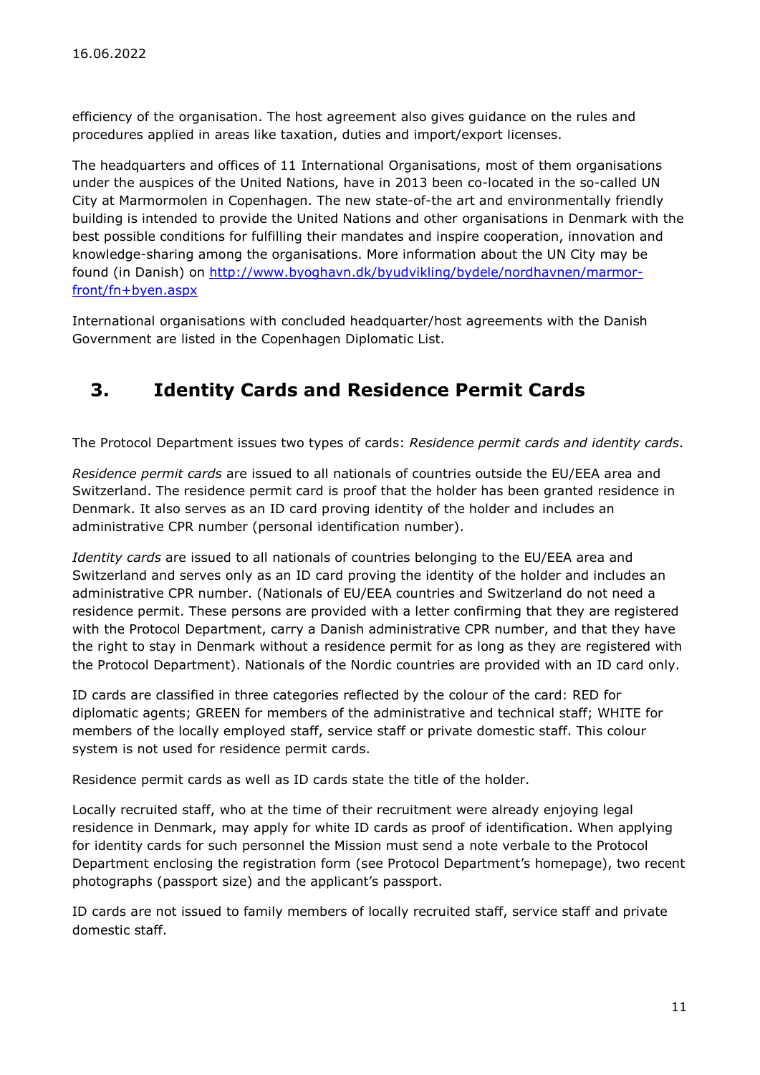efficiency of the organisation. The host agreement also gives guidance on the rules and procedures applied in areas like taxation, duties and import/export licenses.

The headquarters and offices of 11 International Organisations, most of them organisations under the auspices of the United Nations, have in 2013 been co-located in the so-called UN City at Marmormolen in Copenhagen. The new state-of-the art and environmentally friendly building is intended to provide the United Nations and other organisations in Denmark with the best possible conditions for fulfilling their mandates and inspire cooperation, innovation and knowledge-sharing among the organisations. More information about the UN City may be found (in Danish) on http://www.byoghavn.dk/byudvikling/bydele/nordhavnen/marmorfront/fn+byen.aspx

International organisations with concluded headquarter/host agreements with the Danish Government are listed in the Copenhagen Diplomatic List.

# 3. Identity Cards and Residence Permit Cards

The Protocol Department issues two types of cards: Residence permit cards and identity cards.

Residence permit cards are issued to all nationals of countries outside the EU/EEA area and Switzerland. The residence permit card is proof that the holder has been granted residence in Denmark. It also serves as an ID card proving identity of the holder and includes an administrative CPR number (personal identification number).

Identity cards are issued to all nationals of countries belonging to the EU/EEA area and Switzerland and serves only as an ID card proving the identity of the holder and includes an administrative CPR number. (Nationals of EU/EEA countries and Switzerland do not need a residence permit. These persons are provided with a letter confirming that they are registered with the Protocol Department, carry a Danish administrative CPR number, and that they have the right to stay in Denmark without a residence permit for as long as they are registered with the Protocol Department). Nationals of the Nordic countries are provided with an ID card only.

ID cards are classified in three categories reflected by the colour of the card: RED for diplomatic agents; GREEN for members of the administrative and technical staff; WHITE for members of the locally employed staff, service staff or private domestic staff. This colour system is not used for residence permit cards.

Residence permit cards as well as ID cards state the title of the holder.

Locally recruited staff, who at the time of their recruitment were already enjoying legal residence in Denmark, may apply for white ID cards as proof of identification. When applying for identity cards for such personnel the Mission must send a note verbale to the Protocol Department enclosing the registration form (see Protocol Department's homepage), two recent photographs (passport size) and the applicant's passport.

ID cards are not issued to family members of locally recruited staff, service staff and private domestic staff.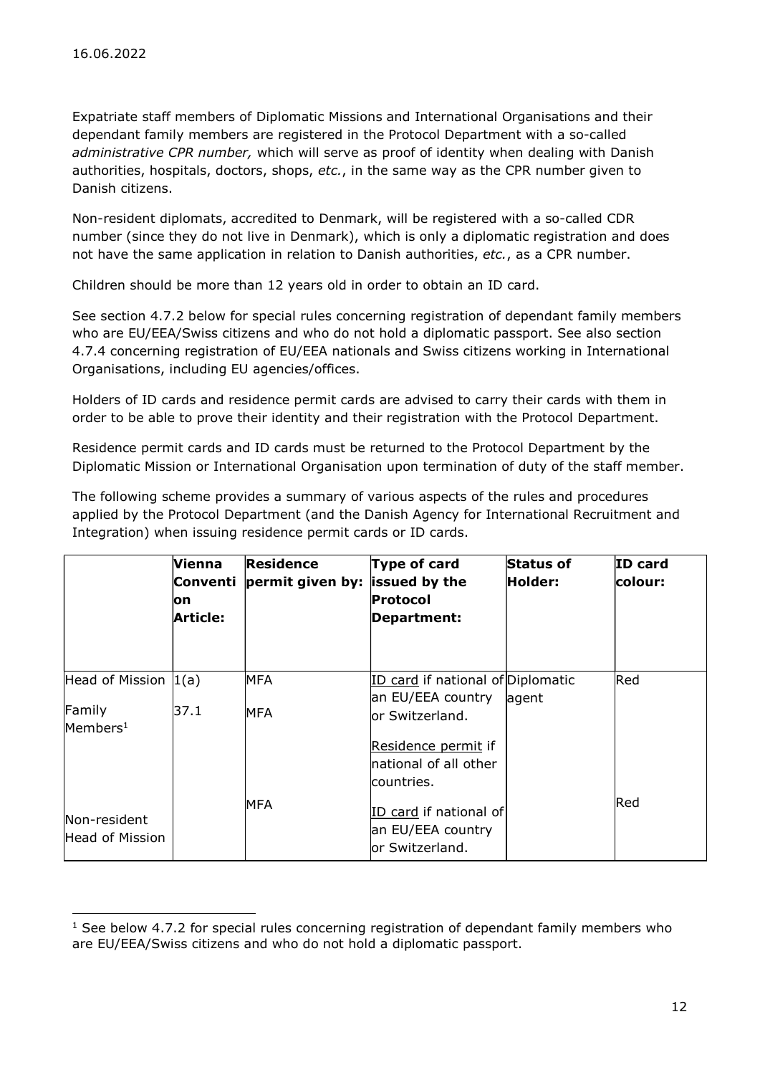-

Expatriate staff members of Diplomatic Missions and International Organisations and their dependant family members are registered in the Protocol Department with a so-called administrative CPR number, which will serve as proof of identity when dealing with Danish authorities, hospitals, doctors, shops, etc., in the same way as the CPR number given to Danish citizens.

Non-resident diplomats, accredited to Denmark, will be registered with a so-called CDR number (since they do not live in Denmark), which is only a diplomatic registration and does not have the same application in relation to Danish authorities, etc., as a CPR number.

Children should be more than 12 years old in order to obtain an ID card.

See section 4.7.2 below for special rules concerning registration of dependant family members who are EU/EEA/Swiss citizens and who do not hold a diplomatic passport. See also section 4.7.4 concerning registration of EU/EEA nationals and Swiss citizens working in International Organisations, including EU agencies/offices.

Holders of ID cards and residence permit cards are advised to carry their cards with them in order to be able to prove their identity and their registration with the Protocol Department.

Residence permit cards and ID cards must be returned to the Protocol Department by the Diplomatic Mission or International Organisation upon termination of duty of the staff member.

The following scheme provides a summary of various aspects of the rules and procedures applied by the Protocol Department (and the Danish Agency for International Recruitment and Integration) when issuing residence permit cards or ID cards.

|                                   | Vienna<br>lon.<br>Article: | Residence<br>Conventi permit given by: | Type of card<br>issued by the<br>Protocol<br>Department:       | <b>Status of</b><br>Holder: | ID card<br> colour: |
|-----------------------------------|----------------------------|----------------------------------------|----------------------------------------------------------------|-----------------------------|---------------------|
| Head of Mission                   | 1(a)                       | <b>MFA</b>                             | ID card if national of Diplomatic<br>an EU/EEA country         | agent                       | Red                 |
| Family<br>$M$ embers <sup>1</sup> | 37.1                       | <b>MFA</b>                             | lor Switzerland.                                               |                             |                     |
|                                   |                            |                                        | Residence permit if                                            |                             |                     |
|                                   |                            |                                        | national of all other<br>countries.                            |                             |                     |
| Non-resident<br>Head of Mission   |                            | <b>MFA</b>                             | ID card if national of<br>an EU/EEA country<br>or Switzerland. |                             | Red                 |

<sup>&</sup>lt;sup>1</sup> See below 4.7.2 for special rules concerning registration of dependant family members who are EU/EEA/Swiss citizens and who do not hold a diplomatic passport.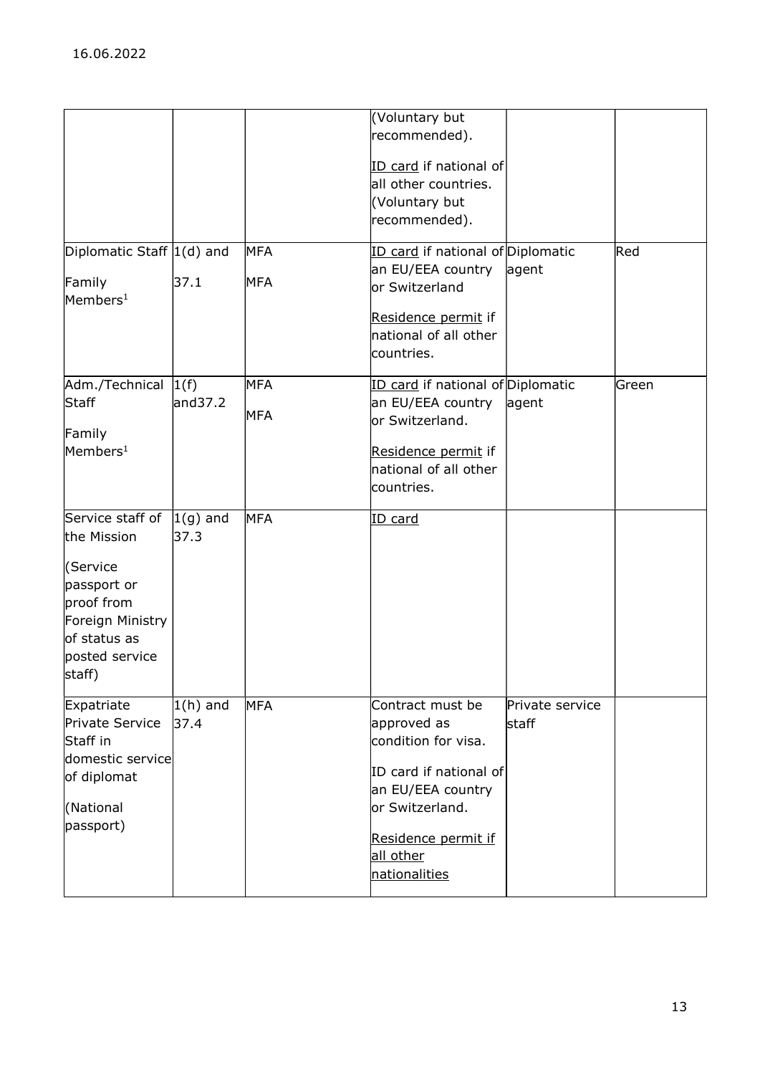|                                   |             |            | (Voluntary but                    |                 |       |
|-----------------------------------|-------------|------------|-----------------------------------|-----------------|-------|
|                                   |             |            | recommended).                     |                 |       |
|                                   |             |            | ID card if national of            |                 |       |
|                                   |             |            | all other countries.              |                 |       |
|                                   |             |            | (Voluntary but                    |                 |       |
|                                   |             |            | recommended).                     |                 |       |
|                                   |             |            |                                   |                 |       |
| Diplomatic Staff $ 1(d)$ and      |             | MFA        | ID card if national of Diplomatic |                 | Red   |
|                                   |             |            | an EU/EEA country                 | agent           |       |
| Family<br>$M$ embers <sup>1</sup> | 37.1        | MFA        | or Switzerland                    |                 |       |
|                                   |             |            | Residence permit if               |                 |       |
|                                   |             |            | national of all other             |                 |       |
|                                   |             |            | countries.                        |                 |       |
|                                   |             |            |                                   |                 |       |
| Adm./Technical                    | 1(f)        | <b>MFA</b> | ID card if national of Diplomatic |                 | Green |
| Staff                             | and37.2     |            | an EU/EEA country                 | agent           |       |
|                                   |             | MFA        | or Switzerland.                   |                 |       |
| Family                            |             |            |                                   |                 |       |
| Members <sup>1</sup>              |             |            | Residence permit if               |                 |       |
|                                   |             |            | national of all other             |                 |       |
|                                   |             |            | countries.                        |                 |       |
| Service staff of                  | $ 1(g)$ and | MFA        | ID card                           |                 |       |
| the Mission                       | 37.3        |            |                                   |                 |       |
| (Service                          |             |            |                                   |                 |       |
|                                   |             |            |                                   |                 |       |
| passport or<br>proof from         |             |            |                                   |                 |       |
|                                   |             |            |                                   |                 |       |
| Foreign Ministry<br>of status as  |             |            |                                   |                 |       |
|                                   |             |            |                                   |                 |       |
| posted service                    |             |            |                                   |                 |       |
| staff)                            |             |            |                                   |                 |       |
| Expatriate                        | $1(h)$ and  | <b>MFA</b> | Contract must be                  | Private service |       |
| Private Service                   | 37.4        |            | approved as                       | staff           |       |
| Staff in                          |             |            | condition for visa.               |                 |       |
| domestic service                  |             |            |                                   |                 |       |
| of diplomat                       |             |            | ID card if national of            |                 |       |
|                                   |             |            | an EU/EEA country                 |                 |       |
| (National                         |             |            | or Switzerland.                   |                 |       |
| passport)                         |             |            |                                   |                 |       |
|                                   |             |            | Residence permit if               |                 |       |
|                                   |             |            | all other                         |                 |       |
|                                   |             |            | nationalities                     |                 |       |
|                                   |             |            |                                   |                 |       |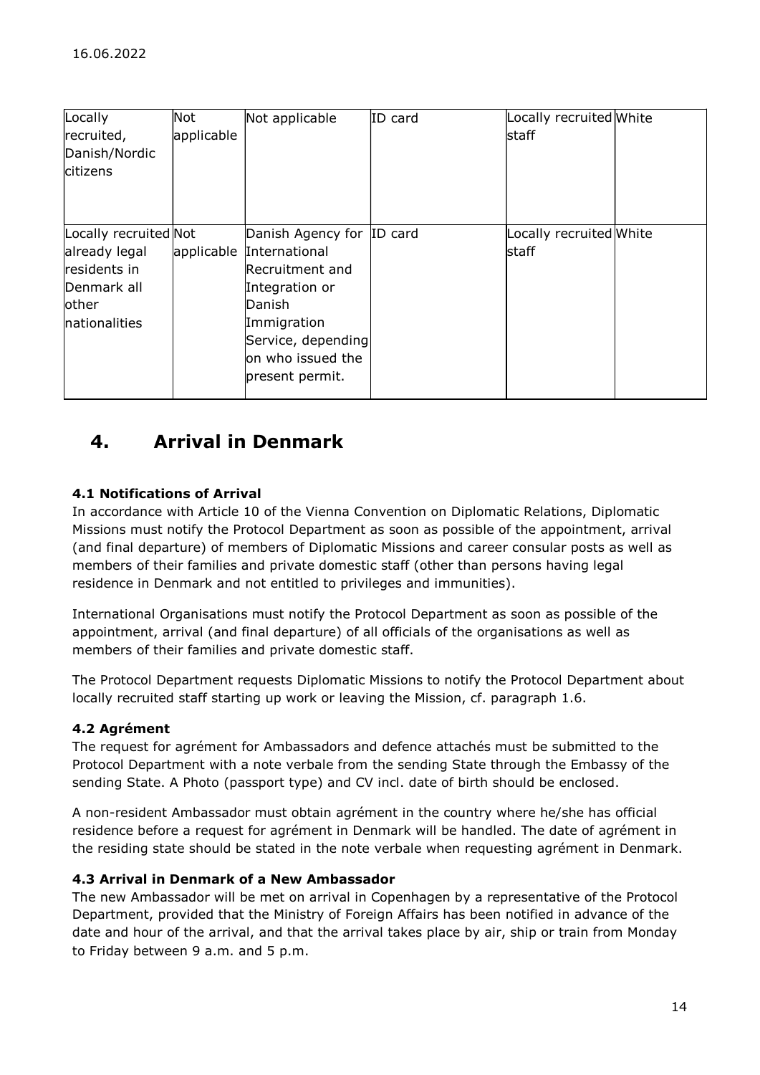| Locally               | Not.       | Not applicable            | ID card | Locally recruited White |  |
|-----------------------|------------|---------------------------|---------|-------------------------|--|
| recruited,            | applicable |                           |         | staff                   |  |
| Danish/Nordic         |            |                           |         |                         |  |
| citizens              |            |                           |         |                         |  |
|                       |            |                           |         |                         |  |
|                       |            |                           |         |                         |  |
| Locally recruited Not |            | Danish Agency for ID card |         | Locally recruited White |  |
| already legal         | applicable | International             |         | staff                   |  |
| residents in          |            | Recruitment and           |         |                         |  |
| Denmark all           |            | Integration or            |         |                         |  |
| other                 |            | Danish                    |         |                         |  |
| nationalities         |            | Immigration               |         |                         |  |
|                       |            | Service, depending        |         |                         |  |
|                       |            | on who issued the         |         |                         |  |
|                       |            | present permit.           |         |                         |  |
|                       |            |                           |         |                         |  |

# 4. Arrival in Denmark

### 4.1 Notifications of Arrival

In accordance with Article 10 of the Vienna Convention on Diplomatic Relations, Diplomatic Missions must notify the Protocol Department as soon as possible of the appointment, arrival (and final departure) of members of Diplomatic Missions and career consular posts as well as members of their families and private domestic staff (other than persons having legal residence in Denmark and not entitled to privileges and immunities).

International Organisations must notify the Protocol Department as soon as possible of the appointment, arrival (and final departure) of all officials of the organisations as well as members of their families and private domestic staff.

The Protocol Department requests Diplomatic Missions to notify the Protocol Department about locally recruited staff starting up work or leaving the Mission, cf. paragraph 1.6.

### 4.2 Agrément

The request for agrément for Ambassadors and defence attachés must be submitted to the Protocol Department with a note verbale from the sending State through the Embassy of the sending State. A Photo (passport type) and CV incl. date of birth should be enclosed.

A non-resident Ambassador must obtain agrément in the country where he/she has official residence before a request for agrément in Denmark will be handled. The date of agrément in the residing state should be stated in the note verbale when requesting agrément in Denmark.

### 4.3 Arrival in Denmark of a New Ambassador

The new Ambassador will be met on arrival in Copenhagen by a representative of the Protocol Department, provided that the Ministry of Foreign Affairs has been notified in advance of the date and hour of the arrival, and that the arrival takes place by air, ship or train from Monday to Friday between 9 a.m. and 5 p.m.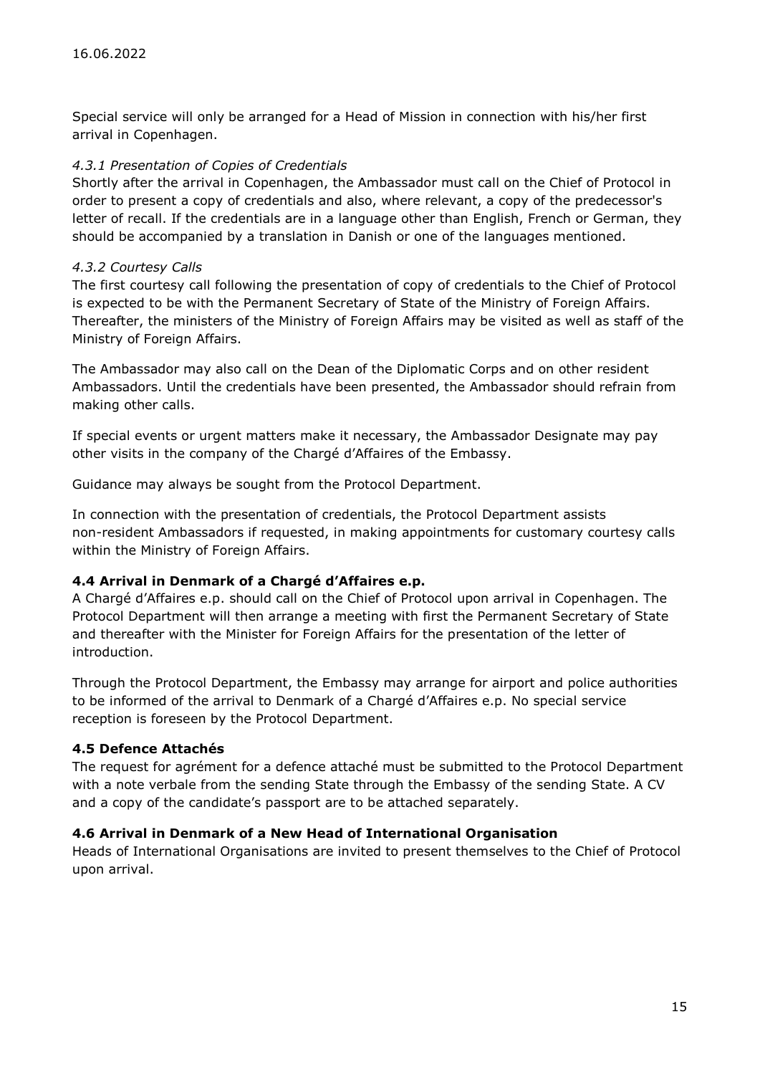Special service will only be arranged for a Head of Mission in connection with his/her first arrival in Copenhagen.

### 4.3.1 Presentation of Copies of Credentials

Shortly after the arrival in Copenhagen, the Ambassador must call on the Chief of Protocol in order to present a copy of credentials and also, where relevant, a copy of the predecessor's letter of recall. If the credentials are in a language other than English, French or German, they should be accompanied by a translation in Danish or one of the languages mentioned.

### 4.3.2 Courtesy Calls

The first courtesy call following the presentation of copy of credentials to the Chief of Protocol is expected to be with the Permanent Secretary of State of the Ministry of Foreign Affairs. Thereafter, the ministers of the Ministry of Foreign Affairs may be visited as well as staff of the Ministry of Foreign Affairs.

The Ambassador may also call on the Dean of the Diplomatic Corps and on other resident Ambassadors. Until the credentials have been presented, the Ambassador should refrain from making other calls.

If special events or urgent matters make it necessary, the Ambassador Designate may pay other visits in the company of the Chargé d'Affaires of the Embassy.

Guidance may always be sought from the Protocol Department.

In connection with the presentation of credentials, the Protocol Department assists non-resident Ambassadors if requested, in making appointments for customary courtesy calls within the Ministry of Foreign Affairs.

### 4.4 Arrival in Denmark of a Chargé d'Affaires e.p.

A Chargé d'Affaires e.p. should call on the Chief of Protocol upon arrival in Copenhagen. The Protocol Department will then arrange a meeting with first the Permanent Secretary of State and thereafter with the Minister for Foreign Affairs for the presentation of the letter of introduction.

Through the Protocol Department, the Embassy may arrange for airport and police authorities to be informed of the arrival to Denmark of a Chargé d'Affaires e.p. No special service reception is foreseen by the Protocol Department.

### 4.5 Defence Attachés

The request for agrément for a defence attaché must be submitted to the Protocol Department with a note verbale from the sending State through the Embassy of the sending State. A CV and a copy of the candidate's passport are to be attached separately.

### 4.6 Arrival in Denmark of a New Head of International Organisation

Heads of International Organisations are invited to present themselves to the Chief of Protocol upon arrival.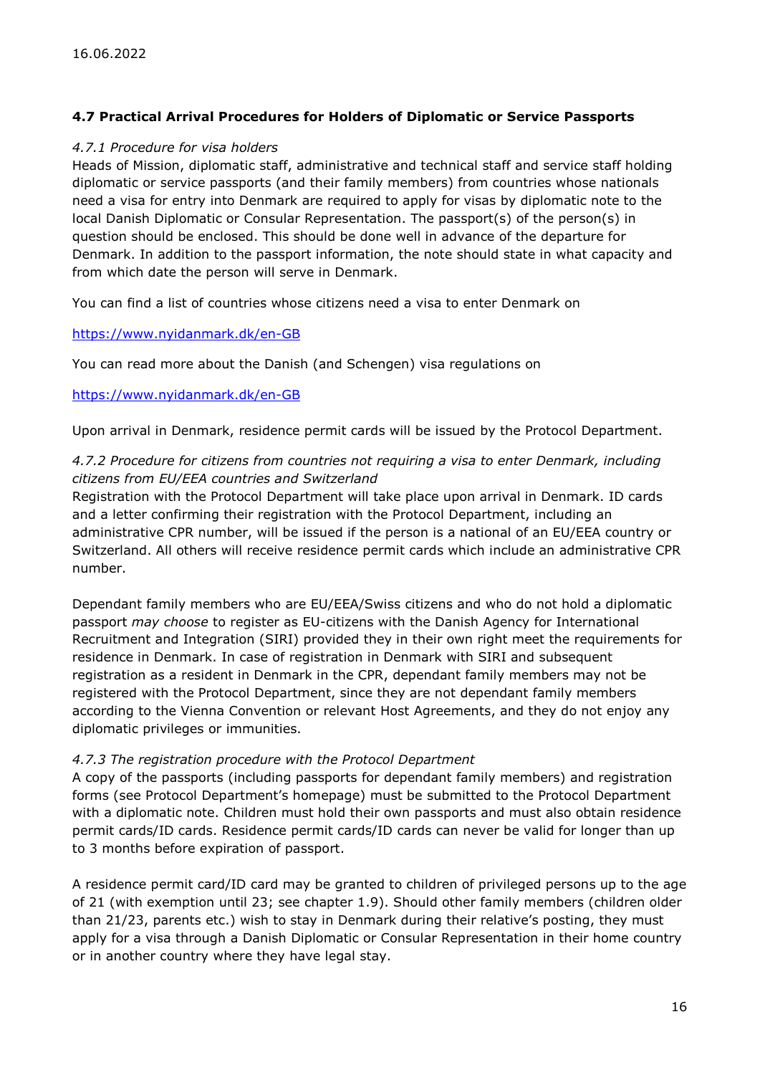### 4.7 Practical Arrival Procedures for Holders of Diplomatic or Service Passports

### 4.7.1 Procedure for visa holders

Heads of Mission, diplomatic staff, administrative and technical staff and service staff holding diplomatic or service passports (and their family members) from countries whose nationals need a visa for entry into Denmark are required to apply for visas by diplomatic note to the local Danish Diplomatic or Consular Representation. The passport(s) of the person(s) in question should be enclosed. This should be done well in advance of the departure for Denmark. In addition to the passport information, the note should state in what capacity and from which date the person will serve in Denmark.

You can find a list of countries whose citizens need a visa to enter Denmark on

### https://www.nyidanmark.dk/en-GB

You can read more about the Danish (and Schengen) visa regulations on

### https://www.nyidanmark.dk/en-GB

Upon arrival in Denmark, residence permit cards will be issued by the Protocol Department.

### 4.7.2 Procedure for citizens from countries not requiring a visa to enter Denmark, including citizens from EU/EEA countries and Switzerland

Registration with the Protocol Department will take place upon arrival in Denmark. ID cards and a letter confirming their registration with the Protocol Department, including an administrative CPR number, will be issued if the person is a national of an EU/EEA country or Switzerland. All others will receive residence permit cards which include an administrative CPR number.

Dependant family members who are EU/EEA/Swiss citizens and who do not hold a diplomatic passport may choose to register as EU-citizens with the Danish Agency for International Recruitment and Integration (SIRI) provided they in their own right meet the requirements for residence in Denmark. In case of registration in Denmark with SIRI and subsequent registration as a resident in Denmark in the CPR, dependant family members may not be registered with the Protocol Department, since they are not dependant family members according to the Vienna Convention or relevant Host Agreements, and they do not enjoy any diplomatic privileges or immunities.

### 4.7.3 The registration procedure with the Protocol Department

A copy of the passports (including passports for dependant family members) and registration forms (see Protocol Department's homepage) must be submitted to the Protocol Department with a diplomatic note. Children must hold their own passports and must also obtain residence permit cards/ID cards. Residence permit cards/ID cards can never be valid for longer than up to 3 months before expiration of passport.

A residence permit card/ID card may be granted to children of privileged persons up to the age of 21 (with exemption until 23; see chapter 1.9). Should other family members (children older than 21/23, parents etc.) wish to stay in Denmark during their relative's posting, they must apply for a visa through a Danish Diplomatic or Consular Representation in their home country or in another country where they have legal stay.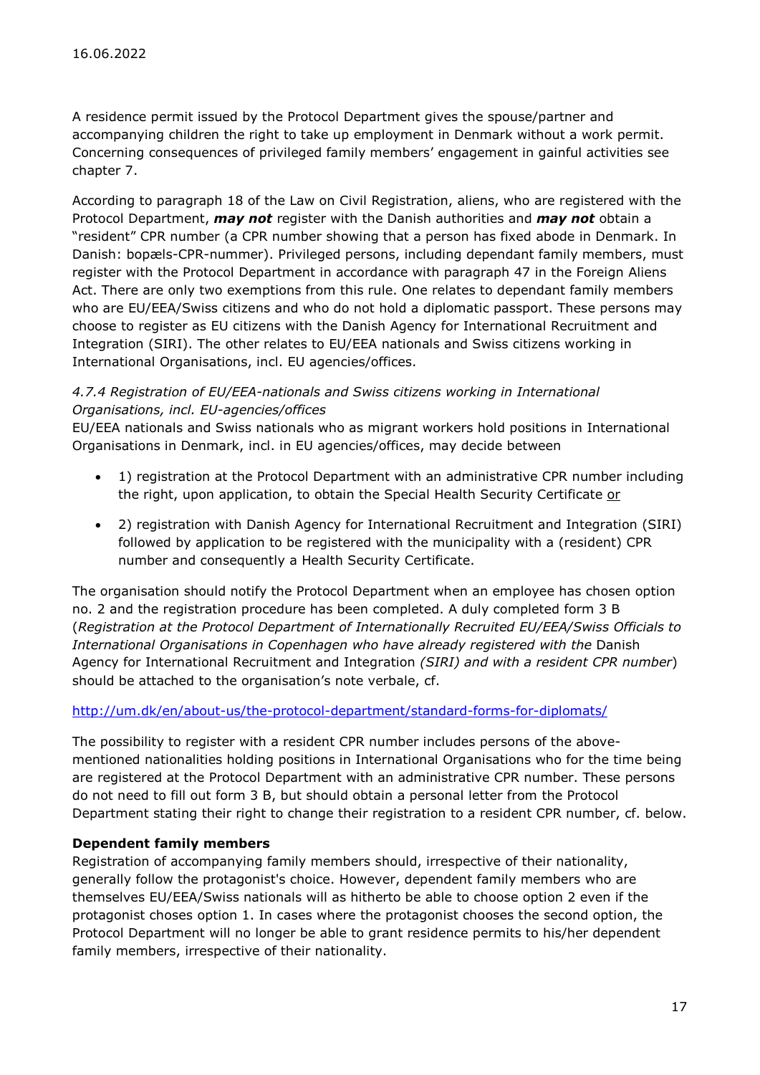A residence permit issued by the Protocol Department gives the spouse/partner and accompanying children the right to take up employment in Denmark without a work permit. Concerning consequences of privileged family members' engagement in gainful activities see chapter 7.

According to paragraph 18 of the Law on Civil Registration, aliens, who are registered with the Protocol Department, *may not* register with the Danish authorities and *may not* obtain a "resident" CPR number (a CPR number showing that a person has fixed abode in Denmark. In Danish: bopæls-CPR-nummer). Privileged persons, including dependant family members, must register with the Protocol Department in accordance with paragraph 47 in the Foreign Aliens Act. There are only two exemptions from this rule. One relates to dependant family members who are EU/EEA/Swiss citizens and who do not hold a diplomatic passport. These persons may choose to register as EU citizens with the Danish Agency for International Recruitment and Integration (SIRI). The other relates to EU/EEA nationals and Swiss citizens working in International Organisations, incl. EU agencies/offices.

### 4.7.4 Registration of EU/EEA-nationals and Swiss citizens working in International Organisations, incl. EU-agencies/offices

EU/EEA nationals and Swiss nationals who as migrant workers hold positions in International Organisations in Denmark, incl. in EU agencies/offices, may decide between

- 1) registration at the Protocol Department with an administrative CPR number including the right, upon application, to obtain the Special Health Security Certificate or
- 2) registration with Danish Agency for International Recruitment and Integration (SIRI) followed by application to be registered with the municipality with a (resident) CPR number and consequently a Health Security Certificate.

The organisation should notify the Protocol Department when an employee has chosen option no. 2 and the registration procedure has been completed. A duly completed form 3 B (Registration at the Protocol Department of Internationally Recruited EU/EEA/Swiss Officials to International Organisations in Copenhagen who have already registered with the Danish Agency for International Recruitment and Integration (SIRI) and with a resident CPR number) should be attached to the organisation's note verbale, cf.

### http://um.dk/en/about-us/the-protocol-department/standard-forms-for-diplomats/

The possibility to register with a resident CPR number includes persons of the abovementioned nationalities holding positions in International Organisations who for the time being are registered at the Protocol Department with an administrative CPR number. These persons do not need to fill out form 3 B, but should obtain a personal letter from the Protocol Department stating their right to change their registration to a resident CPR number, cf. below.

### Dependent family members

Registration of accompanying family members should, irrespective of their nationality, generally follow the protagonist's choice. However, dependent family members who are themselves EU/EEA/Swiss nationals will as hitherto be able to choose option 2 even if the protagonist choses option 1. In cases where the protagonist chooses the second option, the Protocol Department will no longer be able to grant residence permits to his/her dependent family members, irrespective of their nationality.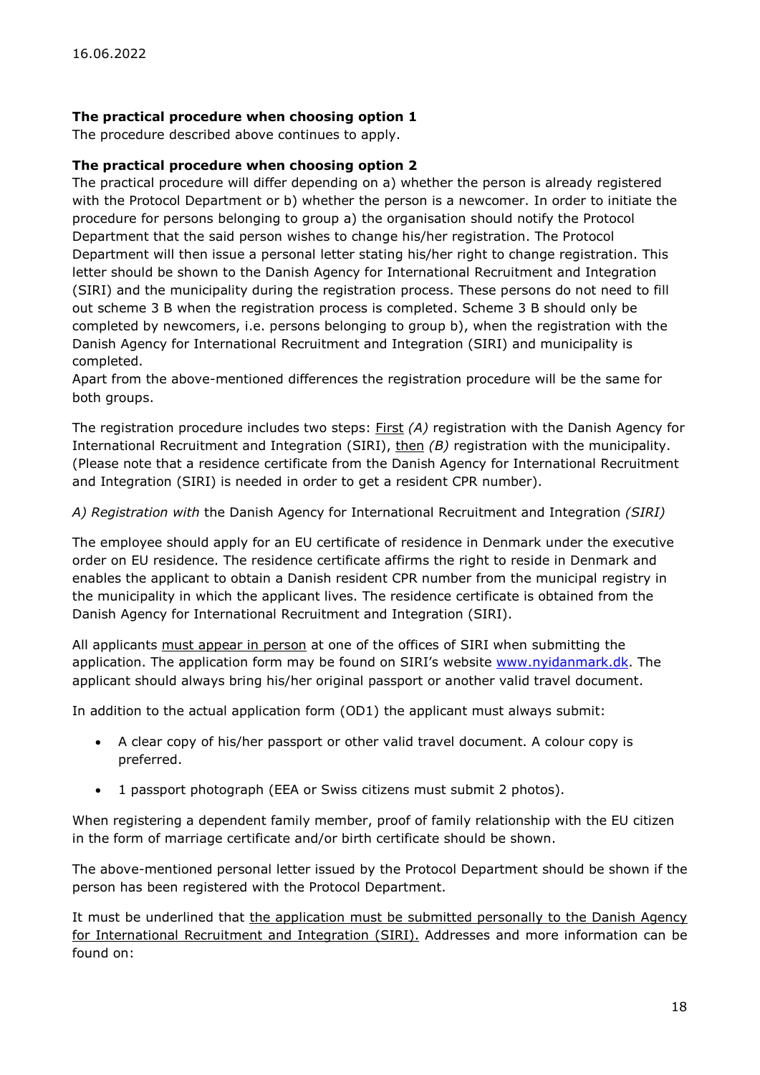### The practical procedure when choosing option 1

The procedure described above continues to apply.

### The practical procedure when choosing option 2

The practical procedure will differ depending on a) whether the person is already registered with the Protocol Department or b) whether the person is a newcomer. In order to initiate the procedure for persons belonging to group a) the organisation should notify the Protocol Department that the said person wishes to change his/her registration. The Protocol Department will then issue a personal letter stating his/her right to change registration. This letter should be shown to the Danish Agency for International Recruitment and Integration (SIRI) and the municipality during the registration process. These persons do not need to fill out scheme 3 B when the registration process is completed. Scheme 3 B should only be completed by newcomers, i.e. persons belonging to group b), when the registration with the Danish Agency for International Recruitment and Integration (SIRI) and municipality is completed.

Apart from the above-mentioned differences the registration procedure will be the same for both groups.

The registration procedure includes two steps: First (A) registration with the Danish Agency for International Recruitment and Integration (SIRI), then  $(B)$  registration with the municipality. (Please note that a residence certificate from the Danish Agency for International Recruitment and Integration (SIRI) is needed in order to get a resident CPR number).

A) Registration with the Danish Agency for International Recruitment and Integration (SIRI)

The employee should apply for an EU certificate of residence in Denmark under the executive order on EU residence. The residence certificate affirms the right to reside in Denmark and enables the applicant to obtain a Danish resident CPR number from the municipal registry in the municipality in which the applicant lives. The residence certificate is obtained from the Danish Agency for International Recruitment and Integration (SIRI).

All applicants must appear in person at one of the offices of SIRI when submitting the application. The application form may be found on SIRI's website www.nyidanmark.dk. The applicant should always bring his/her original passport or another valid travel document.

In addition to the actual application form (OD1) the applicant must always submit:

- A clear copy of his/her passport or other valid travel document. A colour copy is preferred.
- 1 passport photograph (EEA or Swiss citizens must submit 2 photos).

When registering a dependent family member, proof of family relationship with the EU citizen in the form of marriage certificate and/or birth certificate should be shown.

The above-mentioned personal letter issued by the Protocol Department should be shown if the person has been registered with the Protocol Department.

It must be underlined that the application must be submitted personally to the Danish Agency for International Recruitment and Integration (SIRI). Addresses and more information can be found on: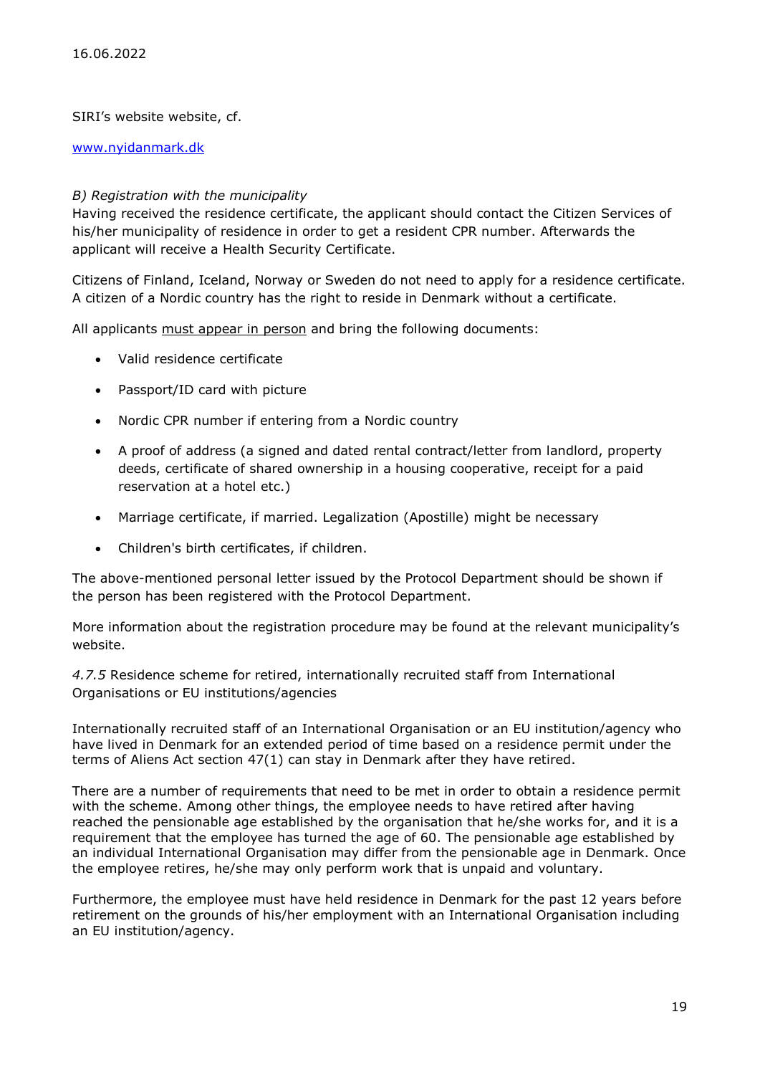SIRI's website website, cf.

www.nyidanmark.dk

### B) Registration with the municipality

Having received the residence certificate, the applicant should contact the Citizen Services of his/her municipality of residence in order to get a resident CPR number. Afterwards the applicant will receive a Health Security Certificate.

Citizens of Finland, Iceland, Norway or Sweden do not need to apply for a residence certificate. A citizen of a Nordic country has the right to reside in Denmark without a certificate.

All applicants must appear in person and bring the following documents:

- Valid residence certificate
- Passport/ID card with picture
- Nordic CPR number if entering from a Nordic country
- A proof of address (a signed and dated rental contract/letter from landlord, property deeds, certificate of shared ownership in a housing cooperative, receipt for a paid reservation at a hotel etc.)
- Marriage certificate, if married. Legalization (Apostille) might be necessary
- Children's birth certificates, if children.

The above-mentioned personal letter issued by the Protocol Department should be shown if the person has been registered with the Protocol Department.

More information about the registration procedure may be found at the relevant municipality's website.

4.7.5 Residence scheme for retired, internationally recruited staff from International Organisations or EU institutions/agencies

Internationally recruited staff of an International Organisation or an EU institution/agency who have lived in Denmark for an extended period of time based on a residence permit under the terms of Aliens Act section 47(1) can stay in Denmark after they have retired.

There are a number of requirements that need to be met in order to obtain a residence permit with the scheme. Among other things, the employee needs to have retired after having reached the pensionable age established by the organisation that he/she works for, and it is a requirement that the employee has turned the age of 60. The pensionable age established by an individual International Organisation may differ from the pensionable age in Denmark. Once the employee retires, he/she may only perform work that is unpaid and voluntary.

Furthermore, the employee must have held residence in Denmark for the past 12 years before retirement on the grounds of his/her employment with an International Organisation including an EU institution/agency.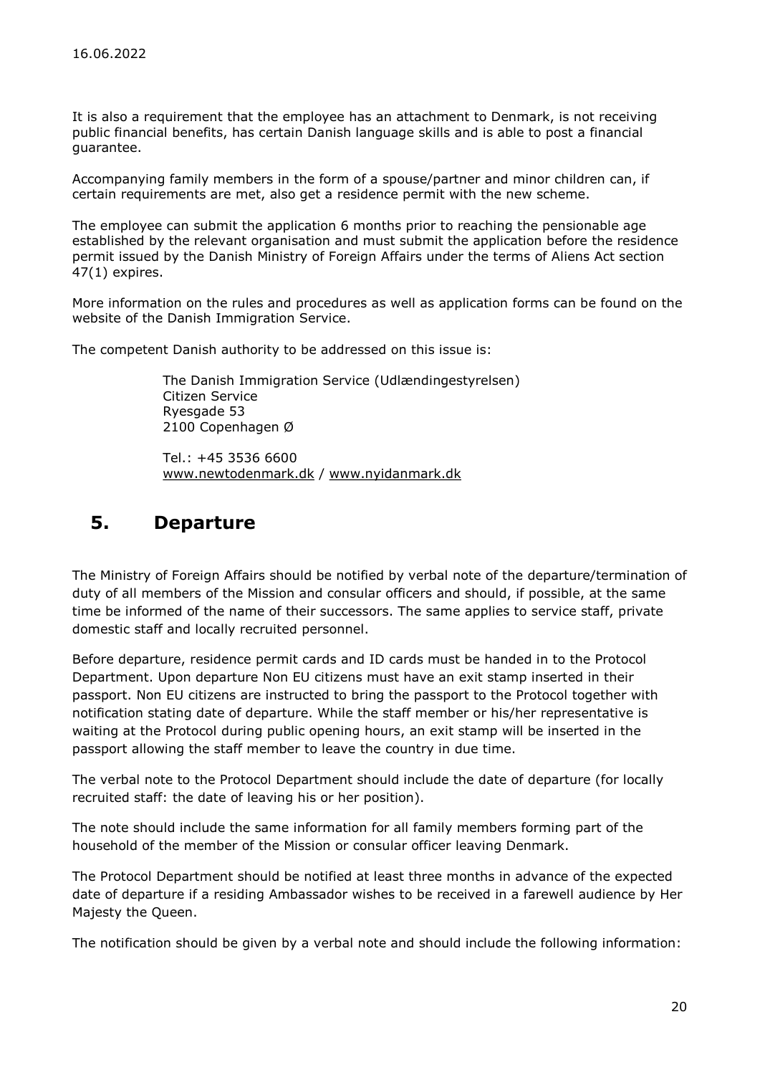It is also a requirement that the employee has an attachment to Denmark, is not receiving public financial benefits, has certain Danish language skills and is able to post a financial guarantee.

Accompanying family members in the form of a spouse/partner and minor children can, if certain requirements are met, also get a residence permit with the new scheme.

The employee can submit the application 6 months prior to reaching the pensionable age established by the relevant organisation and must submit the application before the residence permit issued by the Danish Ministry of Foreign Affairs under the terms of Aliens Act section 47(1) expires.

More information on the rules and procedures as well as application forms can be found on the website of the Danish Immigration Service.

The competent Danish authority to be addressed on this issue is:

The Danish Immigration Service (Udlændingestyrelsen) Citizen Service Ryesgade 53 2100 Copenhagen Ø

 Tel.: +45 3536 6600 www.newtodenmark.dk / www.nyidanmark.dk

### 5. Departure

The Ministry of Foreign Affairs should be notified by verbal note of the departure/termination of duty of all members of the Mission and consular officers and should, if possible, at the same time be informed of the name of their successors. The same applies to service staff, private domestic staff and locally recruited personnel.

Before departure, residence permit cards and ID cards must be handed in to the Protocol Department. Upon departure Non EU citizens must have an exit stamp inserted in their passport. Non EU citizens are instructed to bring the passport to the Protocol together with notification stating date of departure. While the staff member or his/her representative is waiting at the Protocol during public opening hours, an exit stamp will be inserted in the passport allowing the staff member to leave the country in due time.

The verbal note to the Protocol Department should include the date of departure (for locally recruited staff: the date of leaving his or her position).

The note should include the same information for all family members forming part of the household of the member of the Mission or consular officer leaving Denmark.

The Protocol Department should be notified at least three months in advance of the expected date of departure if a residing Ambassador wishes to be received in a farewell audience by Her Majesty the Queen.

The notification should be given by a verbal note and should include the following information: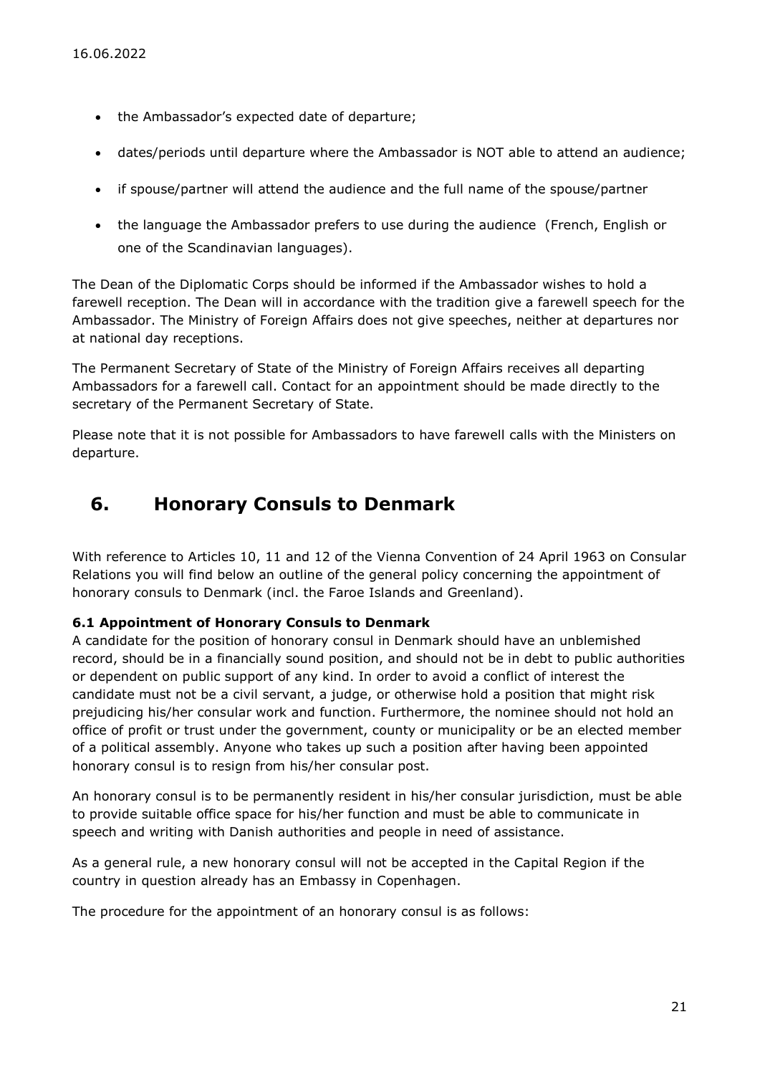- the Ambassador's expected date of departure;
- dates/periods until departure where the Ambassador is NOT able to attend an audience;
- if spouse/partner will attend the audience and the full name of the spouse/partner
- the language the Ambassador prefers to use during the audience (French, English or one of the Scandinavian languages).

The Dean of the Diplomatic Corps should be informed if the Ambassador wishes to hold a farewell reception. The Dean will in accordance with the tradition give a farewell speech for the Ambassador. The Ministry of Foreign Affairs does not give speeches, neither at departures nor at national day receptions.

The Permanent Secretary of State of the Ministry of Foreign Affairs receives all departing Ambassadors for a farewell call. Contact for an appointment should be made directly to the secretary of the Permanent Secretary of State.

Please note that it is not possible for Ambassadors to have farewell calls with the Ministers on departure.

### 6. Honorary Consuls to Denmark

With reference to Articles 10, 11 and 12 of the Vienna Convention of 24 April 1963 on Consular Relations you will find below an outline of the general policy concerning the appointment of honorary consuls to Denmark (incl. the Faroe Islands and Greenland).

### 6.1 Appointment of Honorary Consuls to Denmark

A candidate for the position of honorary consul in Denmark should have an unblemished record, should be in a financially sound position, and should not be in debt to public authorities or dependent on public support of any kind. In order to avoid a conflict of interest the candidate must not be a civil servant, a judge, or otherwise hold a position that might risk prejudicing his/her consular work and function. Furthermore, the nominee should not hold an office of profit or trust under the government, county or municipality or be an elected member of a political assembly. Anyone who takes up such a position after having been appointed honorary consul is to resign from his/her consular post.

An honorary consul is to be permanently resident in his/her consular jurisdiction, must be able to provide suitable office space for his/her function and must be able to communicate in speech and writing with Danish authorities and people in need of assistance.

As a general rule, a new honorary consul will not be accepted in the Capital Region if the country in question already has an Embassy in Copenhagen.

The procedure for the appointment of an honorary consul is as follows: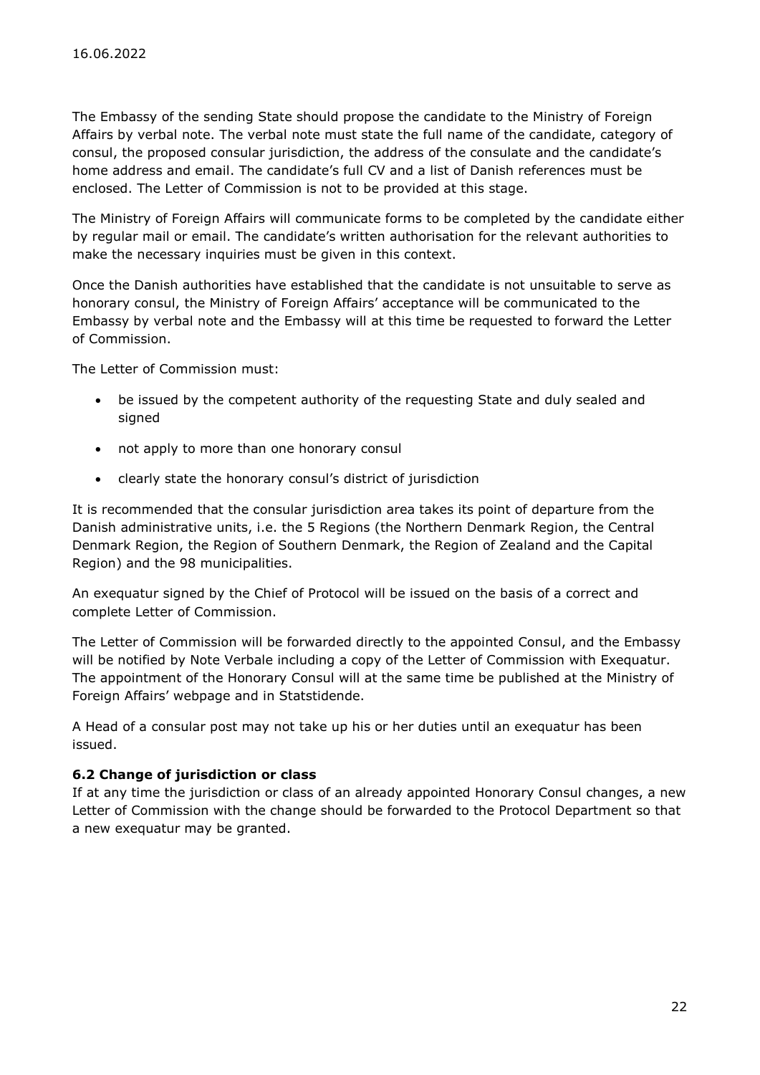The Embassy of the sending State should propose the candidate to the Ministry of Foreign Affairs by verbal note. The verbal note must state the full name of the candidate, category of consul, the proposed consular jurisdiction, the address of the consulate and the candidate's home address and email. The candidate's full CV and a list of Danish references must be enclosed. The Letter of Commission is not to be provided at this stage.

The Ministry of Foreign Affairs will communicate forms to be completed by the candidate either by regular mail or email. The candidate's written authorisation for the relevant authorities to make the necessary inquiries must be given in this context.

Once the Danish authorities have established that the candidate is not unsuitable to serve as honorary consul, the Ministry of Foreign Affairs' acceptance will be communicated to the Embassy by verbal note and the Embassy will at this time be requested to forward the Letter of Commission.

The Letter of Commission must:

- be issued by the competent authority of the requesting State and duly sealed and signed
- not apply to more than one honorary consul
- clearly state the honorary consul's district of jurisdiction

It is recommended that the consular jurisdiction area takes its point of departure from the Danish administrative units, i.e. the 5 Regions (the Northern Denmark Region, the Central Denmark Region, the Region of Southern Denmark, the Region of Zealand and the Capital Region) and the 98 municipalities.

An exequatur signed by the Chief of Protocol will be issued on the basis of a correct and complete Letter of Commission.

The Letter of Commission will be forwarded directly to the appointed Consul, and the Embassy will be notified by Note Verbale including a copy of the Letter of Commission with Exequatur. The appointment of the Honorary Consul will at the same time be published at the Ministry of Foreign Affairs' webpage and in Statstidende.

A Head of a consular post may not take up his or her duties until an exequatur has been issued.

### 6.2 Change of jurisdiction or class

If at any time the jurisdiction or class of an already appointed Honorary Consul changes, a new Letter of Commission with the change should be forwarded to the Protocol Department so that a new exequatur may be granted.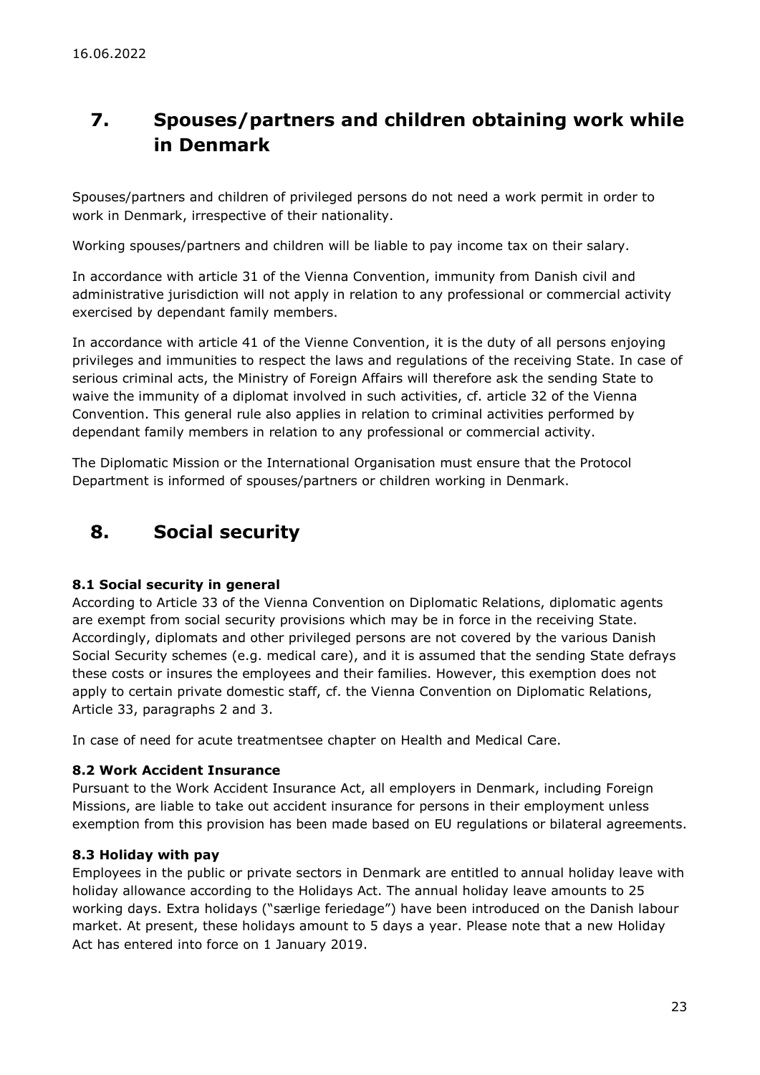# 7. Spouses/partners and children obtaining work while in Denmark

Spouses/partners and children of privileged persons do not need a work permit in order to work in Denmark, irrespective of their nationality.

Working spouses/partners and children will be liable to pay income tax on their salary.

In accordance with article 31 of the Vienna Convention, immunity from Danish civil and administrative jurisdiction will not apply in relation to any professional or commercial activity exercised by dependant family members.

In accordance with article 41 of the Vienne Convention, it is the duty of all persons enjoying privileges and immunities to respect the laws and regulations of the receiving State. In case of serious criminal acts, the Ministry of Foreign Affairs will therefore ask the sending State to waive the immunity of a diplomat involved in such activities, cf. article 32 of the Vienna Convention. This general rule also applies in relation to criminal activities performed by dependant family members in relation to any professional or commercial activity.

The Diplomatic Mission or the International Organisation must ensure that the Protocol Department is informed of spouses/partners or children working in Denmark.

### 8. Social security

### 8.1 Social security in general

According to Article 33 of the Vienna Convention on Diplomatic Relations, diplomatic agents are exempt from social security provisions which may be in force in the receiving State. Accordingly, diplomats and other privileged persons are not covered by the various Danish Social Security schemes (e.g. medical care), and it is assumed that the sending State defrays these costs or insures the employees and their families. However, this exemption does not apply to certain private domestic staff, cf. the Vienna Convention on Diplomatic Relations, Article 33, paragraphs 2 and 3.

In case of need for acute treatmentsee chapter on Health and Medical Care.

### 8.2 Work Accident Insurance

Pursuant to the Work Accident Insurance Act, all employers in Denmark, including Foreign Missions, are liable to take out accident insurance for persons in their employment unless exemption from this provision has been made based on EU regulations or bilateral agreements.

### 8.3 Holiday with pay

Employees in the public or private sectors in Denmark are entitled to annual holiday leave with holiday allowance according to the Holidays Act. The annual holiday leave amounts to 25 working days. Extra holidays ("særlige feriedage") have been introduced on the Danish labour market. At present, these holidays amount to 5 days a year. Please note that a new Holiday Act has entered into force on 1 January 2019.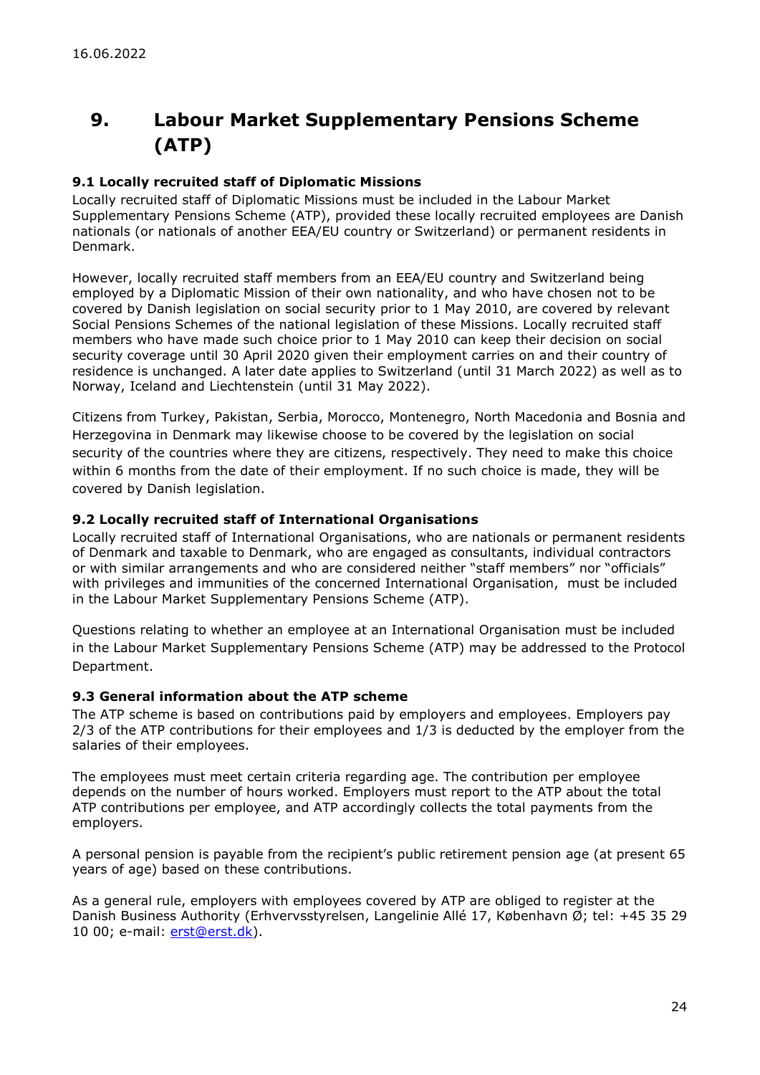# 9. Labour Market Supplementary Pensions Scheme (ATP)

### 9.1 Locally recruited staff of Diplomatic Missions

Locally recruited staff of Diplomatic Missions must be included in the Labour Market Supplementary Pensions Scheme (ATP), provided these locally recruited employees are Danish nationals (or nationals of another EEA/EU country or Switzerland) or permanent residents in Denmark.

However, locally recruited staff members from an EEA/EU country and Switzerland being employed by a Diplomatic Mission of their own nationality, and who have chosen not to be covered by Danish legislation on social security prior to 1 May 2010, are covered by relevant Social Pensions Schemes of the national legislation of these Missions. Locally recruited staff members who have made such choice prior to 1 May 2010 can keep their decision on social security coverage until 30 April 2020 given their employment carries on and their country of residence is unchanged. A later date applies to Switzerland (until 31 March 2022) as well as to Norway, Iceland and Liechtenstein (until 31 May 2022).

Citizens from Turkey, Pakistan, Serbia, Morocco, Montenegro, North Macedonia and Bosnia and Herzegovina in Denmark may likewise choose to be covered by the legislation on social security of the countries where they are citizens, respectively. They need to make this choice within 6 months from the date of their employment. If no such choice is made, they will be covered by Danish legislation.

### 9.2 Locally recruited staff of International Organisations

Locally recruited staff of International Organisations, who are nationals or permanent residents of Denmark and taxable to Denmark, who are engaged as consultants, individual contractors or with similar arrangements and who are considered neither "staff members" nor "officials" with privileges and immunities of the concerned International Organisation, must be included in the Labour Market Supplementary Pensions Scheme (ATP).

Questions relating to whether an employee at an International Organisation must be included in the Labour Market Supplementary Pensions Scheme (ATP) may be addressed to the Protocol Department.

### 9.3 General information about the ATP scheme

The ATP scheme is based on contributions paid by employers and employees. Employers pay 2/3 of the ATP contributions for their employees and 1/3 is deducted by the employer from the salaries of their employees.

The employees must meet certain criteria regarding age. The contribution per employee depends on the number of hours worked. Employers must report to the ATP about the total ATP contributions per employee, and ATP accordingly collects the total payments from the employers.

A personal pension is payable from the recipient's public retirement pension age (at present 65 years of age) based on these contributions.

As a general rule, employers with employees covered by ATP are obliged to register at the Danish Business Authority (Erhvervsstyrelsen, Langelinie Allé 17, København Ø; tel: +45 35 29 10 00; e-mail: erst@erst.dk).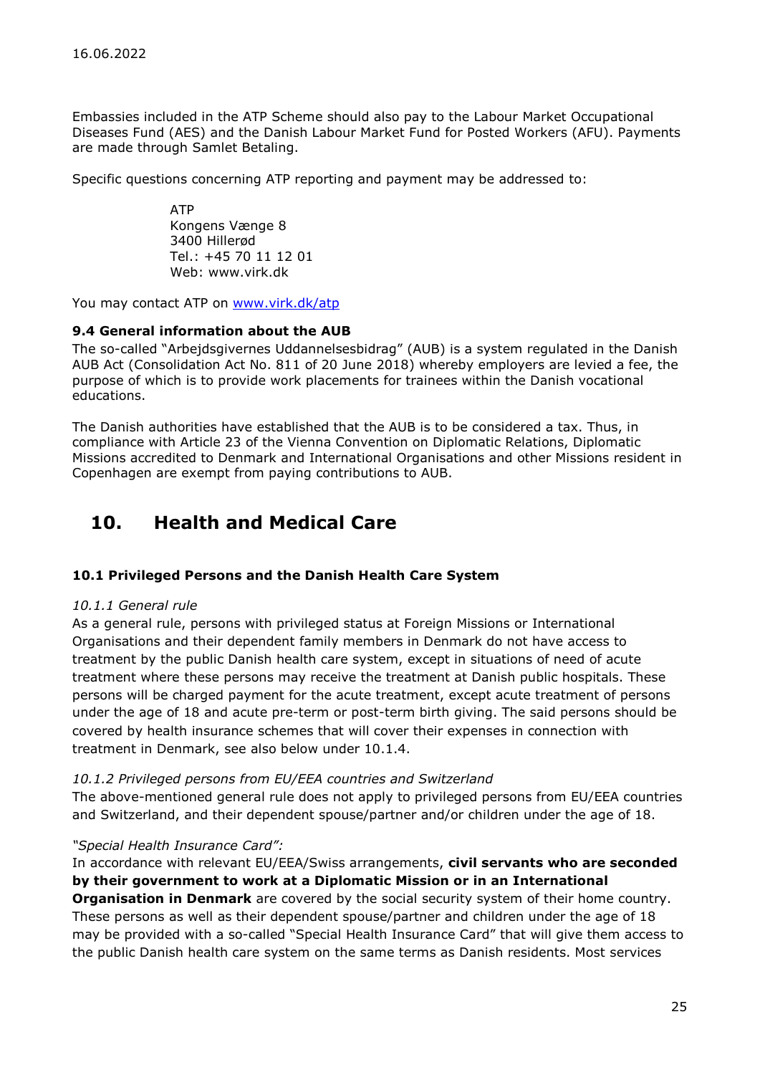Embassies included in the ATP Scheme should also pay to the Labour Market Occupational Diseases Fund (AES) and the Danish Labour Market Fund for Posted Workers (AFU). Payments are made through Samlet Betaling.

Specific questions concerning ATP reporting and payment may be addressed to:

ATP Kongens Vænge 8 3400 Hillerød Tel.: +45 70 11 12 01 Web: www.virk.dk

You may contact ATP on www.virk.dk/atp

### 9.4 General information about the AUB

The so-called "Arbejdsgivernes Uddannelsesbidrag" (AUB) is a system regulated in the Danish AUB Act (Consolidation Act No. 811 of 20 June 2018) whereby employers are levied a fee, the purpose of which is to provide work placements for trainees within the Danish vocational educations.

The Danish authorities have established that the AUB is to be considered a tax. Thus, in compliance with Article 23 of the Vienna Convention on Diplomatic Relations, Diplomatic Missions accredited to Denmark and International Organisations and other Missions resident in Copenhagen are exempt from paying contributions to AUB.

### 10. Health and Medical Care

### 10.1 Privileged Persons and the Danish Health Care System

### 10.1.1 General rule

As a general rule, persons with privileged status at Foreign Missions or International Organisations and their dependent family members in Denmark do not have access to treatment by the public Danish health care system, except in situations of need of acute treatment where these persons may receive the treatment at Danish public hospitals. These persons will be charged payment for the acute treatment, except acute treatment of persons under the age of 18 and acute pre-term or post-term birth giving. The said persons should be covered by health insurance schemes that will cover their expenses in connection with treatment in Denmark, see also below under 10.1.4.

### 10.1.2 Privileged persons from EU/EEA countries and Switzerland

The above-mentioned general rule does not apply to privileged persons from EU/EEA countries and Switzerland, and their dependent spouse/partner and/or children under the age of 18.

### "Special Health Insurance Card":

In accordance with relevant EU/EEA/Swiss arrangements, civil servants who are seconded by their government to work at a Diplomatic Mission or in an International

**Organisation in Denmark** are covered by the social security system of their home country. These persons as well as their dependent spouse/partner and children under the age of 18 may be provided with a so-called "Special Health Insurance Card" that will give them access to the public Danish health care system on the same terms as Danish residents. Most services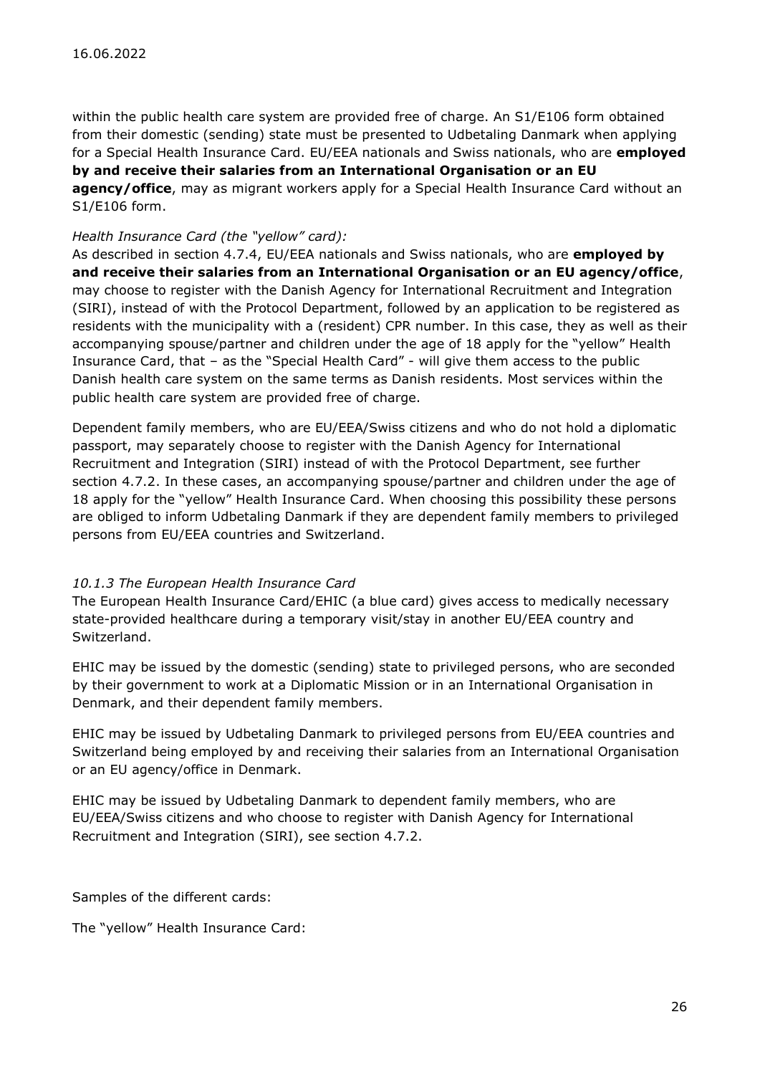within the public health care system are provided free of charge. An S1/E106 form obtained from their domestic (sending) state must be presented to Udbetaling Danmark when applying for a Special Health Insurance Card. EU/EEA nationals and Swiss nationals, who are employed by and receive their salaries from an International Organisation or an EU agency/office, may as migrant workers apply for a Special Health Insurance Card without an S1/E106 form.

### Health Insurance Card (the "yellow" card):

As described in section 4.7.4, EU/EEA nationals and Swiss nationals, who are **employed by** and receive their salaries from an International Organisation or an EU agency/office, may choose to register with the Danish Agency for International Recruitment and Integration (SIRI), instead of with the Protocol Department, followed by an application to be registered as residents with the municipality with a (resident) CPR number. In this case, they as well as their accompanying spouse/partner and children under the age of 18 apply for the "yellow" Health Insurance Card, that – as the "Special Health Card" - will give them access to the public Danish health care system on the same terms as Danish residents. Most services within the public health care system are provided free of charge.

Dependent family members, who are EU/EEA/Swiss citizens and who do not hold a diplomatic passport, may separately choose to register with the Danish Agency for International Recruitment and Integration (SIRI) instead of with the Protocol Department, see further section 4.7.2. In these cases, an accompanying spouse/partner and children under the age of 18 apply for the "yellow" Health Insurance Card. When choosing this possibility these persons are obliged to inform Udbetaling Danmark if they are dependent family members to privileged persons from EU/EEA countries and Switzerland.

### 10.1.3 The European Health Insurance Card

The European Health Insurance Card/EHIC (a blue card) gives access to medically necessary state-provided healthcare during a temporary visit/stay in another EU/EEA country and Switzerland.

EHIC may be issued by the domestic (sending) state to privileged persons, who are seconded by their government to work at a Diplomatic Mission or in an International Organisation in Denmark, and their dependent family members.

EHIC may be issued by Udbetaling Danmark to privileged persons from EU/EEA countries and Switzerland being employed by and receiving their salaries from an International Organisation or an EU agency/office in Denmark.

EHIC may be issued by Udbetaling Danmark to dependent family members, who are EU/EEA/Swiss citizens and who choose to register with Danish Agency for International Recruitment and Integration (SIRI), see section 4.7.2.

Samples of the different cards:

The "yellow" Health Insurance Card: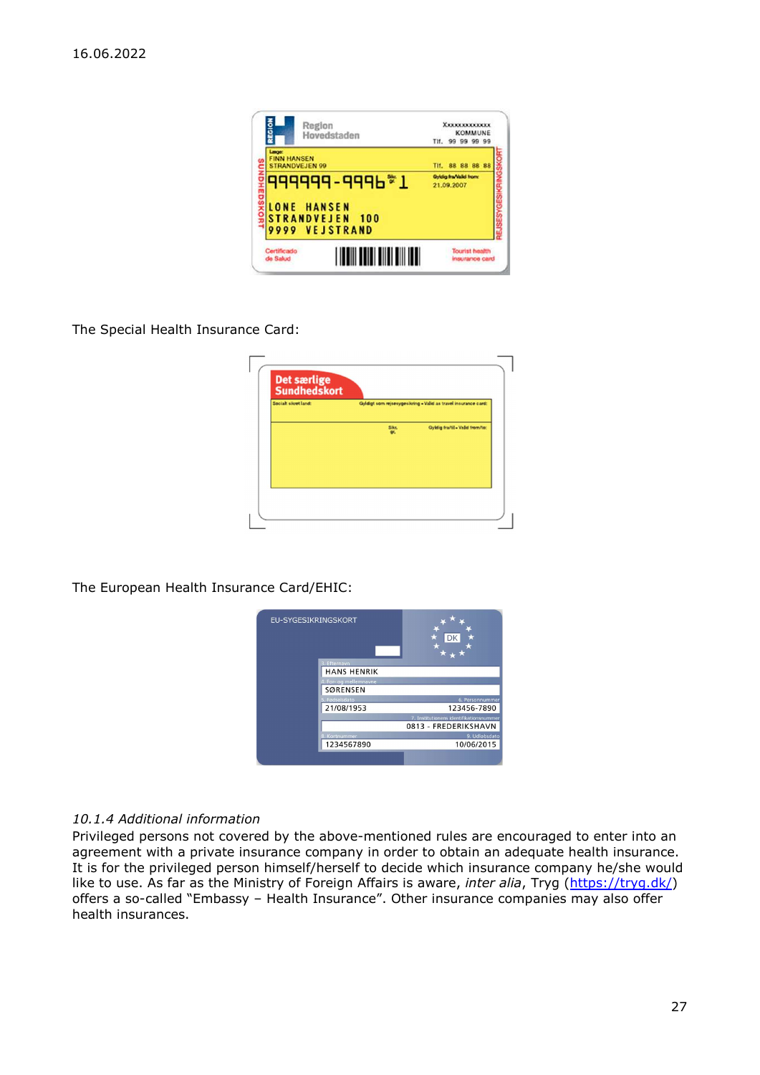

The Special Health Insurance Card:

| Socialt silvet land: |              | Cyldigt som rejsesygesikring - Valid as travel insurance card: |
|----------------------|--------------|----------------------------------------------------------------|
|                      | Silo.<br>or. | Gyldig fra/til - Valid from/to:                                |
|                      |              |                                                                |

The European Health Insurance Card/EHIC:



### 10.1.4 Additional information

Privileged persons not covered by the above-mentioned rules are encouraged to enter into an agreement with a private insurance company in order to obtain an adequate health insurance. It is for the privileged person himself/herself to decide which insurance company he/she would like to use. As far as the Ministry of Foreign Affairs is aware, inter alia, Tryg (https://tryg.dk/) offers a so-called "Embassy – Health Insurance". Other insurance companies may also offer health insurances.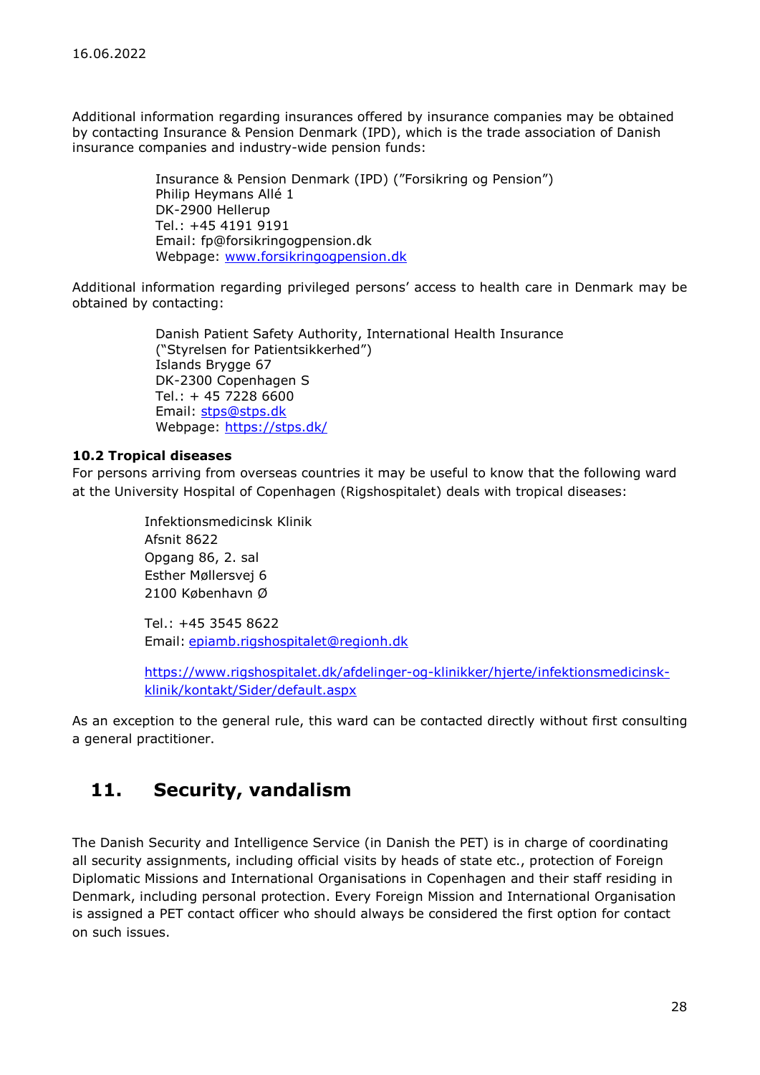Additional information regarding insurances offered by insurance companies may be obtained by contacting Insurance & Pension Denmark (IPD), which is the trade association of Danish insurance companies and industry-wide pension funds:

> Insurance & Pension Denmark (IPD) ("Forsikring og Pension") Philip Heymans Allé 1 DK-2900 Hellerup Tel.: +45 4191 9191 Email: fp@forsikringogpension.dk Webpage: www.forsikringogpension.dk

Additional information regarding privileged persons' access to health care in Denmark may be obtained by contacting:

> Danish Patient Safety Authority, International Health Insurance ("Styrelsen for Patientsikkerhed") Islands Brygge 67 DK-2300 Copenhagen S Tel.: + 45 7228 6600 Email: stps@stps.dk Webpage: https://stps.dk/

### 10.2 Tropical diseases

For persons arriving from overseas countries it may be useful to know that the following ward at the University Hospital of Copenhagen (Rigshospitalet) deals with tropical diseases:

> Infektionsmedicinsk Klinik Afsnit 8622 Opgang 86, 2. sal Esther Møllersvej 6 2100 København Ø Tel.: +45 3545 8622

Email: epiamb.rigshospitalet@regionh.dk

https://www.rigshospitalet.dk/afdelinger-og-klinikker/hjerte/infektionsmedicinskklinik/kontakt/Sider/default.aspx

As an exception to the general rule, this ward can be contacted directly without first consulting a general practitioner.

### 11. Security, vandalism

The Danish Security and Intelligence Service (in Danish the PET) is in charge of coordinating all security assignments, including official visits by heads of state etc., protection of Foreign Diplomatic Missions and International Organisations in Copenhagen and their staff residing in Denmark, including personal protection. Every Foreign Mission and International Organisation is assigned a PET contact officer who should always be considered the first option for contact on such issues.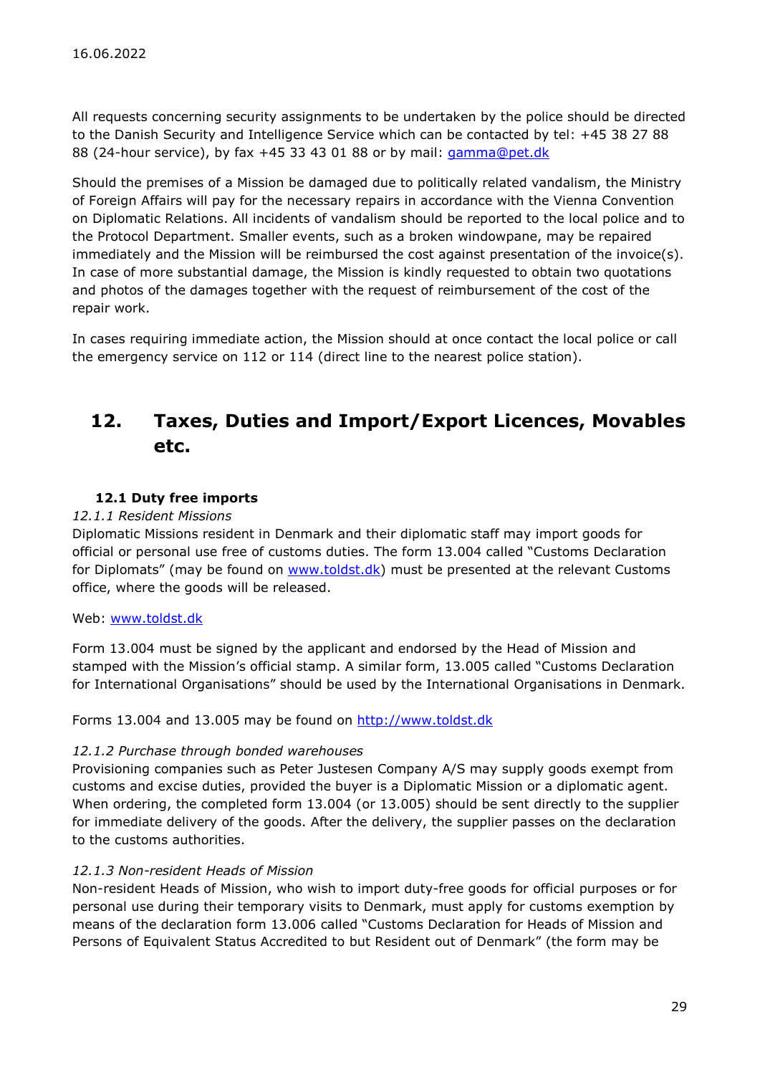All requests concerning security assignments to be undertaken by the police should be directed to the Danish Security and Intelligence Service which can be contacted by tel: +45 38 27 88 88 (24-hour service), by fax +45 33 43 01 88 or by mail: gamma@pet.dk

Should the premises of a Mission be damaged due to politically related vandalism, the Ministry of Foreign Affairs will pay for the necessary repairs in accordance with the Vienna Convention on Diplomatic Relations. All incidents of vandalism should be reported to the local police and to the Protocol Department. Smaller events, such as a broken windowpane, may be repaired immediately and the Mission will be reimbursed the cost against presentation of the invoice(s). In case of more substantial damage, the Mission is kindly requested to obtain two quotations and photos of the damages together with the request of reimbursement of the cost of the repair work.

In cases requiring immediate action, the Mission should at once contact the local police or call the emergency service on 112 or 114 (direct line to the nearest police station).

# 12. Taxes, Duties and Import/Export Licences, Movables etc.

### 12.1 Duty free imports

### 12.1.1 Resident Missions

Diplomatic Missions resident in Denmark and their diplomatic staff may import goods for official or personal use free of customs duties. The form 13.004 called "Customs Declaration for Diplomats" (may be found on www.toldst.dk) must be presented at the relevant Customs office, where the goods will be released.

### Web: www.toldst.dk

Form 13.004 must be signed by the applicant and endorsed by the Head of Mission and stamped with the Mission's official stamp. A similar form, 13.005 called "Customs Declaration for International Organisations" should be used by the International Organisations in Denmark.

Forms 13.004 and 13.005 may be found on http://www.toldst.dk

### 12.1.2 Purchase through bonded warehouses

Provisioning companies such as Peter Justesen Company A/S may supply goods exempt from customs and excise duties, provided the buyer is a Diplomatic Mission or a diplomatic agent. When ordering, the completed form 13.004 (or 13.005) should be sent directly to the supplier for immediate delivery of the goods. After the delivery, the supplier passes on the declaration to the customs authorities.

### 12.1.3 Non-resident Heads of Mission

Non-resident Heads of Mission, who wish to import duty-free goods for official purposes or for personal use during their temporary visits to Denmark, must apply for customs exemption by means of the declaration form 13.006 called "Customs Declaration for Heads of Mission and Persons of Equivalent Status Accredited to but Resident out of Denmark" (the form may be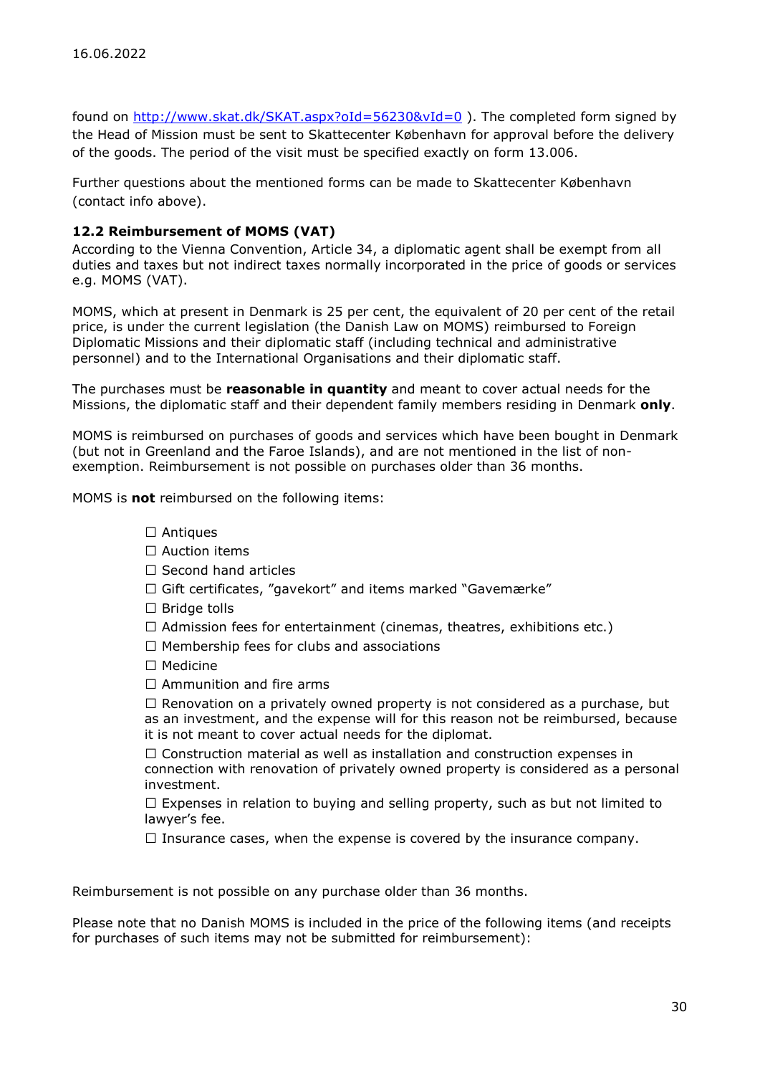found on http://www.skat.dk/SKAT.aspx?oId=56230&vId=0 ). The completed form signed by the Head of Mission must be sent to Skattecenter København for approval before the delivery of the goods. The period of the visit must be specified exactly on form 13.006.

Further questions about the mentioned forms can be made to Skattecenter København (contact info above).

### 12.2 Reimbursement of MOMS (VAT)

According to the Vienna Convention, Article 34, a diplomatic agent shall be exempt from all duties and taxes but not indirect taxes normally incorporated in the price of goods or services e.g. MOMS (VAT).

MOMS, which at present in Denmark is 25 per cent, the equivalent of 20 per cent of the retail price, is under the current legislation (the Danish Law on MOMS) reimbursed to Foreign Diplomatic Missions and their diplomatic staff (including technical and administrative personnel) and to the International Organisations and their diplomatic staff.

The purchases must be reasonable in quantity and meant to cover actual needs for the Missions, the diplomatic staff and their dependent family members residing in Denmark only.

MOMS is reimbursed on purchases of goods and services which have been bought in Denmark (but not in Greenland and the Faroe Islands), and are not mentioned in the list of nonexemption. Reimbursement is not possible on purchases older than 36 months.

MOMS is **not** reimbursed on the following items:

- □ Antiques
- □ Auction items
- $\Box$  Second hand articles
- $\Box$  Gift certificates, "gavekort" and items marked "Gavemærke"
- $\square$  Bridge tolls
- $\Box$  Admission fees for entertainment (cinemas, theatres, exhibitions etc.)
- $\Box$  Membership fees for clubs and associations
- $\square$  Medicine
- $\Box$  Ammunition and fire arms

 $\Box$  Renovation on a privately owned property is not considered as a purchase, but as an investment, and the expense will for this reason not be reimbursed, because it is not meant to cover actual needs for the diplomat.

 $\Box$  Construction material as well as installation and construction expenses in connection with renovation of privately owned property is considered as a personal investment.

 $\Box$  Expenses in relation to buving and selling property, such as but not limited to lawyer's fee.

 $\Box$  Insurance cases, when the expense is covered by the insurance company.

Reimbursement is not possible on any purchase older than 36 months.

Please note that no Danish MOMS is included in the price of the following items (and receipts for purchases of such items may not be submitted for reimbursement):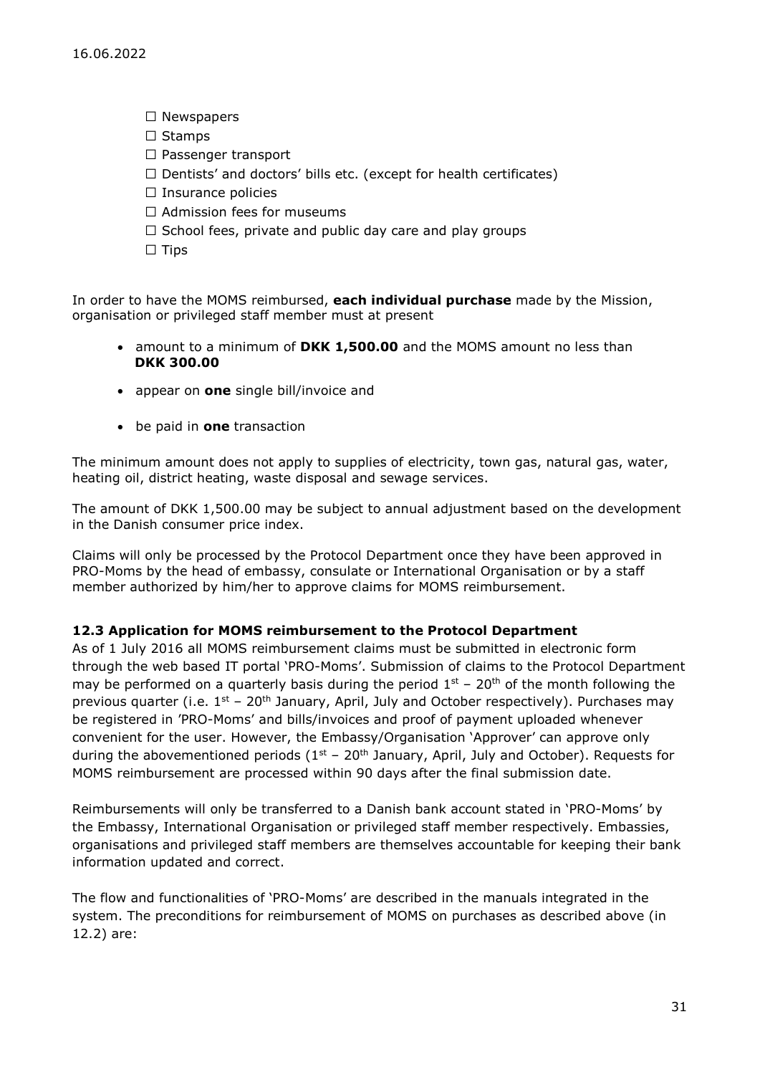- $\square$  Newspapers
- $\square$  Stamps
- $\square$  Passenger transport
- $\Box$  Dentists' and doctors' bills etc. (except for health certificates)
- $\Box$  Insurance policies
- $\Box$  Admission fees for museums
- $\Box$  School fees, private and public day care and play groups
- $\Box$  Tips

In order to have the MOMS reimbursed, each individual purchase made by the Mission, organisation or privileged staff member must at present

- amount to a minimum of DKK 1,500.00 and the MOMS amount no less than DKK 300.00
- appear on one single bill/invoice and
- be paid in one transaction

The minimum amount does not apply to supplies of electricity, town gas, natural gas, water, heating oil, district heating, waste disposal and sewage services.

The amount of DKK 1,500.00 may be subject to annual adjustment based on the development in the Danish consumer price index.

Claims will only be processed by the Protocol Department once they have been approved in PRO-Moms by the head of embassy, consulate or International Organisation or by a staff member authorized by him/her to approve claims for MOMS reimbursement.

### 12.3 Application for MOMS reimbursement to the Protocol Department

As of 1 July 2016 all MOMS reimbursement claims must be submitted in electronic form through the web based IT portal 'PRO-Moms'. Submission of claims to the Protocol Department may be performed on a quarterly basis during the period  $1^{st}$  – 20<sup>th</sup> of the month following the previous quarter (i.e.  $1^{st}$  – 20<sup>th</sup> January, April, July and October respectively). Purchases may be registered in 'PRO-Moms' and bills/invoices and proof of payment uploaded whenever convenient for the user. However, the Embassy/Organisation 'Approver' can approve only during the abovementioned periods ( $1<sup>st</sup>$  – 20<sup>th</sup> January, April, July and October). Requests for MOMS reimbursement are processed within 90 days after the final submission date.

Reimbursements will only be transferred to a Danish bank account stated in 'PRO-Moms' by the Embassy, International Organisation or privileged staff member respectively. Embassies, organisations and privileged staff members are themselves accountable for keeping their bank information updated and correct.

The flow and functionalities of 'PRO-Moms' are described in the manuals integrated in the system. The preconditions for reimbursement of MOMS on purchases as described above (in 12.2) are: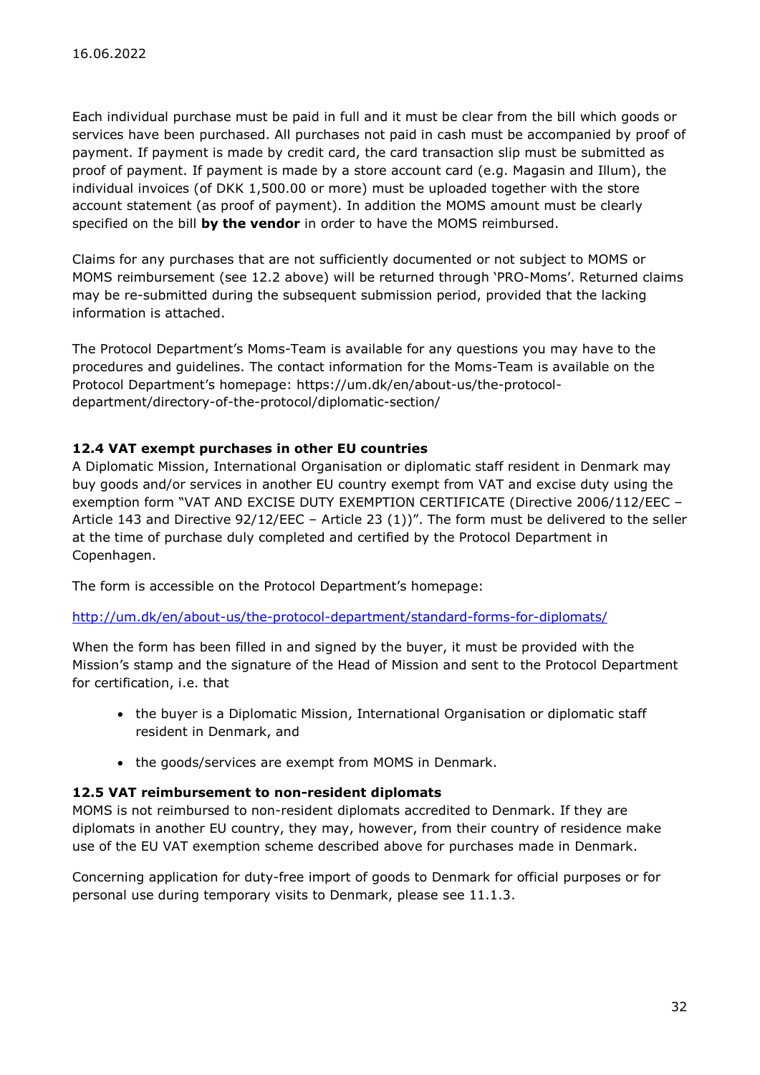Each individual purchase must be paid in full and it must be clear from the bill which goods or services have been purchased. All purchases not paid in cash must be accompanied by proof of payment. If payment is made by credit card, the card transaction slip must be submitted as proof of payment. If payment is made by a store account card (e.g. Magasin and Illum), the individual invoices (of DKK 1,500.00 or more) must be uploaded together with the store account statement (as proof of payment). In addition the MOMS amount must be clearly specified on the bill by the vendor in order to have the MOMS reimbursed.

Claims for any purchases that are not sufficiently documented or not subject to MOMS or MOMS reimbursement (see 12.2 above) will be returned through 'PRO-Moms'. Returned claims may be re-submitted during the subsequent submission period, provided that the lacking information is attached.

The Protocol Department's Moms-Team is available for any questions you may have to the procedures and guidelines. The contact information for the Moms-Team is available on the Protocol Department's homepage: https://um.dk/en/about-us/the-protocoldepartment/directory-of-the-protocol/diplomatic-section/

### 12.4 VAT exempt purchases in other EU countries

A Diplomatic Mission, International Organisation or diplomatic staff resident in Denmark may buy goods and/or services in another EU country exempt from VAT and excise duty using the exemption form "VAT AND EXCISE DUTY EXEMPTION CERTIFICATE (Directive 2006/112/EEC – Article 143 and Directive 92/12/EEC – Article 23 (1))". The form must be delivered to the seller at the time of purchase duly completed and certified by the Protocol Department in Copenhagen.

The form is accessible on the Protocol Department's homepage:

### http://um.dk/en/about-us/the-protocol-department/standard-forms-for-diplomats/

When the form has been filled in and signed by the buyer, it must be provided with the Mission's stamp and the signature of the Head of Mission and sent to the Protocol Department for certification, i.e. that

- the buyer is a Diplomatic Mission, International Organisation or diplomatic staff resident in Denmark, and
- the goods/services are exempt from MOMS in Denmark.

### 12.5 VAT reimbursement to non-resident diplomats

MOMS is not reimbursed to non-resident diplomats accredited to Denmark. If they are diplomats in another EU country, they may, however, from their country of residence make use of the EU VAT exemption scheme described above for purchases made in Denmark.

Concerning application for duty-free import of goods to Denmark for official purposes or for personal use during temporary visits to Denmark, please see 11.1.3.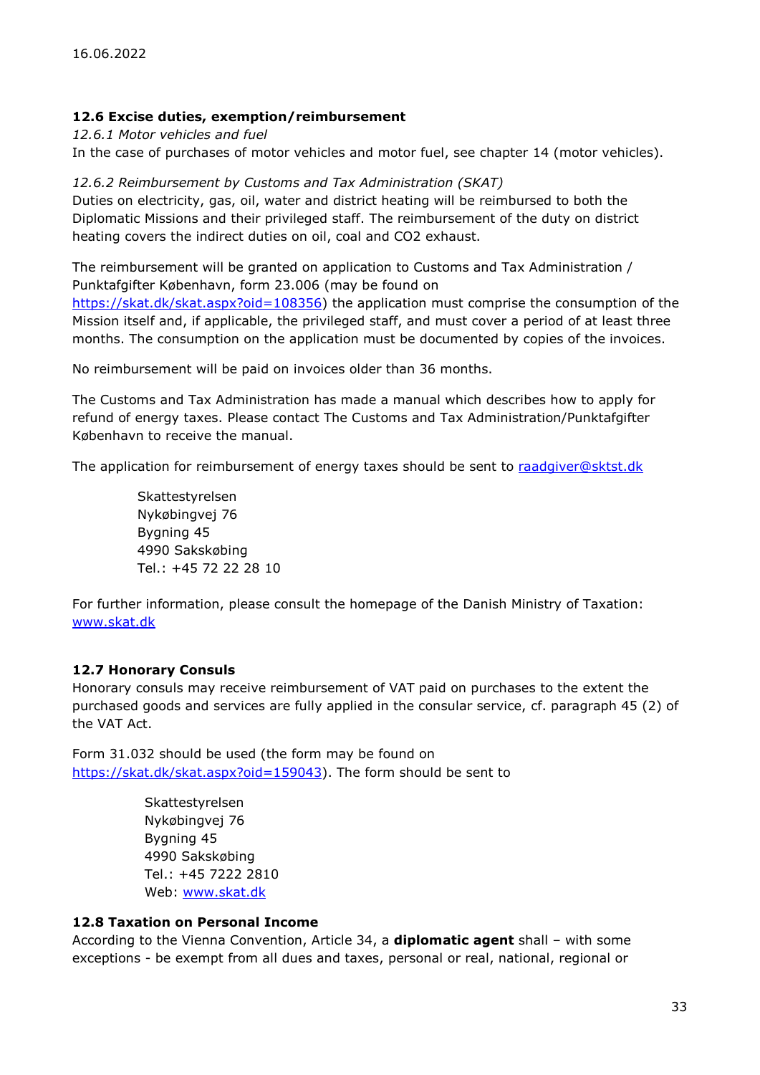### 12.6 Excise duties, exemption/reimbursement

12.6.1 Motor vehicles and fuel In the case of purchases of motor vehicles and motor fuel, see chapter 14 (motor vehicles).

### 12.6.2 Reimbursement by Customs and Tax Administration (SKAT)

Duties on electricity, gas, oil, water and district heating will be reimbursed to both the Diplomatic Missions and their privileged staff. The reimbursement of the duty on district heating covers the indirect duties on oil, coal and CO2 exhaust.

The reimbursement will be granted on application to Customs and Tax Administration / Punktafgifter København, form 23.006 (may be found on

https://skat.dk/skat.aspx?oid=108356) the application must comprise the consumption of the Mission itself and, if applicable, the privileged staff, and must cover a period of at least three months. The consumption on the application must be documented by copies of the invoices.

No reimbursement will be paid on invoices older than 36 months.

The Customs and Tax Administration has made a manual which describes how to apply for refund of energy taxes. Please contact The Customs and Tax Administration/Punktafgifter København to receive the manual.

The application for reimbursement of energy taxes should be sent to raadgiver@sktst.dk

Skattestyrelsen Nykøbingvej 76 Bygning 45 4990 Sakskøbing Tel.: +45 72 22 28 10

For further information, please consult the homepage of the Danish Ministry of Taxation: www.skat.dk

### 12.7 Honorary Consuls

Honorary consuls may receive reimbursement of VAT paid on purchases to the extent the purchased goods and services are fully applied in the consular service, cf. paragraph 45 (2) of the VAT Act.

Form 31.032 should be used (the form may be found on https://skat.dk/skat.aspx?oid=159043). The form should be sent to

> Skattestyrelsen Nykøbingvej 76 Bygning 45 4990 Sakskøbing Tel.: +45 7222 2810 Web: www.skat.dk

### 12.8 Taxation on Personal Income

According to the Vienna Convention, Article 34, a **diplomatic agent** shall – with some exceptions - be exempt from all dues and taxes, personal or real, national, regional or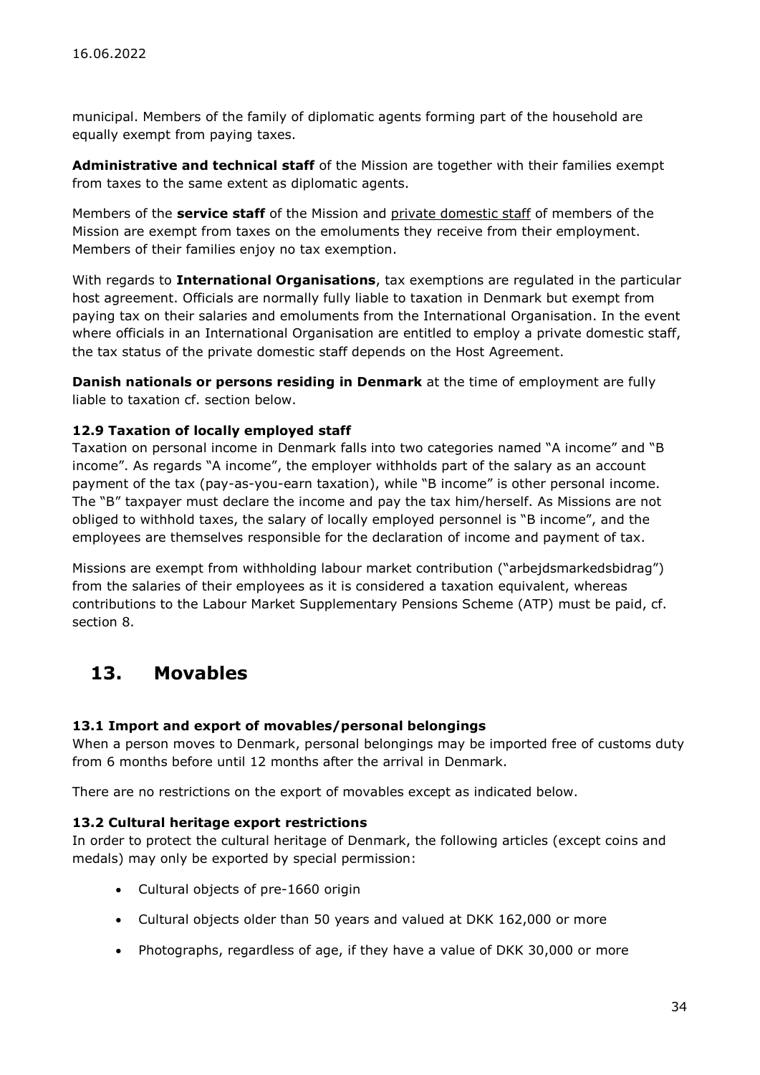municipal. Members of the family of diplomatic agents forming part of the household are equally exempt from paying taxes.

Administrative and technical staff of the Mission are together with their families exempt from taxes to the same extent as diplomatic agents.

Members of the service staff of the Mission and private domestic staff of members of the Mission are exempt from taxes on the emoluments they receive from their employment. Members of their families enjoy no tax exemption.

With regards to **International Organisations**, tax exemptions are regulated in the particular host agreement. Officials are normally fully liable to taxation in Denmark but exempt from paying tax on their salaries and emoluments from the International Organisation. In the event where officials in an International Organisation are entitled to employ a private domestic staff, the tax status of the private domestic staff depends on the Host Agreement.

**Danish nationals or persons residing in Denmark** at the time of employment are fully liable to taxation cf. section below.

### 12.9 Taxation of locally employed staff

Taxation on personal income in Denmark falls into two categories named "A income" and "B income". As regards "A income", the employer withholds part of the salary as an account payment of the tax (pay-as-you-earn taxation), while "B income" is other personal income. The "B" taxpayer must declare the income and pay the tax him/herself. As Missions are not obliged to withhold taxes, the salary of locally employed personnel is "B income", and the employees are themselves responsible for the declaration of income and payment of tax.

Missions are exempt from withholding labour market contribution ("arbeidsmarkedsbidrag") from the salaries of their employees as it is considered a taxation equivalent, whereas contributions to the Labour Market Supplementary Pensions Scheme (ATP) must be paid, cf. section 8.

### 13. Movables

### 13.1 Import and export of movables/personal belongings

When a person moves to Denmark, personal belongings may be imported free of customs duty from 6 months before until 12 months after the arrival in Denmark.

There are no restrictions on the export of movables except as indicated below.

### 13.2 Cultural heritage export restrictions

In order to protect the cultural heritage of Denmark, the following articles (except coins and medals) may only be exported by special permission:

- Cultural objects of pre-1660 origin
- Cultural objects older than 50 years and valued at DKK 162,000 or more
- Photographs, regardless of age, if they have a value of DKK 30,000 or more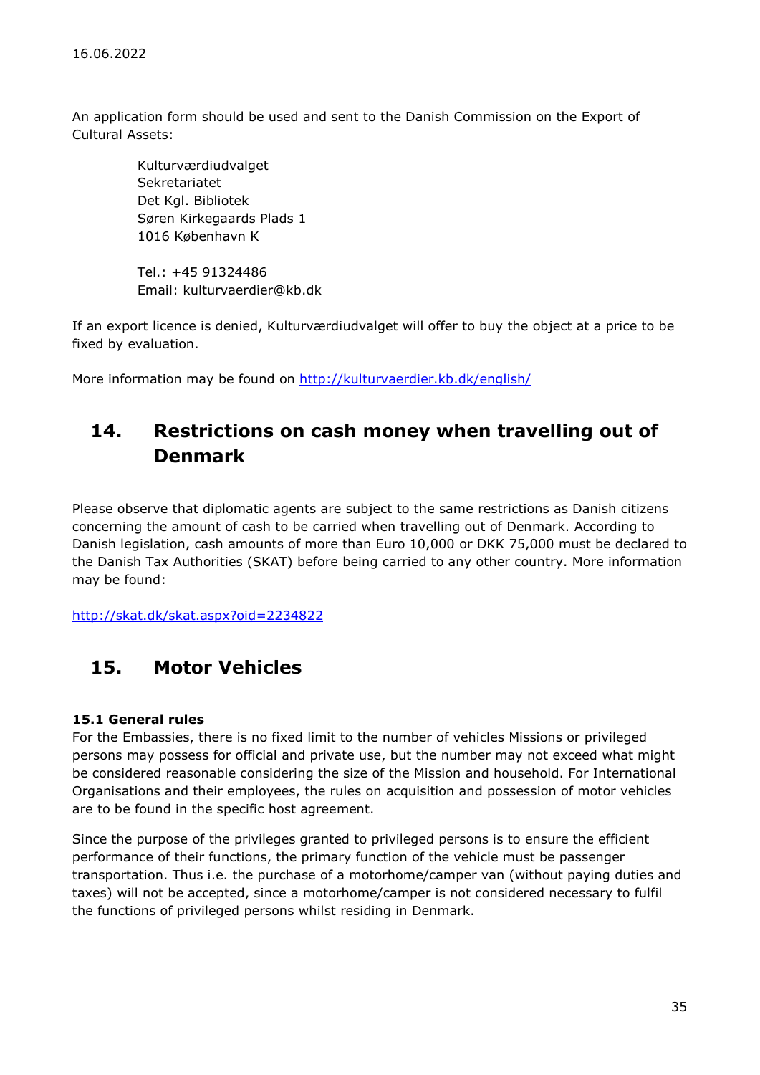An application form should be used and sent to the Danish Commission on the Export of Cultural Assets:

> Kulturværdiudvalget Sekretariatet Det Kgl. Bibliotek Søren Kirkegaards Plads 1 1016 København K

Tel.: +45 91324486 Email: kulturvaerdier@kb.dk

If an export licence is denied, Kulturværdiudvalget will offer to buy the object at a price to be fixed by evaluation.

More information may be found on http://kulturvaerdier.kb.dk/english/

# 14. Restrictions on cash money when travelling out of Denmark

Please observe that diplomatic agents are subject to the same restrictions as Danish citizens concerning the amount of cash to be carried when travelling out of Denmark. According to Danish legislation, cash amounts of more than Euro 10,000 or DKK 75,000 must be declared to the Danish Tax Authorities (SKAT) before being carried to any other country. More information may be found:

http://skat.dk/skat.aspx?oid=2234822

### 15. Motor Vehicles

### 15.1 General rules

For the Embassies, there is no fixed limit to the number of vehicles Missions or privileged persons may possess for official and private use, but the number may not exceed what might be considered reasonable considering the size of the Mission and household. For International Organisations and their employees, the rules on acquisition and possession of motor vehicles are to be found in the specific host agreement.

Since the purpose of the privileges granted to privileged persons is to ensure the efficient performance of their functions, the primary function of the vehicle must be passenger transportation. Thus i.e. the purchase of a motorhome/camper van (without paying duties and taxes) will not be accepted, since a motorhome/camper is not considered necessary to fulfil the functions of privileged persons whilst residing in Denmark.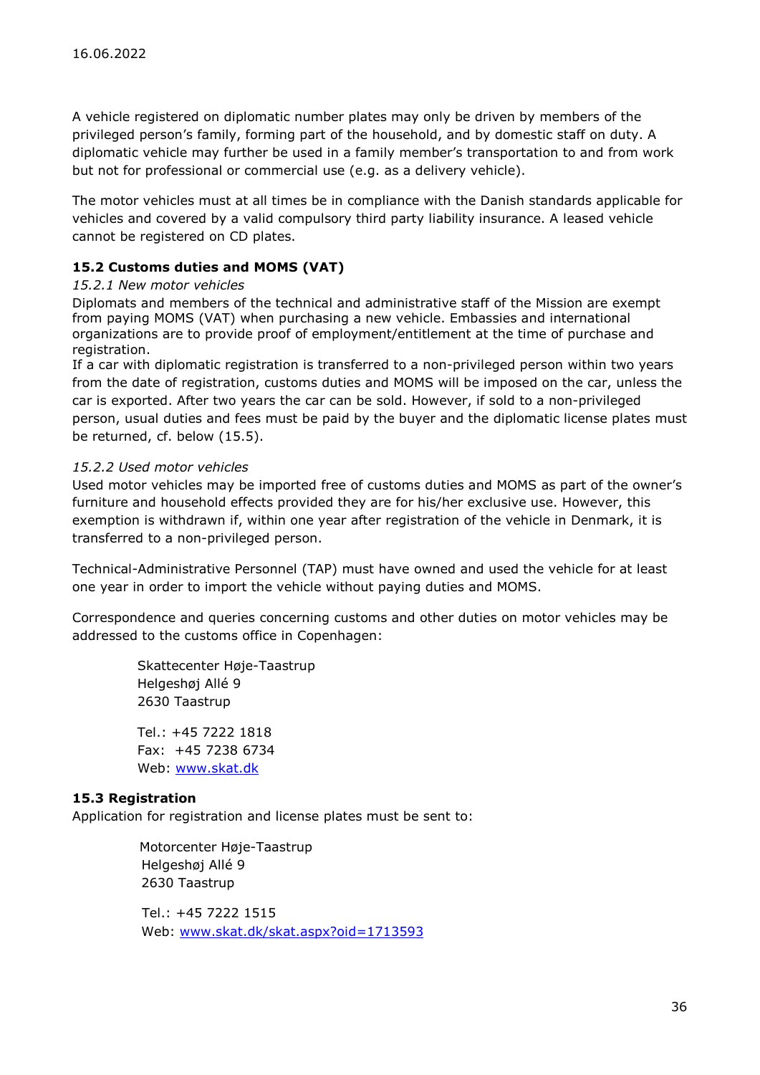A vehicle registered on diplomatic number plates may only be driven by members of the privileged person's family, forming part of the household, and by domestic staff on duty. A diplomatic vehicle may further be used in a family member's transportation to and from work but not for professional or commercial use (e.g. as a delivery vehicle).

The motor vehicles must at all times be in compliance with the Danish standards applicable for vehicles and covered by a valid compulsory third party liability insurance. A leased vehicle cannot be registered on CD plates.

### 15.2 Customs duties and MOMS (VAT)

### 15.2.1 New motor vehicles

Diplomats and members of the technical and administrative staff of the Mission are exempt from paying MOMS (VAT) when purchasing a new vehicle. Embassies and international organizations are to provide proof of employment/entitlement at the time of purchase and registration.

If a car with diplomatic registration is transferred to a non-privileged person within two years from the date of registration, customs duties and MOMS will be imposed on the car, unless the car is exported. After two years the car can be sold. However, if sold to a non-privileged person, usual duties and fees must be paid by the buyer and the diplomatic license plates must be returned, cf. below (15.5).

### 15.2.2 Used motor vehicles

Used motor vehicles may be imported free of customs duties and MOMS as part of the owner's furniture and household effects provided they are for his/her exclusive use. However, this exemption is withdrawn if, within one year after registration of the vehicle in Denmark, it is transferred to a non-privileged person.

Technical-Administrative Personnel (TAP) must have owned and used the vehicle for at least one year in order to import the vehicle without paying duties and MOMS.

Correspondence and queries concerning customs and other duties on motor vehicles may be addressed to the customs office in Copenhagen:

> Skattecenter Høje-Taastrup Helgeshøj Allé 9 2630 Taastrup

 Tel.: +45 7222 1818  $Fax: +4577386734$ Web: www.skat.dk

### 15.3 Registration

Application for registration and license plates must be sent to:

 Motorcenter Høje-Taastrup Helgeshøj Allé 9 2630 Taastrup

 Tel.: +45 7222 1515 Web: www.skat.dk/skat.aspx?oid=1713593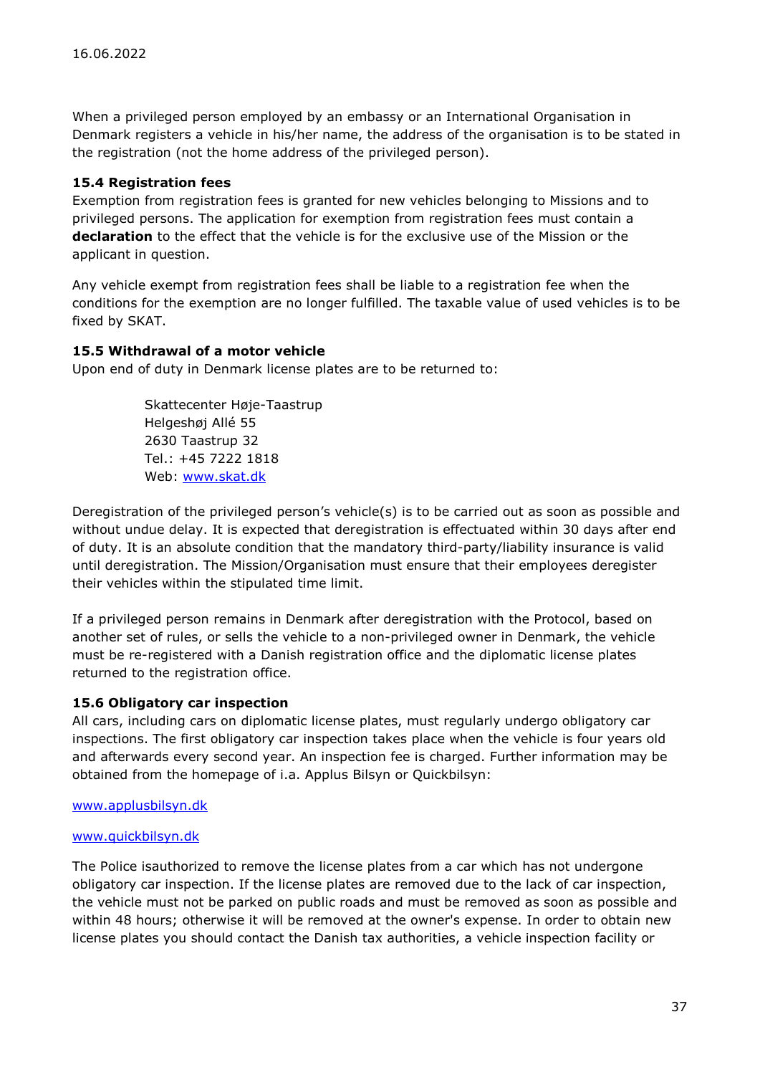When a privileged person employed by an embassy or an International Organisation in Denmark registers a vehicle in his/her name, the address of the organisation is to be stated in the registration (not the home address of the privileged person).

### 15.4 Registration fees

Exemption from registration fees is granted for new vehicles belonging to Missions and to privileged persons. The application for exemption from registration fees must contain a declaration to the effect that the vehicle is for the exclusive use of the Mission or the applicant in question.

Any vehicle exempt from registration fees shall be liable to a registration fee when the conditions for the exemption are no longer fulfilled. The taxable value of used vehicles is to be fixed by SKAT.

### 15.5 Withdrawal of a motor vehicle

Upon end of duty in Denmark license plates are to be returned to:

Skattecenter Høje-Taastrup Helgeshøj Allé 55 2630 Taastrup 32 Tel.: +45 7222 1818 Web: www.skat.dk

Deregistration of the privileged person's vehicle(s) is to be carried out as soon as possible and without undue delay. It is expected that deregistration is effectuated within 30 days after end of duty. It is an absolute condition that the mandatory third-party/liability insurance is valid until deregistration. The Mission/Organisation must ensure that their employees deregister their vehicles within the stipulated time limit.

If a privileged person remains in Denmark after deregistration with the Protocol, based on another set of rules, or sells the vehicle to a non-privileged owner in Denmark, the vehicle must be re-registered with a Danish registration office and the diplomatic license plates returned to the registration office.

### 15.6 Obligatory car inspection

All cars, including cars on diplomatic license plates, must regularly undergo obligatory car inspections. The first obligatory car inspection takes place when the vehicle is four years old and afterwards every second year. An inspection fee is charged. Further information may be obtained from the homepage of i.a. Applus Bilsyn or Quickbilsyn:

### www.applusbilsyn.dk

### www.quickbilsyn.dk

The Police isauthorized to remove the license plates from a car which has not undergone obligatory car inspection. If the license plates are removed due to the lack of car inspection, the vehicle must not be parked on public roads and must be removed as soon as possible and within 48 hours; otherwise it will be removed at the owner's expense. In order to obtain new license plates you should contact the Danish tax authorities, a vehicle inspection facility or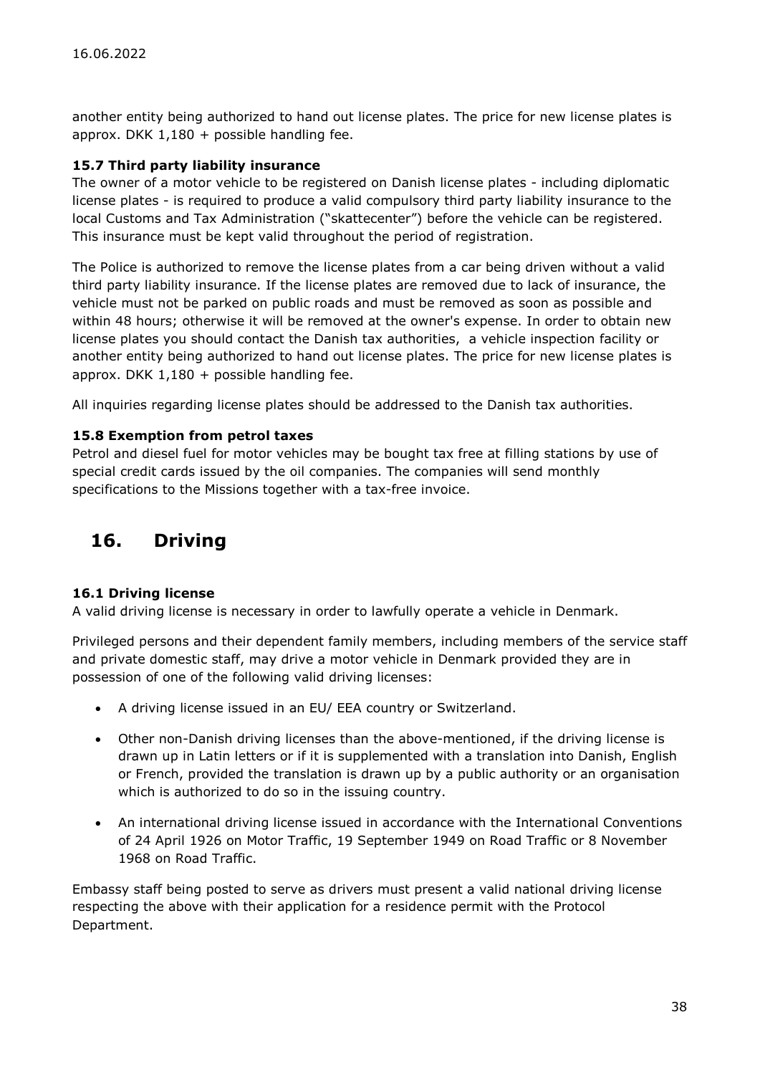another entity being authorized to hand out license plates. The price for new license plates is approx. DKK  $1,180 +$  possible handling fee.

### 15.7 Third party liability insurance

The owner of a motor vehicle to be registered on Danish license plates - including diplomatic license plates - is required to produce a valid compulsory third party liability insurance to the local Customs and Tax Administration ("skattecenter") before the vehicle can be registered. This insurance must be kept valid throughout the period of registration.

The Police is authorized to remove the license plates from a car being driven without a valid third party liability insurance. If the license plates are removed due to lack of insurance, the vehicle must not be parked on public roads and must be removed as soon as possible and within 48 hours; otherwise it will be removed at the owner's expense. In order to obtain new license plates you should contact the Danish tax authorities, a vehicle inspection facility or another entity being authorized to hand out license plates. The price for new license plates is approx. DKK  $1,180 +$  possible handling fee.

All inquiries regarding license plates should be addressed to the Danish tax authorities.

### 15.8 Exemption from petrol taxes

Petrol and diesel fuel for motor vehicles may be bought tax free at filling stations by use of special credit cards issued by the oil companies. The companies will send monthly specifications to the Missions together with a tax-free invoice.

# 16. Driving

### 16.1 Driving license

A valid driving license is necessary in order to lawfully operate a vehicle in Denmark.

Privileged persons and their dependent family members, including members of the service staff and private domestic staff, may drive a motor vehicle in Denmark provided they are in possession of one of the following valid driving licenses:

- A driving license issued in an EU/ EEA country or Switzerland.
- Other non-Danish driving licenses than the above-mentioned, if the driving license is drawn up in Latin letters or if it is supplemented with a translation into Danish, English or French, provided the translation is drawn up by a public authority or an organisation which is authorized to do so in the issuing country.
- An international driving license issued in accordance with the International Conventions of 24 April 1926 on Motor Traffic, 19 September 1949 on Road Traffic or 8 November 1968 on Road Traffic.

Embassy staff being posted to serve as drivers must present a valid national driving license respecting the above with their application for a residence permit with the Protocol Department.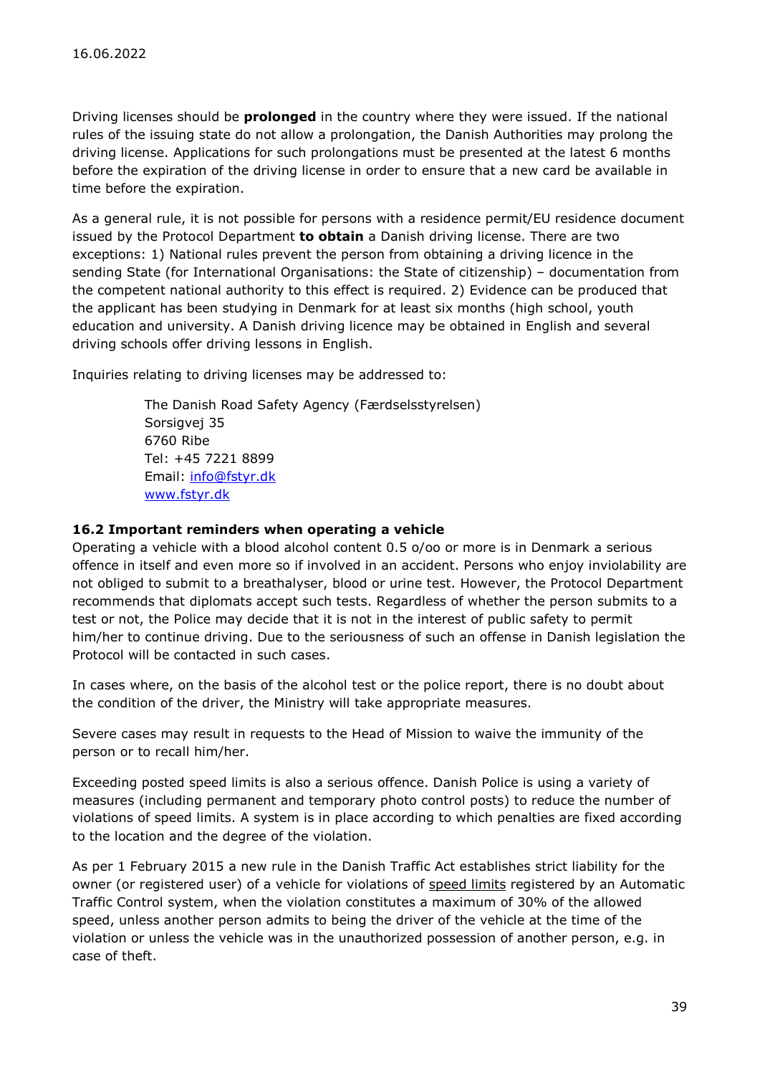Driving licenses should be **prolonged** in the country where they were issued. If the national rules of the issuing state do not allow a prolongation, the Danish Authorities may prolong the driving license. Applications for such prolongations must be presented at the latest 6 months before the expiration of the driving license in order to ensure that a new card be available in time before the expiration.

As a general rule, it is not possible for persons with a residence permit/EU residence document issued by the Protocol Department to obtain a Danish driving license. There are two exceptions: 1) National rules prevent the person from obtaining a driving licence in the sending State (for International Organisations: the State of citizenship) – documentation from the competent national authority to this effect is required. 2) Evidence can be produced that the applicant has been studying in Denmark for at least six months (high school, youth education and university. A Danish driving licence may be obtained in English and several driving schools offer driving lessons in English.

Inquiries relating to driving licenses may be addressed to:

The Danish Road Safety Agency (Færdselsstyrelsen) Sorsigvej 35 6760 Ribe Tel: +45 7221 8899 Email: info@fstyr.dk www.fstyr.dk

### 16.2 Important reminders when operating a vehicle

Operating a vehicle with a blood alcohol content 0.5 o/oo or more is in Denmark a serious offence in itself and even more so if involved in an accident. Persons who enjoy inviolability are not obliged to submit to a breathalyser, blood or urine test. However, the Protocol Department recommends that diplomats accept such tests. Regardless of whether the person submits to a test or not, the Police may decide that it is not in the interest of public safety to permit him/her to continue driving. Due to the seriousness of such an offense in Danish legislation the Protocol will be contacted in such cases.

In cases where, on the basis of the alcohol test or the police report, there is no doubt about the condition of the driver, the Ministry will take appropriate measures.

Severe cases may result in requests to the Head of Mission to waive the immunity of the person or to recall him/her.

Exceeding posted speed limits is also a serious offence. Danish Police is using a variety of measures (including permanent and temporary photo control posts) to reduce the number of violations of speed limits. A system is in place according to which penalties are fixed according to the location and the degree of the violation.

As per 1 February 2015 a new rule in the Danish Traffic Act establishes strict liability for the owner (or registered user) of a vehicle for violations of speed limits registered by an Automatic Traffic Control system, when the violation constitutes a maximum of 30% of the allowed speed, unless another person admits to being the driver of the vehicle at the time of the violation or unless the vehicle was in the unauthorized possession of another person, e.g. in case of theft.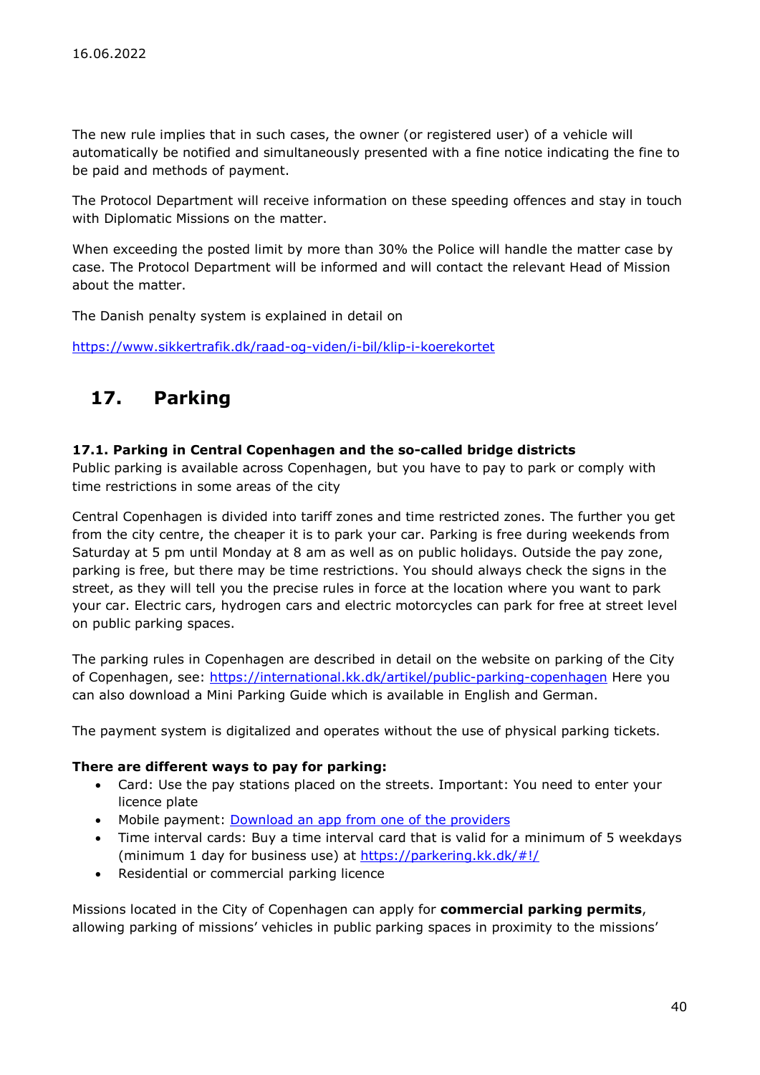The new rule implies that in such cases, the owner (or registered user) of a vehicle will automatically be notified and simultaneously presented with a fine notice indicating the fine to be paid and methods of payment.

The Protocol Department will receive information on these speeding offences and stay in touch with Diplomatic Missions on the matter.

When exceeding the posted limit by more than 30% the Police will handle the matter case by case. The Protocol Department will be informed and will contact the relevant Head of Mission about the matter.

The Danish penalty system is explained in detail on

https://www.sikkertrafik.dk/raad-og-viden/i-bil/klip-i-koerekortet

# 17. Parking

### 17.1. Parking in Central Copenhagen and the so-called bridge districts

Public parking is available across Copenhagen, but you have to pay to park or comply with time restrictions in some areas of the city

Central Copenhagen is divided into tariff zones and time restricted zones. The further you get from the city centre, the cheaper it is to park your car. Parking is free during weekends from Saturday at 5 pm until Monday at 8 am as well as on public holidays. Outside the pay zone, parking is free, but there may be time restrictions. You should always check the signs in the street, as they will tell you the precise rules in force at the location where you want to park your car. Electric cars, hydrogen cars and electric motorcycles can park for free at street level on public parking spaces.

The parking rules in Copenhagen are described in detail on the website on parking of the City of Copenhagen, see: https://international.kk.dk/artikel/public-parking-copenhagen Here you can also download a Mini Parking Guide which is available in English and German.

The payment system is digitalized and operates without the use of physical parking tickets.

### There are different ways to pay for parking:

- Card: Use the pay stations placed on the streets. Important: You need to enter your licence plate
- Mobile payment: Download an app from one of the providers
- Time interval cards: Buy a time interval card that is valid for a minimum of 5 weekdays (minimum 1 day for business use) at https://parkering.kk.dk/#!/
- Residential or commercial parking licence

Missions located in the City of Copenhagen can apply for **commercial parking permits**, allowing parking of missions' vehicles in public parking spaces in proximity to the missions'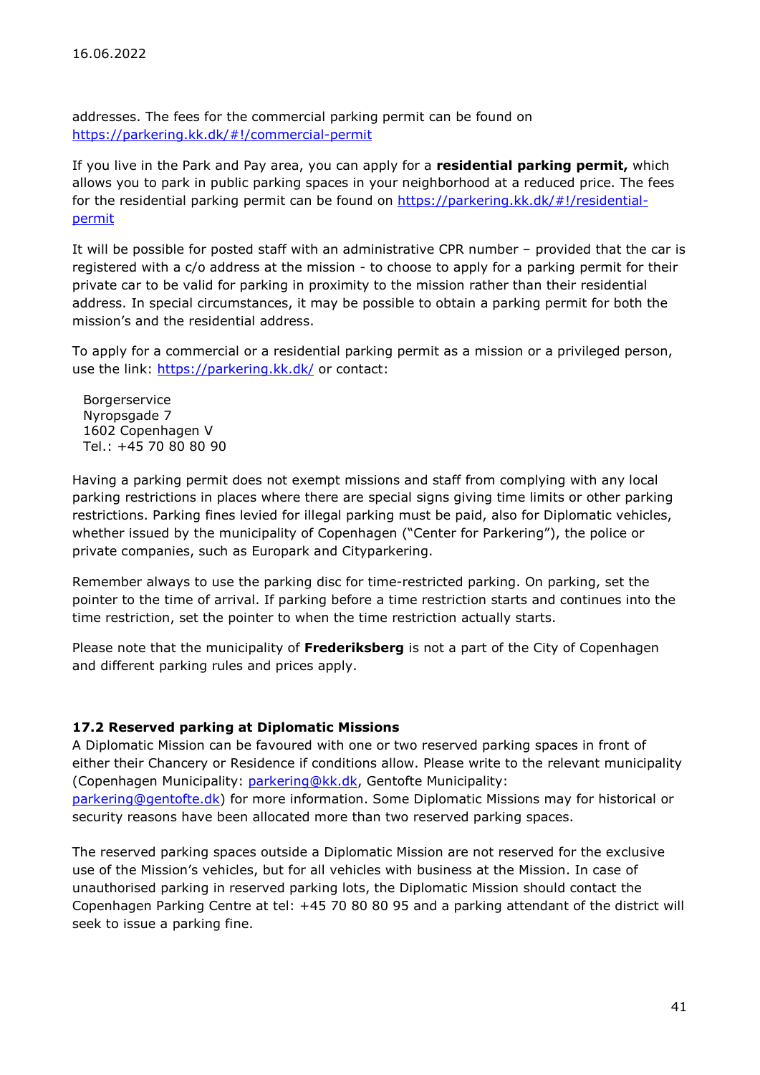addresses. The fees for the commercial parking permit can be found on https://parkering.kk.dk/#!/commercial-permit

If you live in the Park and Pay area, you can apply for a residential parking permit, which allows you to park in public parking spaces in your neighborhood at a reduced price. The fees for the residential parking permit can be found on https://parkering.kk.dk/#!/residentialpermit

It will be possible for posted staff with an administrative CPR number – provided that the car is registered with a c/o address at the mission - to choose to apply for a parking permit for their private car to be valid for parking in proximity to the mission rather than their residential address. In special circumstances, it may be possible to obtain a parking permit for both the mission's and the residential address.

To apply for a commercial or a residential parking permit as a mission or a privileged person, use the link: https://parkering.kk.dk/ or contact:

 Borgerservice Nyropsgade 7 1602 Copenhagen V Tel.: +45 70 80 80 90

Having a parking permit does not exempt missions and staff from complying with any local parking restrictions in places where there are special signs giving time limits or other parking restrictions. Parking fines levied for illegal parking must be paid, also for Diplomatic vehicles, whether issued by the municipality of Copenhagen ("Center for Parkering"), the police or private companies, such as Europark and Cityparkering.

Remember always to use the parking disc for time-restricted parking. On parking, set the pointer to the time of arrival. If parking before a time restriction starts and continues into the time restriction, set the pointer to when the time restriction actually starts.

Please note that the municipality of Frederiksberg is not a part of the City of Copenhagen and different parking rules and prices apply.

### 17.2 Reserved parking at Diplomatic Missions

A Diplomatic Mission can be favoured with one or two reserved parking spaces in front of either their Chancery or Residence if conditions allow. Please write to the relevant municipality (Copenhagen Municipality: parkering@kk.dk, Gentofte Municipality: parkering@gentofte.dk) for more information. Some Diplomatic Missions may for historical or security reasons have been allocated more than two reserved parking spaces.

The reserved parking spaces outside a Diplomatic Mission are not reserved for the exclusive use of the Mission's vehicles, but for all vehicles with business at the Mission. In case of unauthorised parking in reserved parking lots, the Diplomatic Mission should contact the Copenhagen Parking Centre at tel: +45 70 80 80 95 and a parking attendant of the district will seek to issue a parking fine.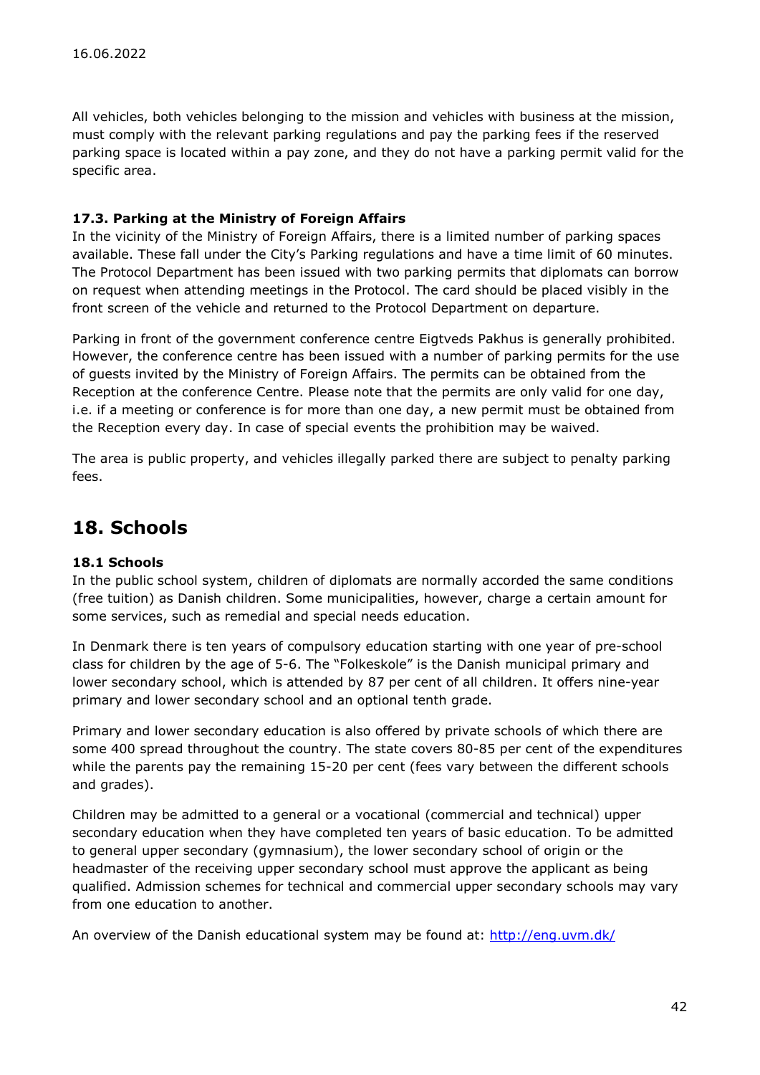All vehicles, both vehicles belonging to the mission and vehicles with business at the mission, must comply with the relevant parking regulations and pay the parking fees if the reserved parking space is located within a pay zone, and they do not have a parking permit valid for the specific area.

### 17.3. Parking at the Ministry of Foreign Affairs

In the vicinity of the Ministry of Foreign Affairs, there is a limited number of parking spaces available. These fall under the City's Parking regulations and have a time limit of 60 minutes. The Protocol Department has been issued with two parking permits that diplomats can borrow on request when attending meetings in the Protocol. The card should be placed visibly in the front screen of the vehicle and returned to the Protocol Department on departure.

Parking in front of the government conference centre Eigtveds Pakhus is generally prohibited. However, the conference centre has been issued with a number of parking permits for the use of guests invited by the Ministry of Foreign Affairs. The permits can be obtained from the Reception at the conference Centre. Please note that the permits are only valid for one day, i.e. if a meeting or conference is for more than one day, a new permit must be obtained from the Reception every day. In case of special events the prohibition may be waived.

The area is public property, and vehicles illegally parked there are subject to penalty parking fees.

### 18. Schools

### 18.1 Schools

In the public school system, children of diplomats are normally accorded the same conditions (free tuition) as Danish children. Some municipalities, however, charge a certain amount for some services, such as remedial and special needs education.

In Denmark there is ten years of compulsory education starting with one year of pre-school class for children by the age of 5-6. The "Folkeskole" is the Danish municipal primary and lower secondary school, which is attended by 87 per cent of all children. It offers nine-year primary and lower secondary school and an optional tenth grade.

Primary and lower secondary education is also offered by private schools of which there are some 400 spread throughout the country. The state covers 80-85 per cent of the expenditures while the parents pay the remaining 15-20 per cent (fees vary between the different schools and grades).

Children may be admitted to a general or a vocational (commercial and technical) upper secondary education when they have completed ten years of basic education. To be admitted to general upper secondary (gymnasium), the lower secondary school of origin or the headmaster of the receiving upper secondary school must approve the applicant as being qualified. Admission schemes for technical and commercial upper secondary schools may vary from one education to another.

An overview of the Danish educational system may be found at: http://eng.uvm.dk/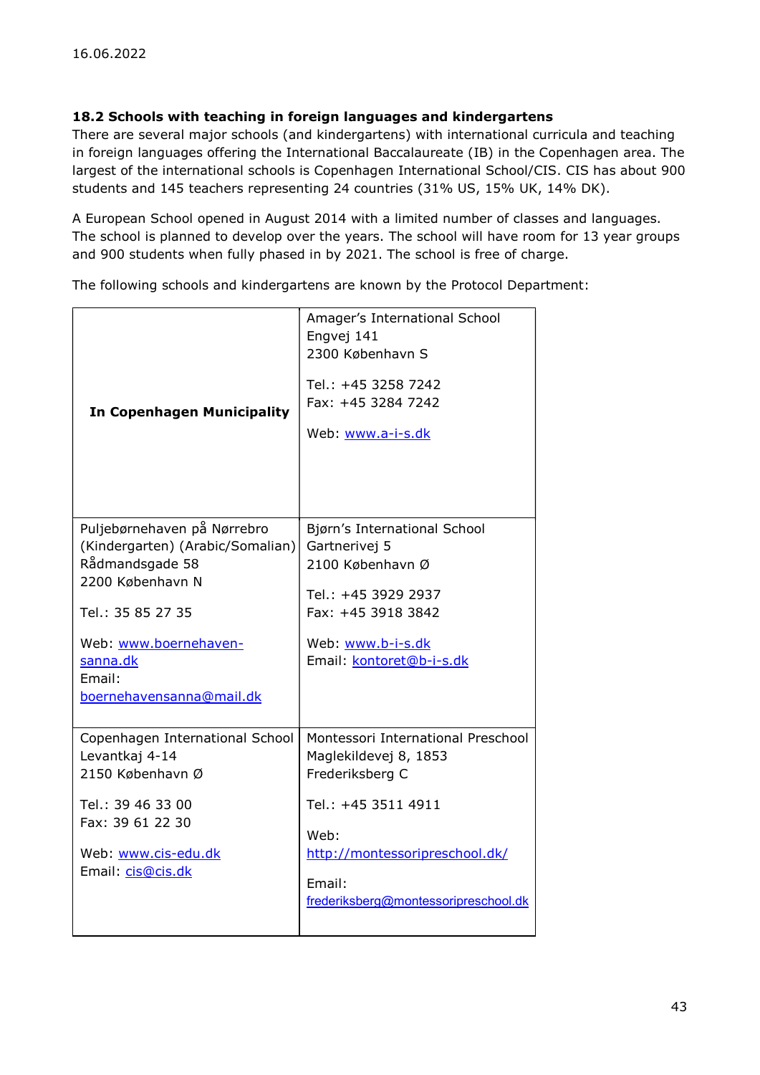### 18.2 Schools with teaching in foreign languages and kindergartens

There are several major schools (and kindergartens) with international curricula and teaching in foreign languages offering the International Baccalaureate (IB) in the Copenhagen area. The largest of the international schools is Copenhagen International School/CIS. CIS has about 900 students and 145 teachers representing 24 countries (31% US, 15% UK, 14% DK).

A European School opened in August 2014 with a limited number of classes and languages. The school is planned to develop over the years. The school will have room for 13 year groups and 900 students when fully phased in by 2021. The school is free of charge.

| <b>In Copenhagen Municipality</b>                                                                                                                                                                      | Amager's International School<br>Engvej 141<br>2300 København S<br>Tel.: +45 3258 7242<br>Fax: +45 3284 7242<br>Web: www.a-i-s.dk                                                                 |
|--------------------------------------------------------------------------------------------------------------------------------------------------------------------------------------------------------|---------------------------------------------------------------------------------------------------------------------------------------------------------------------------------------------------|
| Puljebørnehaven på Nørrebro<br>(Kindergarten) (Arabic/Somalian)<br>Rådmandsgade 58<br>2200 København N<br>Tel.: 35 85 27 35<br>Web: www.boernehaven-<br>sanna.dk<br>Email:<br>boernehavensanna@mail.dk | Bjørn's International School<br>Gartnerivej 5<br>2100 København Ø<br>Tel.: +45 3929 2937<br>Fax: +45 3918 3842<br>Web: www.b-i-s.dk<br>Email: kontoret@b-i-s.dk                                   |
| Copenhagen International School<br>Levantkaj 4-14<br>2150 København Ø<br>Tel.: 39 46 33 00<br>Fax: 39 61 22 30<br>Web: www.cis-edu.dk<br>Email: cis@cis.dk                                             | Montessori International Preschool<br>Maglekildevej 8, 1853<br>Frederiksberg C<br>Tel.: +45 3511 4911<br>Web:<br>http://montessoripreschool.dk/<br>Email:<br>frederiksberg@montessoripreschool.dk |

The following schools and kindergartens are known by the Protocol Department: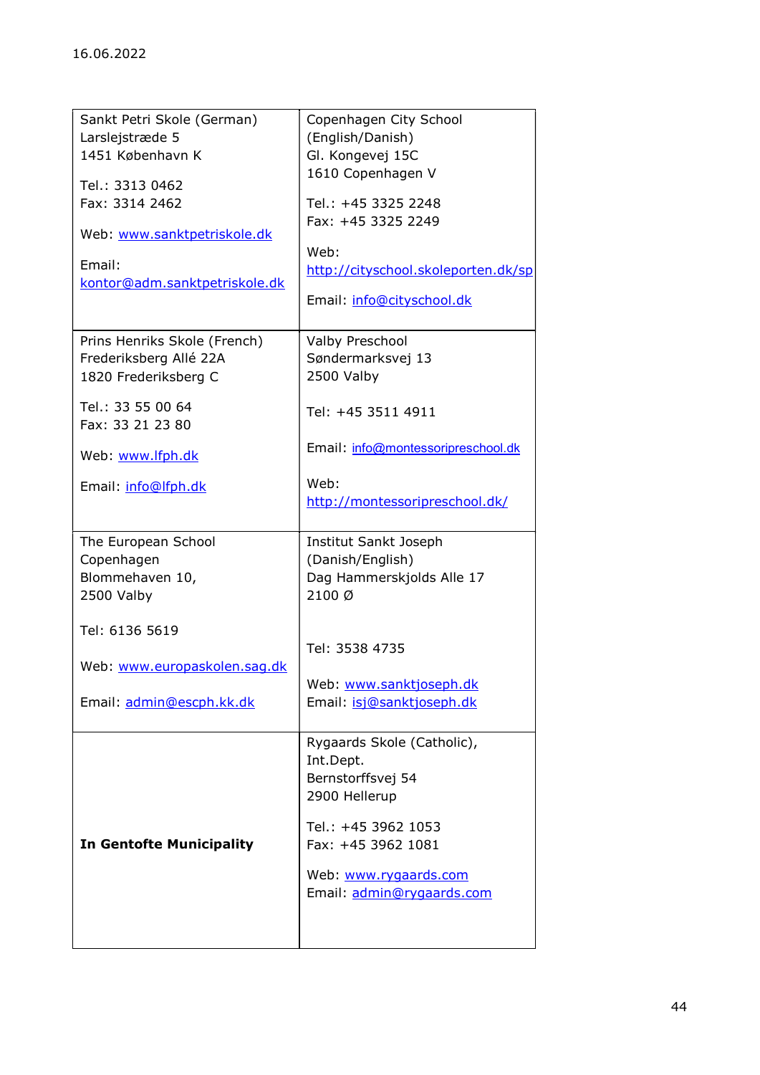| Sankt Petri Skole (German)      | Copenhagen City School                             |
|---------------------------------|----------------------------------------------------|
| Larslejstræde 5                 | (English/Danish)                                   |
| 1451 København K                | Gl. Kongevej 15C                                   |
|                                 | 1610 Copenhagen V                                  |
| Tel.: 3313 0462                 | Tel.: +45 3325 2248                                |
| Fax: 3314 2462                  | Fax: +45 3325 2249                                 |
| Web: www.sanktpetriskole.dk     |                                                    |
|                                 | Web:                                               |
| Email:                          | http://cityschool.skoleporten.dk/sp                |
| kontor@adm.sanktpetriskole.dk   |                                                    |
|                                 | Email: info@cityschool.dk                          |
|                                 |                                                    |
| Prins Henriks Skole (French)    | <b>Valby Preschool</b>                             |
| Frederiksberg Allé 22A          | Søndermarksvej 13                                  |
| 1820 Frederiksberg C            | 2500 Valby                                         |
| Tel.: 33 55 00 64               | Tel: +45 3511 4911                                 |
| Fax: 33 21 23 80                |                                                    |
|                                 | Email: info@montessoripreschool.dk                 |
| Web: www.lfph.dk                |                                                    |
| Email: info@lfph.dk             | Web:                                               |
|                                 | http://montessoripreschool.dk/                     |
|                                 |                                                    |
| The European School             | Institut Sankt Joseph                              |
| Copenhagen                      | (Danish/English)                                   |
| Blommehaven 10,                 | Dag Hammerskjolds Alle 17                          |
| 2500 Valby                      | 2100 Ø                                             |
|                                 |                                                    |
| Tel: 6136 5619                  |                                                    |
|                                 | Tel: 3538 4735                                     |
| Web: www.europaskolen.sag.dk    |                                                    |
|                                 | Web: www.sanktjoseph.dk                            |
| Email: admin@escph.kk.dk        | Email: isi@sanktjoseph.dk                          |
|                                 |                                                    |
|                                 | Rygaards Skole (Catholic),<br>Int.Dept.            |
|                                 | Bernstorffsvej 54                                  |
|                                 | 2900 Hellerup                                      |
|                                 |                                                    |
|                                 | Tel.: +45 3962 1053                                |
| <b>In Gentofte Municipality</b> | Fax: +45 3962 1081                                 |
|                                 |                                                    |
|                                 | Web: www.rygaards.com<br>Email: admin@rygaards.com |
|                                 |                                                    |
|                                 |                                                    |
|                                 |                                                    |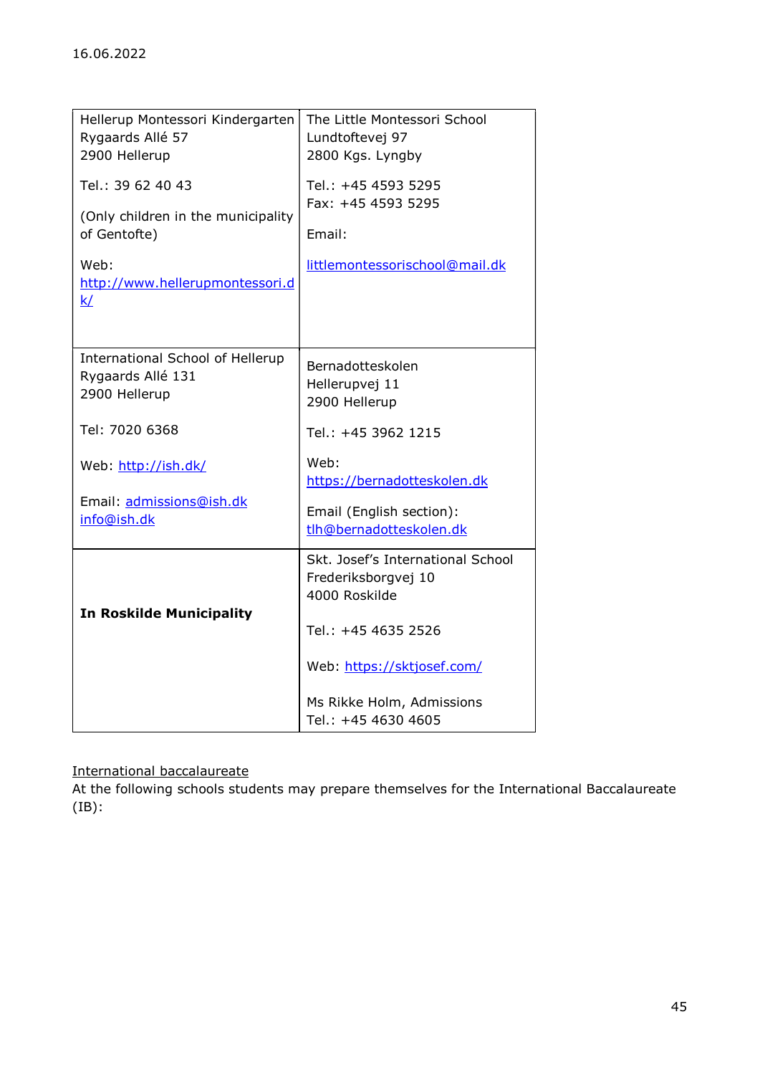| Hellerup Montessori Kindergarten                                                                                         | The Little Montessori School                                                                                                                                                                                  |
|--------------------------------------------------------------------------------------------------------------------------|---------------------------------------------------------------------------------------------------------------------------------------------------------------------------------------------------------------|
| Rygaards Allé 57                                                                                                         | Lundtoftevej 97                                                                                                                                                                                               |
| 2900 Hellerup                                                                                                            | 2800 Kgs. Lyngby                                                                                                                                                                                              |
| Tel.: 39 62 40 43<br>(Only children in the municipality<br>of Gentofte)<br>Web:<br>http://www.hellerupmontessori.d<br>k/ | Tel.: +45 4593 5295<br>Fax: +45 4593 5295<br>Email:<br>littlemontessorischool@mail.dk                                                                                                                         |
| International School of Hellerup                                                                                         | Bernadotteskolen                                                                                                                                                                                              |
| Rygaards Allé 131                                                                                                        | Hellerupvej 11                                                                                                                                                                                                |
| 2900 Hellerup                                                                                                            | 2900 Hellerup                                                                                                                                                                                                 |
| Tel: 7020 6368                                                                                                           | Tel.: +45 3962 1215                                                                                                                                                                                           |
| Web: http://ish.dk/                                                                                                      | Web:                                                                                                                                                                                                          |
| Email: admissions@ish.dk                                                                                                 | https://bernadotteskolen.dk                                                                                                                                                                                   |
| info@ish.dk                                                                                                              | Email (English section):                                                                                                                                                                                      |
| <b>In Roskilde Municipality</b>                                                                                          | tlh@bernadotteskolen.dk<br>Skt. Josef's International School<br>Frederiksborgvej 10<br>4000 Roskilde<br>Tel.: +45 4635 2526<br>Web: https://sktjosef.com/<br>Ms Rikke Holm, Admissions<br>Tel.: +45 4630 4605 |

### International baccalaureate

At the following schools students may prepare themselves for the International Baccalaureate (IB):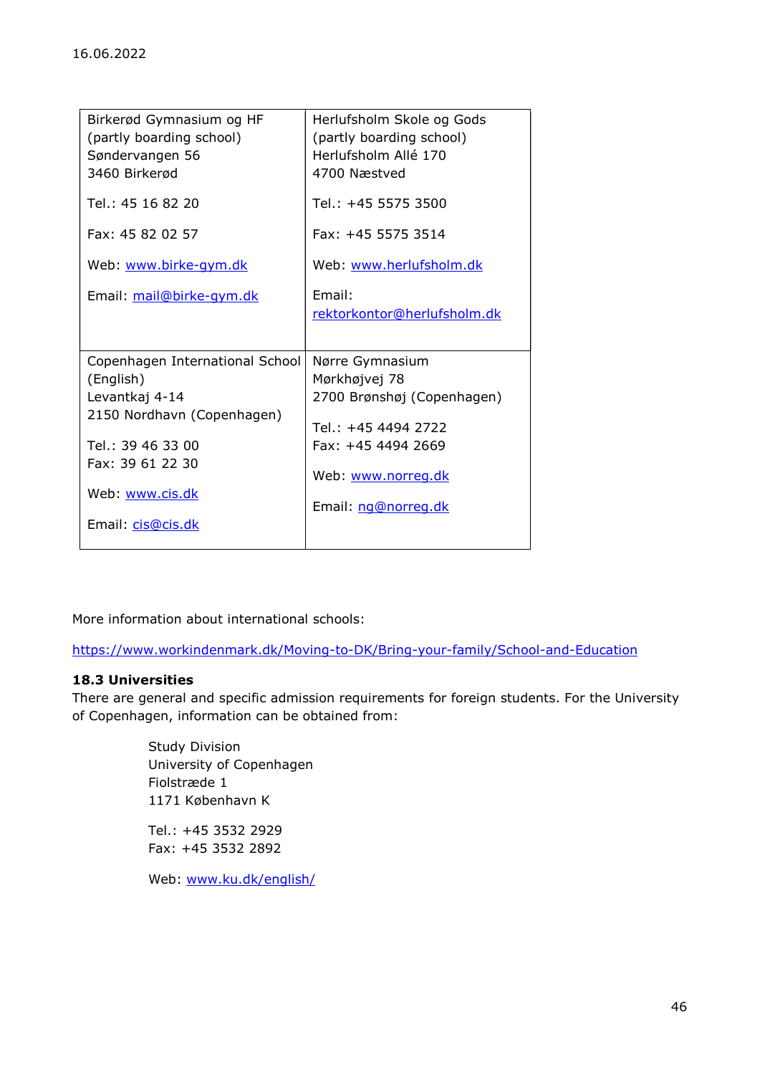| Herlufsholm Skole og Gods   |
|-----------------------------|
| (partly boarding school)    |
| Herlufsholm Allé 170        |
| 4700 Næstved                |
| Tel.: +45 5575 3500         |
| Fax: $+45$ 5575 3514        |
| Web: www.herlufsholm.dk     |
| Email:                      |
| rektorkontor@herlufsholm.dk |
|                             |
| Nørre Gymnasium             |
| Mørkhøjvej 78               |
| 2700 Brønshøj (Copenhagen)  |
|                             |
| Tel.: +45 4494 2722         |
| Fax: +45 4494 2669          |
|                             |
| Web: www.norreg.dk          |
| Email: ng@norreg.dk         |
|                             |
|                             |
|                             |

More information about international schools:

https://www.workindenmark.dk/Moving-to-DK/Bring-your-family/School-and-Education

### 18.3 Universities

There are general and specific admission requirements for foreign students. For the University of Copenhagen, information can be obtained from:

> Study Division University of Copenhagen Fiolstræde 1 1171 København K

 Tel.: +45 3532 2929 Fax: +45 3532 2892

Web: www.ku.dk/english/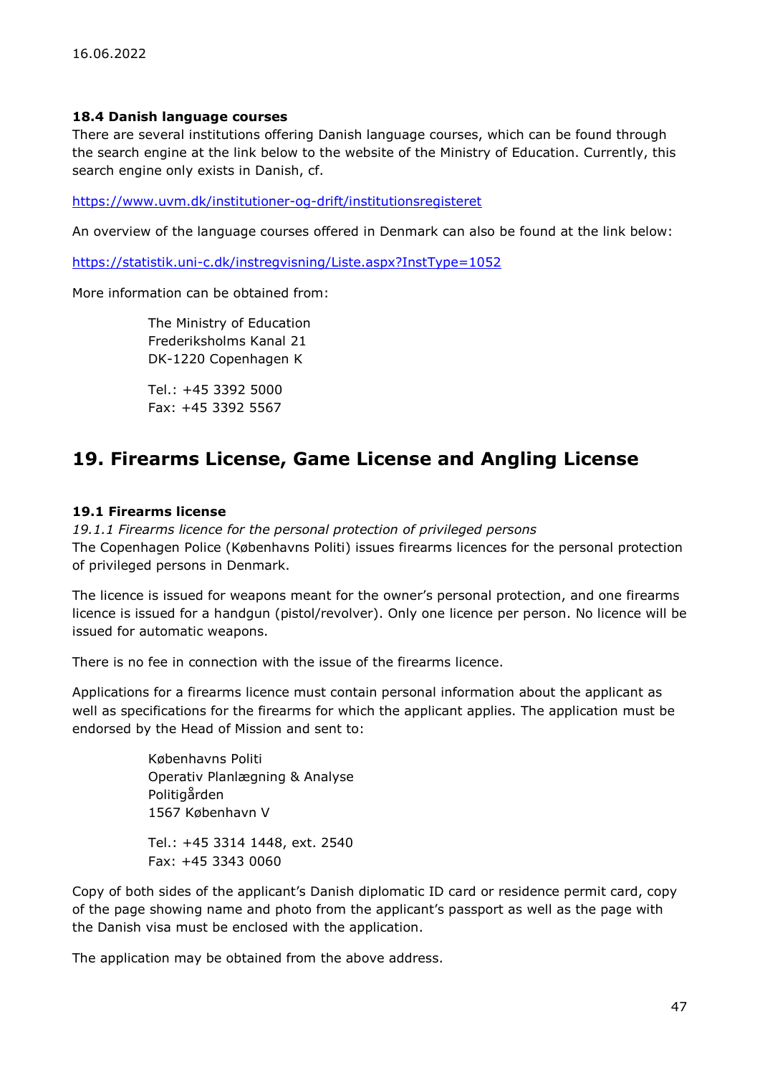### 18.4 Danish language courses

There are several institutions offering Danish language courses, which can be found through the search engine at the link below to the website of the Ministry of Education. Currently, this search engine only exists in Danish, cf.

https://www.uvm.dk/institutioner-og-drift/institutionsregisteret

An overview of the language courses offered in Denmark can also be found at the link below:

https://statistik.uni-c.dk/instregvisning/Liste.aspx?InstType=1052

More information can be obtained from:

The Ministry of Education Frederiksholms Kanal 21 DK-1220 Copenhagen K

Tel.: +45 3392 5000 Fax: +45 3392 5567

### 19. Firearms License, Game License and Angling License

### 19.1 Firearms license

19.1.1 Firearms licence for the personal protection of privileged persons The Copenhagen Police (Københavns Politi) issues firearms licences for the personal protection of privileged persons in Denmark.

The licence is issued for weapons meant for the owner's personal protection, and one firearms licence is issued for a handgun (pistol/revolver). Only one licence per person. No licence will be issued for automatic weapons.

There is no fee in connection with the issue of the firearms licence.

Applications for a firearms licence must contain personal information about the applicant as well as specifications for the firearms for which the applicant applies. The application must be endorsed by the Head of Mission and sent to:

> Københavns Politi Operativ Planlægning & Analyse Politigården 1567 København V Tel.: +45 3314 1448, ext. 2540

Fax: +45 3343 0060

Copy of both sides of the applicant's Danish diplomatic ID card or residence permit card, copy of the page showing name and photo from the applicant's passport as well as the page with the Danish visa must be enclosed with the application.

The application may be obtained from the above address.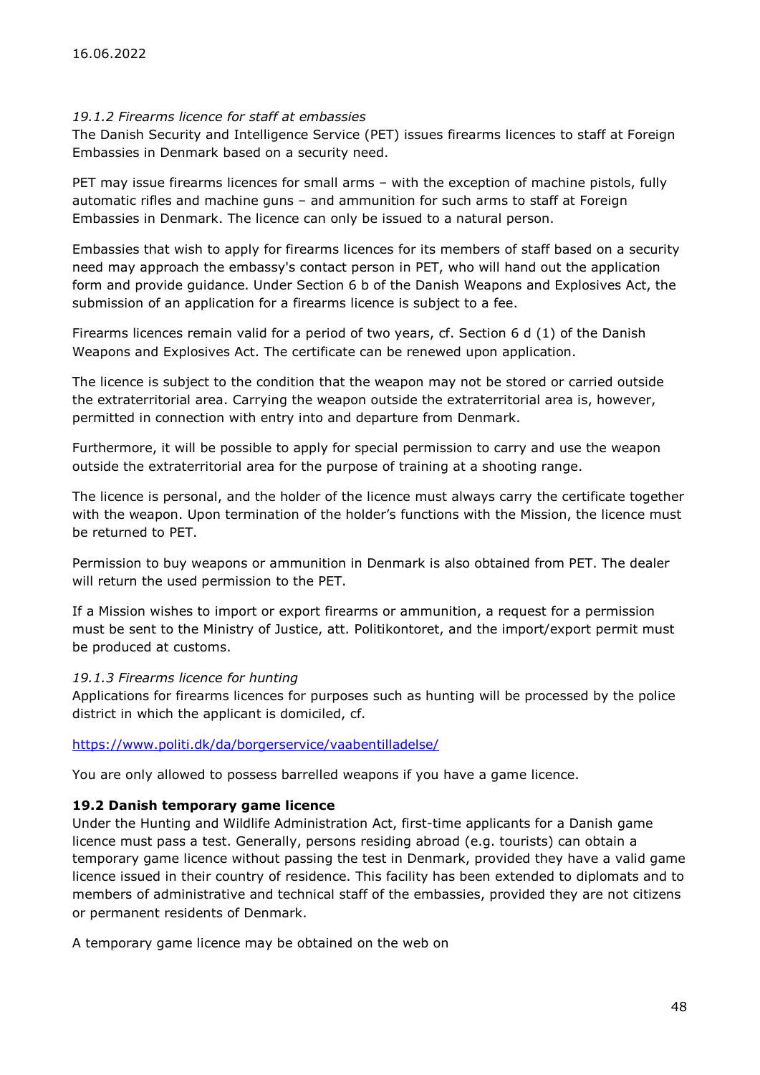### 19.1.2 Firearms licence for staff at embassies

The Danish Security and Intelligence Service (PET) issues firearms licences to staff at Foreign Embassies in Denmark based on a security need.

PET may issue firearms licences for small arms – with the exception of machine pistols, fully automatic rifles and machine guns – and ammunition for such arms to staff at Foreign Embassies in Denmark. The licence can only be issued to a natural person.

Embassies that wish to apply for firearms licences for its members of staff based on a security need may approach the embassy's contact person in PET, who will hand out the application form and provide guidance. Under Section 6 b of the Danish Weapons and Explosives Act, the submission of an application for a firearms licence is subject to a fee.

Firearms licences remain valid for a period of two years, cf. Section 6 d (1) of the Danish Weapons and Explosives Act. The certificate can be renewed upon application.

The licence is subject to the condition that the weapon may not be stored or carried outside the extraterritorial area. Carrying the weapon outside the extraterritorial area is, however, permitted in connection with entry into and departure from Denmark.

Furthermore, it will be possible to apply for special permission to carry and use the weapon outside the extraterritorial area for the purpose of training at a shooting range.

The licence is personal, and the holder of the licence must always carry the certificate together with the weapon. Upon termination of the holder's functions with the Mission, the licence must be returned to PET.

Permission to buy weapons or ammunition in Denmark is also obtained from PET. The dealer will return the used permission to the PET.

If a Mission wishes to import or export firearms or ammunition, a request for a permission must be sent to the Ministry of Justice, att. Politikontoret, and the import/export permit must be produced at customs.

### 19.1.3 Firearms licence for hunting

Applications for firearms licences for purposes such as hunting will be processed by the police district in which the applicant is domiciled, cf.

https://www.politi.dk/da/borgerservice/vaabentilladelse/

You are only allowed to possess barrelled weapons if you have a game licence.

### 19.2 Danish temporary game licence

Under the Hunting and Wildlife Administration Act, first-time applicants for a Danish game licence must pass a test. Generally, persons residing abroad (e.g. tourists) can obtain a temporary game licence without passing the test in Denmark, provided they have a valid game licence issued in their country of residence. This facility has been extended to diplomats and to members of administrative and technical staff of the embassies, provided they are not citizens or permanent residents of Denmark.

A temporary game licence may be obtained on the web on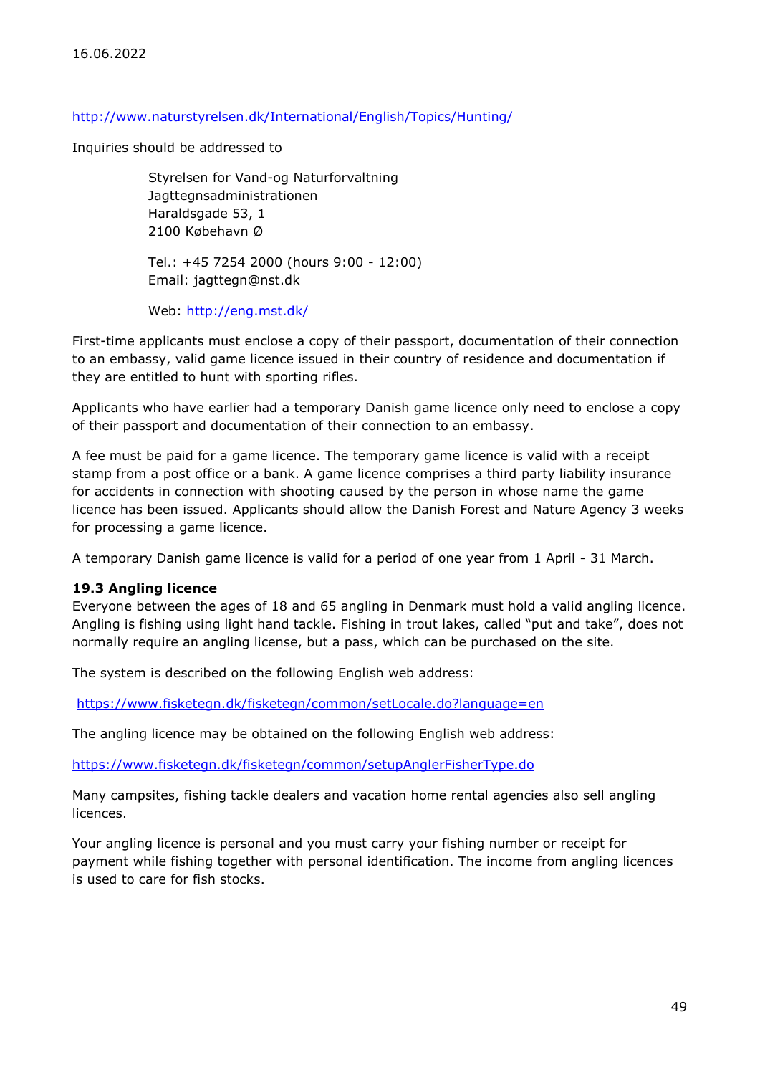### http://www.naturstyrelsen.dk/International/English/Topics/Hunting/

Inquiries should be addressed to

 Styrelsen for Vand-og Naturforvaltning Jagttegnsadministrationen Haraldsgade 53, 1 2100 Købehavn Ø

 Tel.: +45 7254 2000 (hours 9:00 - 12:00) Email: jagttegn@nst.dk

Web: http://eng.mst.dk/

First-time applicants must enclose a copy of their passport, documentation of their connection to an embassy, valid game licence issued in their country of residence and documentation if they are entitled to hunt with sporting rifles.

Applicants who have earlier had a temporary Danish game licence only need to enclose a copy of their passport and documentation of their connection to an embassy.

A fee must be paid for a game licence. The temporary game licence is valid with a receipt stamp from a post office or a bank. A game licence comprises a third party liability insurance for accidents in connection with shooting caused by the person in whose name the game licence has been issued. Applicants should allow the Danish Forest and Nature Agency 3 weeks for processing a game licence.

A temporary Danish game licence is valid for a period of one year from 1 April - 31 March.

### 19.3 Angling licence

Everyone between the ages of 18 and 65 angling in Denmark must hold a valid angling licence. Angling is fishing using light hand tackle. Fishing in trout lakes, called "put and take", does not normally require an angling license, but a pass, which can be purchased on the site.

The system is described on the following English web address:

https://www.fisketegn.dk/fisketegn/common/setLocale.do?language=en

The angling licence may be obtained on the following English web address:

https://www.fisketegn.dk/fisketegn/common/setupAnglerFisherType.do

Many campsites, fishing tackle dealers and vacation home rental agencies also sell angling licences.

Your angling licence is personal and you must carry your fishing number or receipt for payment while fishing together with personal identification. The income from angling licences is used to care for fish stocks.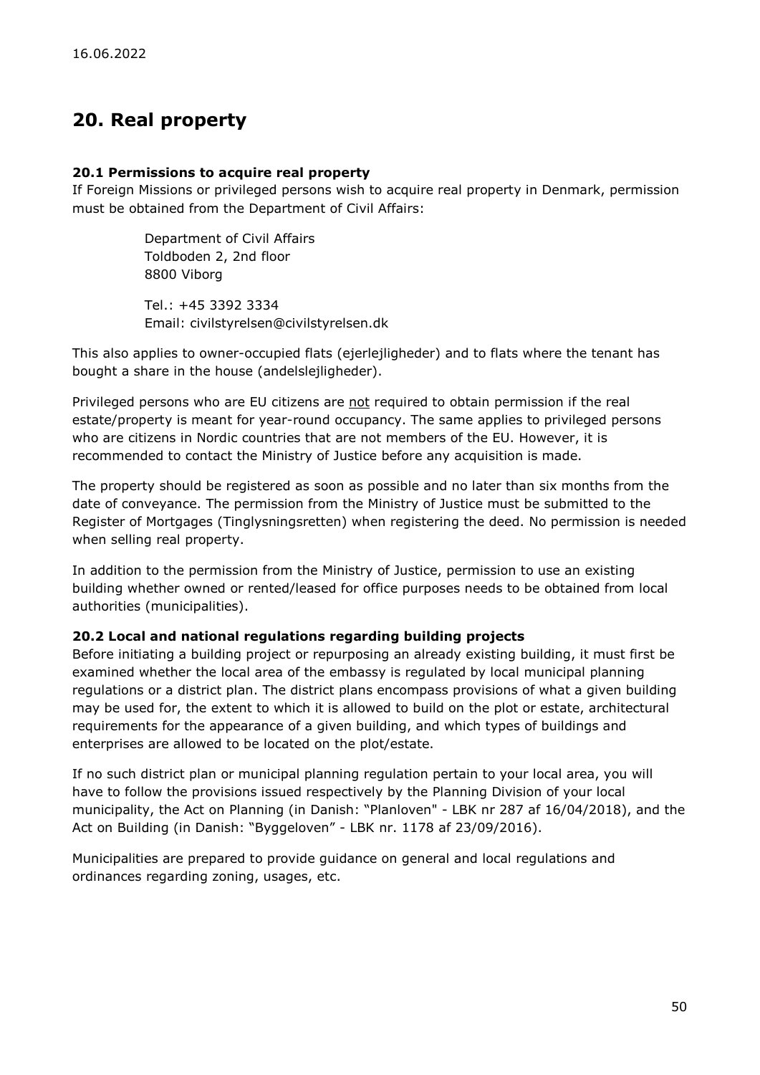# 20. Real property

### 20.1 Permissions to acquire real property

If Foreign Missions or privileged persons wish to acquire real property in Denmark, permission must be obtained from the Department of Civil Affairs:

> Department of Civil Affairs Toldboden 2, 2nd floor 8800 Viborg

Tel.: +45 3392 3334 Email: civilstyrelsen@civilstyrelsen.dk

This also applies to owner-occupied flats (ejerlejligheder) and to flats where the tenant has bought a share in the house (andelslejligheder).

Privileged persons who are EU citizens are not required to obtain permission if the real estate/property is meant for year-round occupancy. The same applies to privileged persons who are citizens in Nordic countries that are not members of the EU. However, it is recommended to contact the Ministry of Justice before any acquisition is made.

The property should be registered as soon as possible and no later than six months from the date of conveyance. The permission from the Ministry of Justice must be submitted to the Register of Mortgages (Tinglysningsretten) when registering the deed. No permission is needed when selling real property.

In addition to the permission from the Ministry of Justice, permission to use an existing building whether owned or rented/leased for office purposes needs to be obtained from local authorities (municipalities).

### 20.2 Local and national regulations regarding building projects

Before initiating a building project or repurposing an already existing building, it must first be examined whether the local area of the embassy is regulated by local municipal planning regulations or a district plan. The district plans encompass provisions of what a given building may be used for, the extent to which it is allowed to build on the plot or estate, architectural requirements for the appearance of a given building, and which types of buildings and enterprises are allowed to be located on the plot/estate.

If no such district plan or municipal planning regulation pertain to your local area, you will have to follow the provisions issued respectively by the Planning Division of your local municipality, the Act on Planning (in Danish: "Planloven" - LBK nr 287 af 16/04/2018), and the Act on Building (in Danish: "Byggeloven" - LBK nr. 1178 af 23/09/2016).

Municipalities are prepared to provide guidance on general and local regulations and ordinances regarding zoning, usages, etc.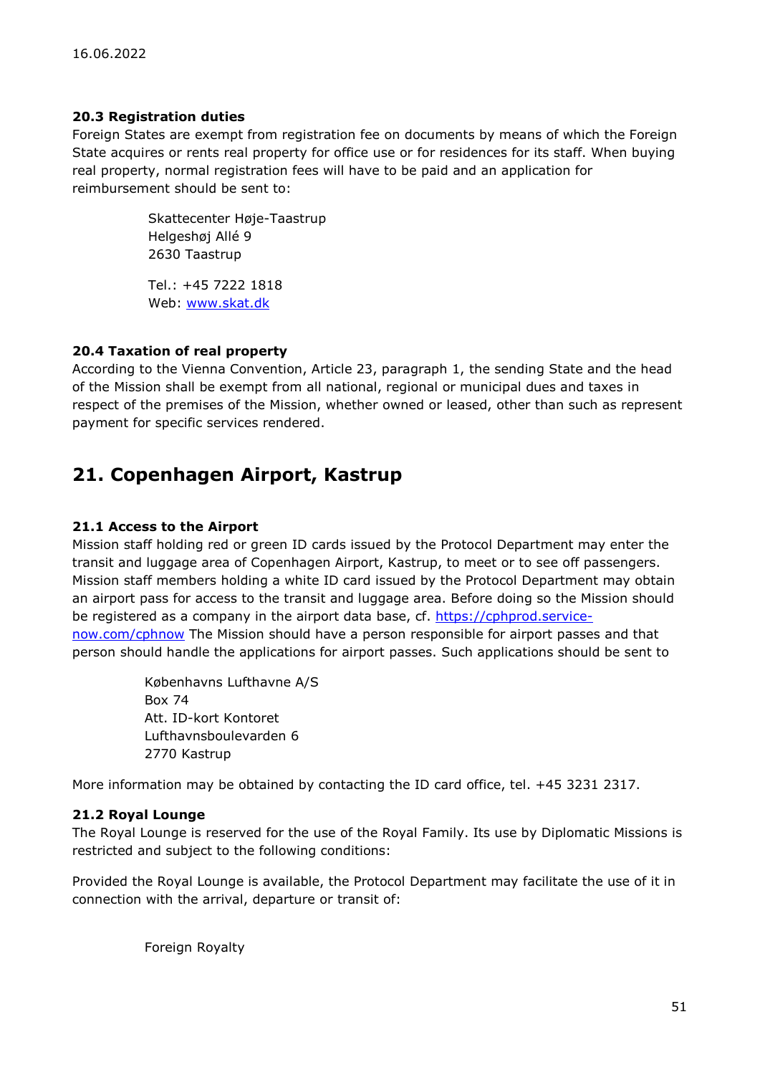### 20.3 Registration duties

Foreign States are exempt from registration fee on documents by means of which the Foreign State acquires or rents real property for office use or for residences for its staff. When buying real property, normal registration fees will have to be paid and an application for reimbursement should be sent to:

> Skattecenter Høje-Taastrup Helgeshøj Allé 9 2630 Taastrup

 Tel.: +45 7222 1818 Web: www.skat.dk

### 20.4 Taxation of real property

According to the Vienna Convention, Article 23, paragraph 1, the sending State and the head of the Mission shall be exempt from all national, regional or municipal dues and taxes in respect of the premises of the Mission, whether owned or leased, other than such as represent payment for specific services rendered.

# 21. Copenhagen Airport, Kastrup

### 21.1 Access to the Airport

Mission staff holding red or green ID cards issued by the Protocol Department may enter the transit and luggage area of Copenhagen Airport, Kastrup, to meet or to see off passengers. Mission staff members holding a white ID card issued by the Protocol Department may obtain an airport pass for access to the transit and luggage area. Before doing so the Mission should be registered as a company in the airport data base, cf. https://cphprod.servicenow.com/cphnow The Mission should have a person responsible for airport passes and that person should handle the applications for airport passes. Such applications should be sent to

> Københavns Lufthavne A/S Box 74 Att. ID-kort Kontoret Lufthavnsboulevarden 6 2770 Kastrup

More information may be obtained by contacting the ID card office, tel. +45 3231 2317.

### 21.2 Royal Lounge

The Royal Lounge is reserved for the use of the Royal Family. Its use by Diplomatic Missions is restricted and subject to the following conditions:

Provided the Royal Lounge is available, the Protocol Department may facilitate the use of it in connection with the arrival, departure or transit of:

Foreign Royalty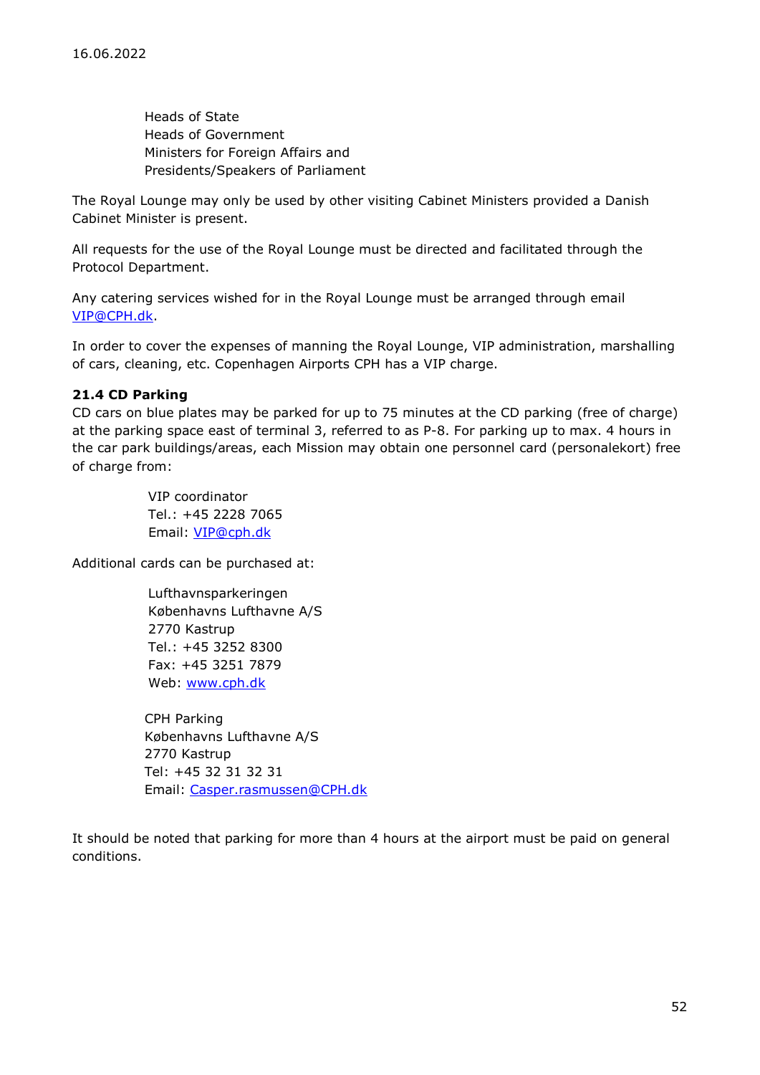Heads of State Heads of Government Ministers for Foreign Affairs and Presidents/Speakers of Parliament

The Royal Lounge may only be used by other visiting Cabinet Ministers provided a Danish Cabinet Minister is present.

All requests for the use of the Royal Lounge must be directed and facilitated through the Protocol Department.

Any catering services wished for in the Royal Lounge must be arranged through email VIP@CPH.dk.

In order to cover the expenses of manning the Royal Lounge, VIP administration, marshalling of cars, cleaning, etc. Copenhagen Airports CPH has a VIP charge.

### 21.4 CD Parking

CD cars on blue plates may be parked for up to 75 minutes at the CD parking (free of charge) at the parking space east of terminal 3, referred to as P-8. For parking up to max. 4 hours in the car park buildings/areas, each Mission may obtain one personnel card (personalekort) free of charge from:

> VIP coordinator Tel.: +45 2228 7065 Email: VIP@cph.dk

Additional cards can be purchased at:

 Lufthavnsparkeringen Københavns Lufthavne A/S 2770 Kastrup Tel.: +45 3252 8300 Fax: +45 3251 7879 Web: www.cph.dk

CPH Parking Københavns Lufthavne A/S 2770 Kastrup Tel: +45 32 31 32 31 Email: Casper.rasmussen@CPH.dk

It should be noted that parking for more than 4 hours at the airport must be paid on general conditions.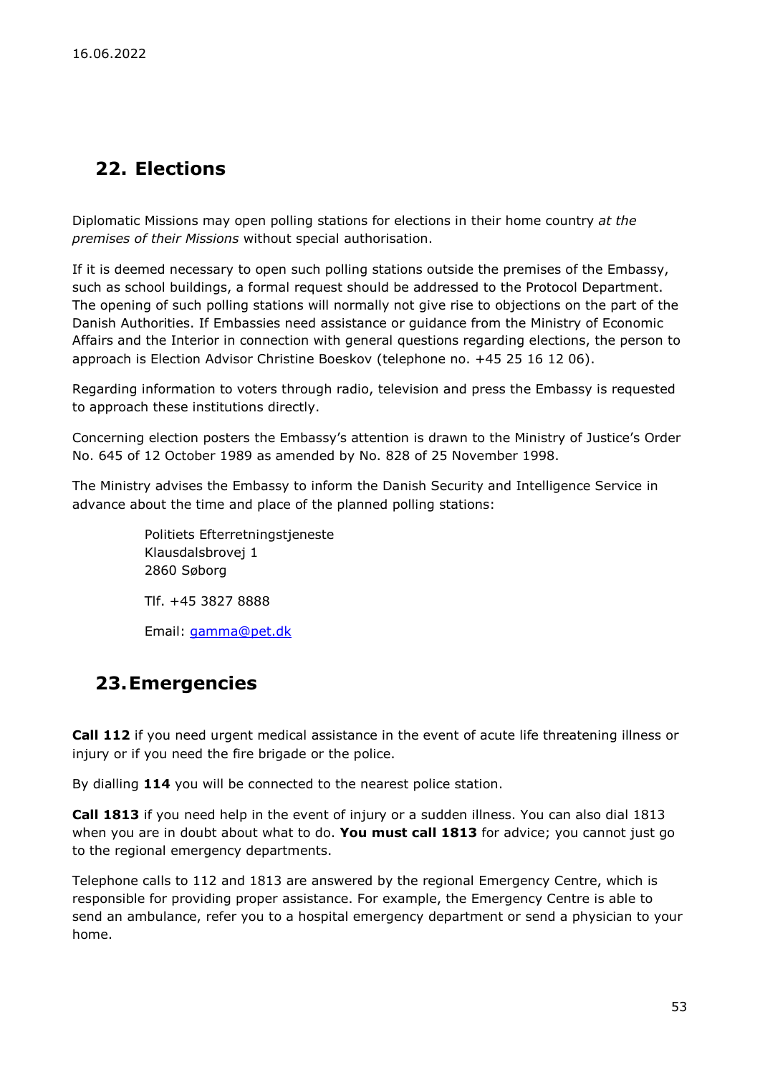# 22. Elections

Diplomatic Missions may open polling stations for elections in their home country at the premises of their Missions without special authorisation.

If it is deemed necessary to open such polling stations outside the premises of the Embassy, such as school buildings, a formal request should be addressed to the Protocol Department. The opening of such polling stations will normally not give rise to objections on the part of the Danish Authorities. If Embassies need assistance or guidance from the Ministry of Economic Affairs and the Interior in connection with general questions regarding elections, the person to approach is Election Advisor Christine Boeskov (telephone no. +45 25 16 12 06).

Regarding information to voters through radio, television and press the Embassy is requested to approach these institutions directly.

Concerning election posters the Embassy's attention is drawn to the Ministry of Justice's Order No. 645 of 12 October 1989 as amended by No. 828 of 25 November 1998.

The Ministry advises the Embassy to inform the Danish Security and Intelligence Service in advance about the time and place of the planned polling stations:

> Politiets Efterretningstjeneste Klausdalsbrovej 1 2860 Søborg Tlf. +45 3827 8888 Email: gamma@pet.dk

# 23.Emergencies

Call 112 if you need urgent medical assistance in the event of acute life threatening illness or injury or if you need the fire brigade or the police.

By dialling 114 you will be connected to the nearest police station.

Call 1813 if you need help in the event of injury or a sudden illness. You can also dial 1813 when you are in doubt about what to do. You must call 1813 for advice; you cannot just go to the regional emergency departments.

Telephone calls to 112 and 1813 are answered by the regional Emergency Centre, which is responsible for providing proper assistance. For example, the Emergency Centre is able to send an ambulance, refer you to a hospital emergency department or send a physician to your home.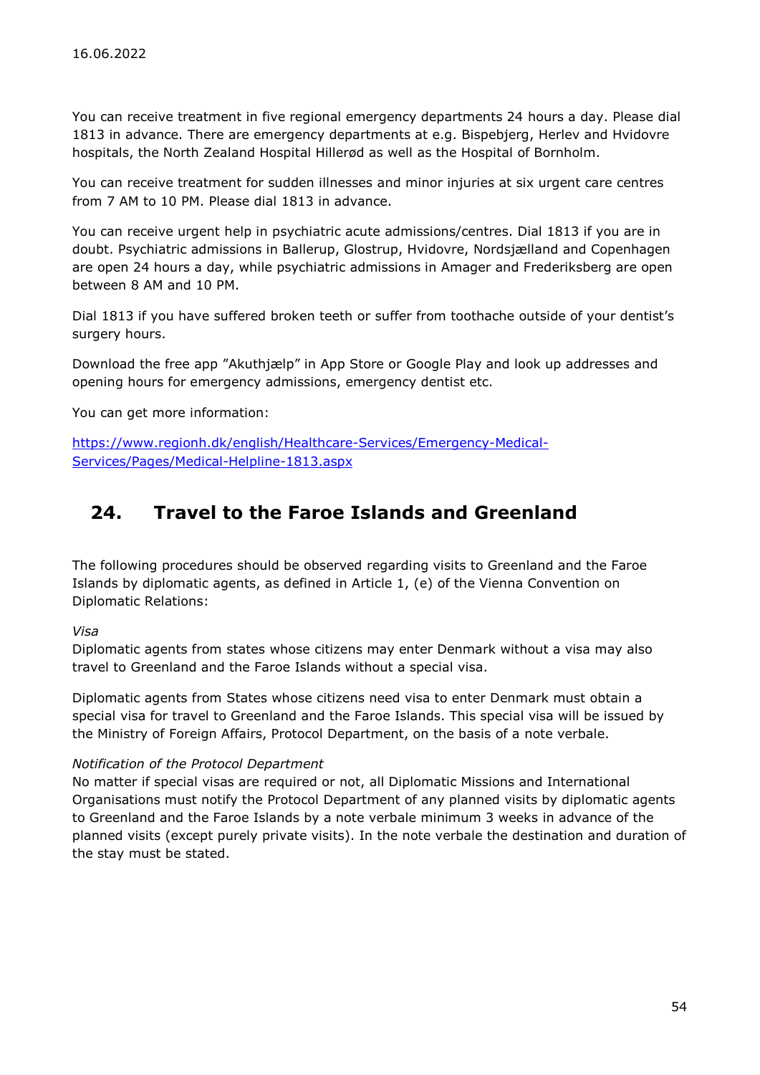You can receive treatment in five regional emergency departments 24 hours a day. Please dial 1813 in advance. There are emergency departments at e.g. Bispebjerg, Herlev and Hvidovre hospitals, the North Zealand Hospital Hillerød as well as the Hospital of Bornholm.

You can receive treatment for sudden illnesses and minor injuries at six urgent care centres from 7 AM to 10 PM. Please dial 1813 in advance.

You can receive urgent help in psychiatric acute admissions/centres. Dial 1813 if you are in doubt. Psychiatric admissions in Ballerup, Glostrup, Hvidovre, Nordsjælland and Copenhagen are open 24 hours a day, while psychiatric admissions in Amager and Frederiksberg are open between 8 AM and 10 PM.

Dial 1813 if you have suffered broken teeth or suffer from toothache outside of your dentist's surgery hours.

Download the free app "Akuthjælp" in App Store or Google Play and look up addresses and opening hours for emergency admissions, emergency dentist etc.

You can get more information:

https://www.regionh.dk/english/Healthcare-Services/Emergency-Medical-Services/Pages/Medical-Helpline-1813.aspx

### 24. Travel to the Faroe Islands and Greenland

The following procedures should be observed regarding visits to Greenland and the Faroe Islands by diplomatic agents, as defined in Article 1, (e) of the Vienna Convention on Diplomatic Relations:

Visa

Diplomatic agents from states whose citizens may enter Denmark without a visa may also travel to Greenland and the Faroe Islands without a special visa.

Diplomatic agents from States whose citizens need visa to enter Denmark must obtain a special visa for travel to Greenland and the Faroe Islands. This special visa will be issued by the Ministry of Foreign Affairs, Protocol Department, on the basis of a note verbale.

### Notification of the Protocol Department

No matter if special visas are required or not, all Diplomatic Missions and International Organisations must notify the Protocol Department of any planned visits by diplomatic agents to Greenland and the Faroe Islands by a note verbale minimum 3 weeks in advance of the planned visits (except purely private visits). In the note verbale the destination and duration of the stay must be stated.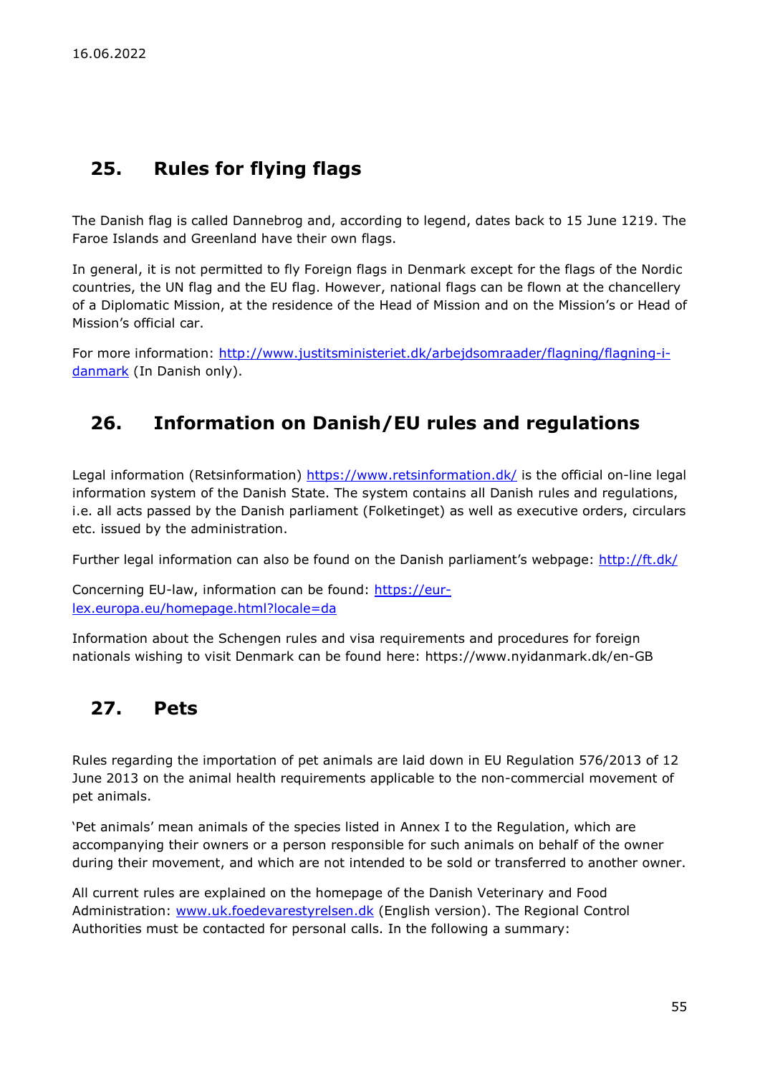# 25. Rules for flying flags

The Danish flag is called Dannebrog and, according to legend, dates back to 15 June 1219. The Faroe Islands and Greenland have their own flags.

In general, it is not permitted to fly Foreign flags in Denmark except for the flags of the Nordic countries, the UN flag and the EU flag. However, national flags can be flown at the chancellery of a Diplomatic Mission, at the residence of the Head of Mission and on the Mission's or Head of Mission's official car.

For more information: http://www.justitsministeriet.dk/arbejdsomraader/flagning/flagning-idanmark (In Danish only).

# 26. Information on Danish/EU rules and regulations

Legal information (Retsinformation) https://www.retsinformation.dk/ is the official on-line legal information system of the Danish State. The system contains all Danish rules and regulations, i.e. all acts passed by the Danish parliament (Folketinget) as well as executive orders, circulars etc. issued by the administration.

Further legal information can also be found on the Danish parliament's webpage: http://ft.dk/

Concerning EU-law, information can be found: https://eurlex.europa.eu/homepage.html?locale=da

Information about the Schengen rules and visa requirements and procedures for foreign nationals wishing to visit Denmark can be found here: https://www.nyidanmark.dk/en-GB

### 27. Pets

Rules regarding the importation of pet animals are laid down in EU Regulation 576/2013 of 12 June 2013 on the animal health requirements applicable to the non-commercial movement of pet animals.

'Pet animals' mean animals of the species listed in Annex I to the Regulation, which are accompanying their owners or a person responsible for such animals on behalf of the owner during their movement, and which are not intended to be sold or transferred to another owner.

All current rules are explained on the homepage of the Danish Veterinary and Food Administration: www.uk.foedevarestyrelsen.dk (English version). The Regional Control Authorities must be contacted for personal calls. In the following a summary: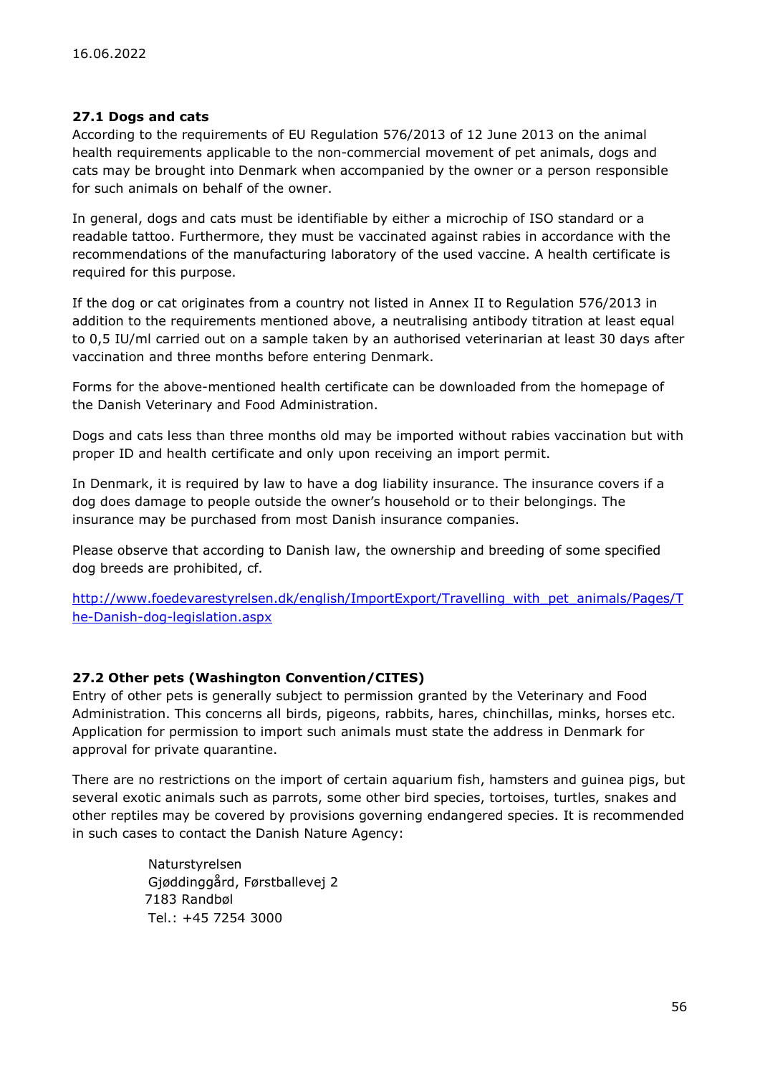### 27.1 Dogs and cats

According to the requirements of EU Regulation 576/2013 of 12 June 2013 on the animal health requirements applicable to the non-commercial movement of pet animals, dogs and cats may be brought into Denmark when accompanied by the owner or a person responsible for such animals on behalf of the owner.

In general, dogs and cats must be identifiable by either a microchip of ISO standard or a readable tattoo. Furthermore, they must be vaccinated against rabies in accordance with the recommendations of the manufacturing laboratory of the used vaccine. A health certificate is required for this purpose.

If the dog or cat originates from a country not listed in Annex II to Regulation 576/2013 in addition to the requirements mentioned above, a neutralising antibody titration at least equal to 0,5 IU/ml carried out on a sample taken by an authorised veterinarian at least 30 days after vaccination and three months before entering Denmark.

Forms for the above-mentioned health certificate can be downloaded from the homepage of the Danish Veterinary and Food Administration.

Dogs and cats less than three months old may be imported without rabies vaccination but with proper ID and health certificate and only upon receiving an import permit.

In Denmark, it is required by law to have a dog liability insurance. The insurance covers if a dog does damage to people outside the owner's household or to their belongings. The insurance may be purchased from most Danish insurance companies.

Please observe that according to Danish law, the ownership and breeding of some specified dog breeds are prohibited, cf.

http://www.foedevarestyrelsen.dk/english/ImportExport/Travelling\_with\_pet\_animals/Pages/T he-Danish-dog-legislation.aspx

### 27.2 Other pets (Washington Convention/CITES)

Entry of other pets is generally subject to permission granted by the Veterinary and Food Administration. This concerns all birds, pigeons, rabbits, hares, chinchillas, minks, horses etc. Application for permission to import such animals must state the address in Denmark for approval for private quarantine.

There are no restrictions on the import of certain aquarium fish, hamsters and guinea pigs, but several exotic animals such as parrots, some other bird species, tortoises, turtles, snakes and other reptiles may be covered by provisions governing endangered species. It is recommended in such cases to contact the Danish Nature Agency:

> Naturstyrelsen Gjøddinggård, Førstballevej 2 7183 Randbøl Tel.: +45 7254 3000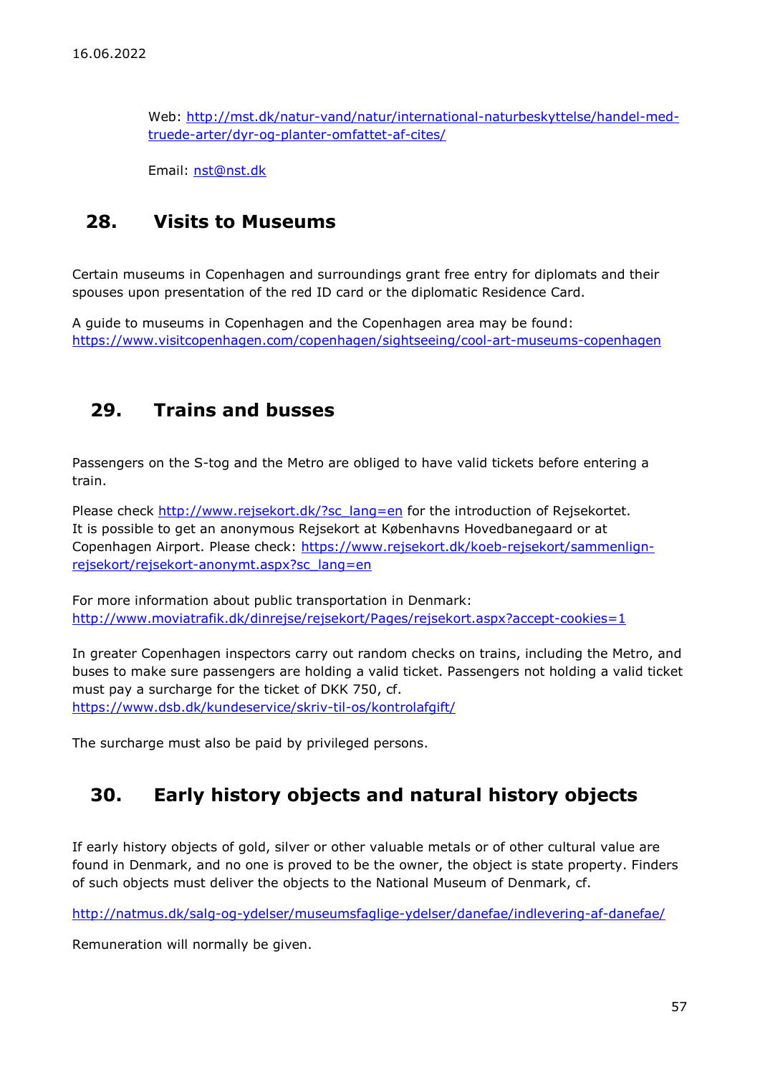Web: http://mst.dk/natur-vand/natur/international-naturbeskyttelse/handel-medtruede-arter/dyr-og-planter-omfattet-af-cites/

Email: nst@nst.dk

### 28. Visits to Museums

Certain museums in Copenhagen and surroundings grant free entry for diplomats and their spouses upon presentation of the red ID card or the diplomatic Residence Card.

A guide to museums in Copenhagen and the Copenhagen area may be found: https://www.visitcopenhagen.com/copenhagen/sightseeing/cool-art-museums-copenhagen

### 29. Trains and busses

Passengers on the S-tog and the Metro are obliged to have valid tickets before entering a train.

Please check http://www.rejsekort.dk/?sc\_lang=en for the introduction of Rejsekortet. It is possible to get an anonymous Rejsekort at Københavns Hovedbanegaard or at Copenhagen Airport. Please check: https://www.rejsekort.dk/koeb-rejsekort/sammenlignrejsekort/rejsekort-anonymt.aspx?sc\_lang=en

For more information about public transportation in Denmark: http://www.moviatrafik.dk/dinrejse/rejsekort/Pages/rejsekort.aspx?accept-cookies=1

In greater Copenhagen inspectors carry out random checks on trains, including the Metro, and buses to make sure passengers are holding a valid ticket. Passengers not holding a valid ticket must pay a surcharge for the ticket of DKK 750, cf. https://www.dsb.dk/kundeservice/skriv-til-os/kontrolafgift/

The surcharge must also be paid by privileged persons.

# 30. Early history objects and natural history objects

If early history objects of gold, silver or other valuable metals or of other cultural value are found in Denmark, and no one is proved to be the owner, the object is state property. Finders of such objects must deliver the objects to the National Museum of Denmark, cf.

http://natmus.dk/salg-og-ydelser/museumsfaglige-ydelser/danefae/indlevering-af-danefae/

Remuneration will normally be given.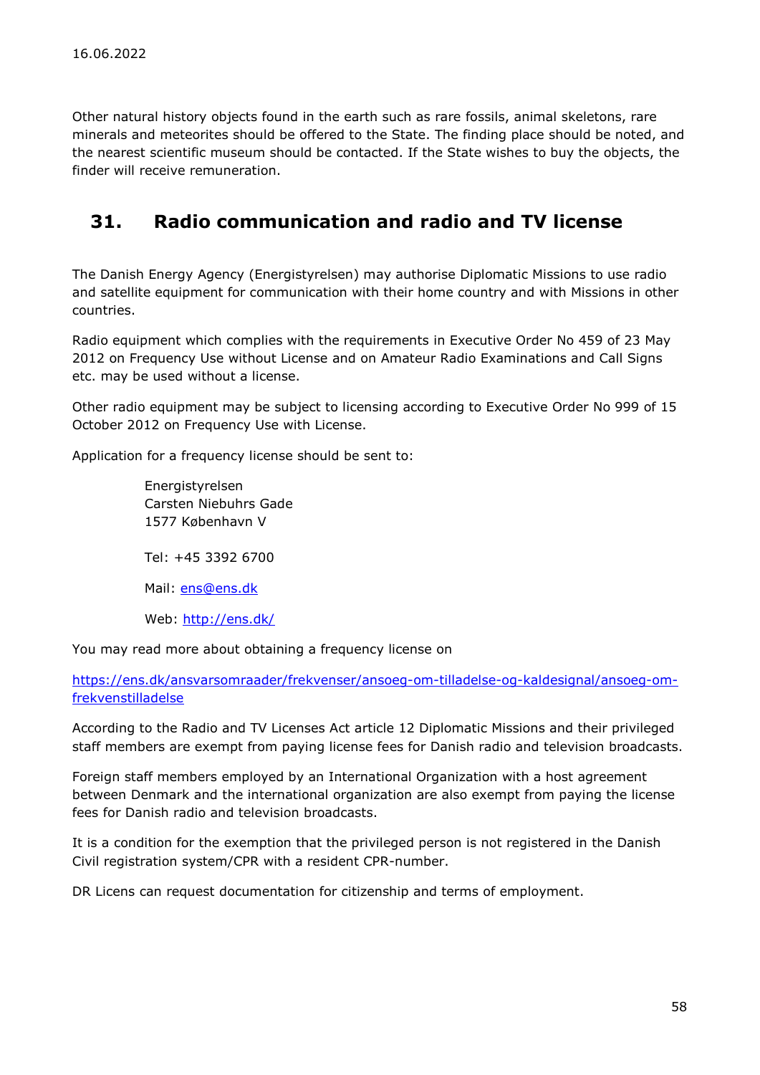Other natural history objects found in the earth such as rare fossils, animal skeletons, rare minerals and meteorites should be offered to the State. The finding place should be noted, and the nearest scientific museum should be contacted. If the State wishes to buy the objects, the finder will receive remuneration.

### 31. Radio communication and radio and TV license

The Danish Energy Agency (Energistyrelsen) may authorise Diplomatic Missions to use radio and satellite equipment for communication with their home country and with Missions in other countries.

Radio equipment which complies with the requirements in Executive Order No 459 of 23 May 2012 on Frequency Use without License and on Amateur Radio Examinations and Call Signs etc. may be used without a license.

Other radio equipment may be subject to licensing according to Executive Order No 999 of 15 October 2012 on Frequency Use with License.

Application for a frequency license should be sent to:

Energistyrelsen Carsten Niebuhrs Gade 1577 København V

Tel: +45 3392 6700

Mail: ens@ens.dk

Web: http://ens.dk/

You may read more about obtaining a frequency license on

https://ens.dk/ansvarsomraader/frekvenser/ansoeg-om-tilladelse-og-kaldesignal/ansoeg-omfrekvenstilladelse

According to the Radio and TV Licenses Act article 12 Diplomatic Missions and their privileged staff members are exempt from paying license fees for Danish radio and television broadcasts.

Foreign staff members employed by an International Organization with a host agreement between Denmark and the international organization are also exempt from paying the license fees for Danish radio and television broadcasts.

It is a condition for the exemption that the privileged person is not registered in the Danish Civil registration system/CPR with a resident CPR-number.

DR Licens can request documentation for citizenship and terms of employment.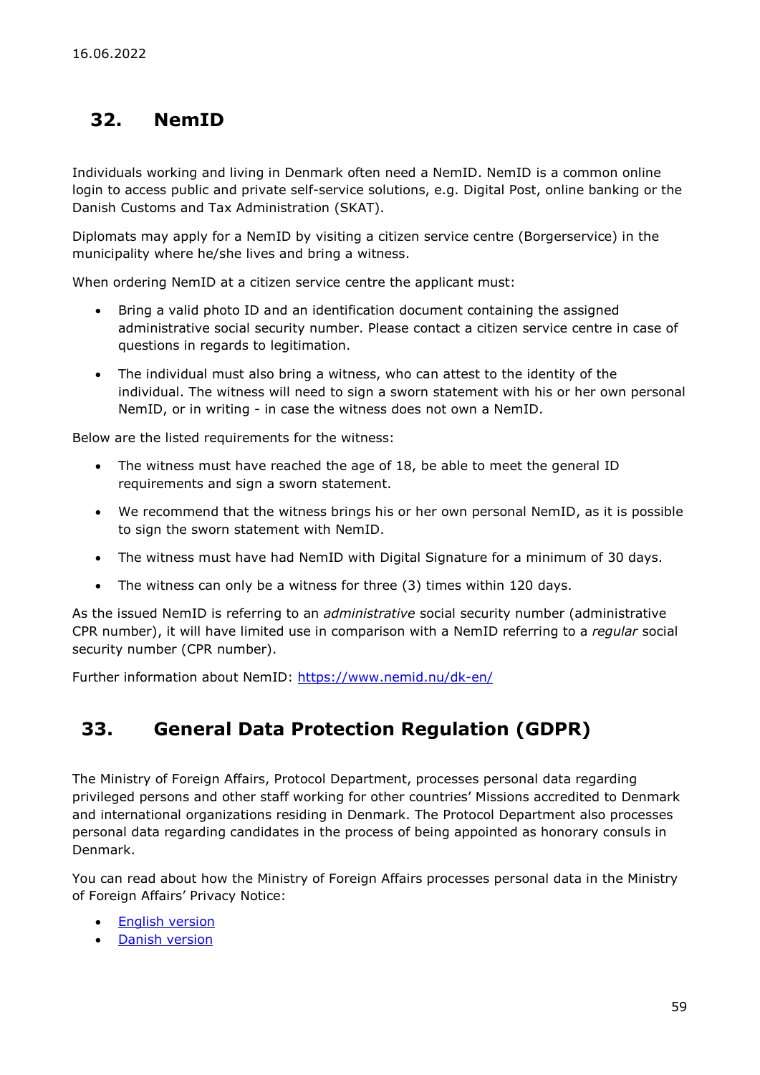# 32. NemID

Individuals working and living in Denmark often need a NemID. NemID is a common online login to access public and private self-service solutions, e.g. Digital Post, online banking or the Danish Customs and Tax Administration (SKAT).

Diplomats may apply for a NemID by visiting a citizen service centre (Borgerservice) in the municipality where he/she lives and bring a witness.

When ordering NemID at a citizen service centre the applicant must:

- Bring a valid photo ID and an identification document containing the assigned administrative social security number. Please contact a citizen service centre in case of questions in regards to legitimation.
- The individual must also bring a witness, who can attest to the identity of the individual. The witness will need to sign a sworn statement with his or her own personal NemID, or in writing - in case the witness does not own a NemID.

Below are the listed requirements for the witness:

- The witness must have reached the age of 18, be able to meet the general ID requirements and sign a sworn statement.
- We recommend that the witness brings his or her own personal NemID, as it is possible to sign the sworn statement with NemID.
- The witness must have had NemID with Digital Signature for a minimum of 30 days.
- The witness can only be a witness for three (3) times within 120 days.

As the issued NemID is referring to an *administrative* social security number (administrative CPR number), it will have limited use in comparison with a NemID referring to a regular social security number (CPR number).

Further information about NemID: https://www.nemid.nu/dk-en/

### 33. General Data Protection Regulation (GDPR)

The Ministry of Foreign Affairs, Protocol Department, processes personal data regarding privileged persons and other staff working for other countries' Missions accredited to Denmark and international organizations residing in Denmark. The Protocol Department also processes personal data regarding candidates in the process of being appointed as honorary consuls in Denmark.

You can read about how the Ministry of Foreign Affairs processes personal data in the Ministry of Foreign Affairs' Privacy Notice:

- English version
- Danish version